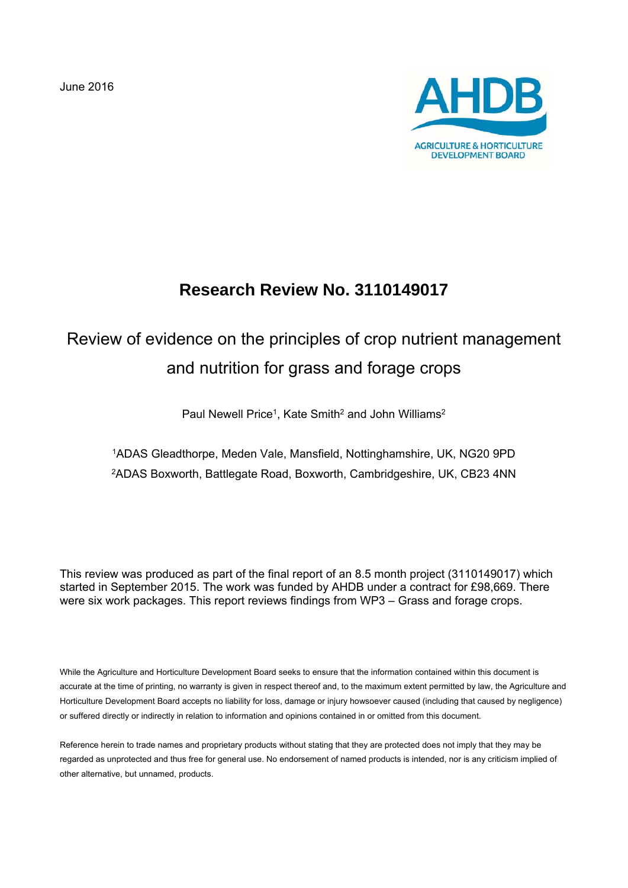June 2016



## **Research Review No. 3110149017**

# Review of evidence on the principles of crop nutrient management and nutrition for grass and forage crops

Paul Newell Price<sup>1</sup>, Kate Smith<sup>2</sup> and John Williams<sup>2</sup>

1ADAS Gleadthorpe, Meden Vale, Mansfield, Nottinghamshire, UK, NG20 9PD 2ADAS Boxworth, Battlegate Road, Boxworth, Cambridgeshire, UK, CB23 4NN

This review was produced as part of the final report of an 8.5 month project (3110149017) which started in September 2015. The work was funded by AHDB under a contract for £98,669. There were six work packages. This report reviews findings from WP3 – Grass and forage crops.

While the Agriculture and Horticulture Development Board seeks to ensure that the information contained within this document is accurate at the time of printing, no warranty is given in respect thereof and, to the maximum extent permitted by law, the Agriculture and Horticulture Development Board accepts no liability for loss, damage or injury howsoever caused (including that caused by negligence) or suffered directly or indirectly in relation to information and opinions contained in or omitted from this document.

Reference herein to trade names and proprietary products without stating that they are protected does not imply that they may be regarded as unprotected and thus free for general use. No endorsement of named products is intended, nor is any criticism implied of other alternative, but unnamed, products.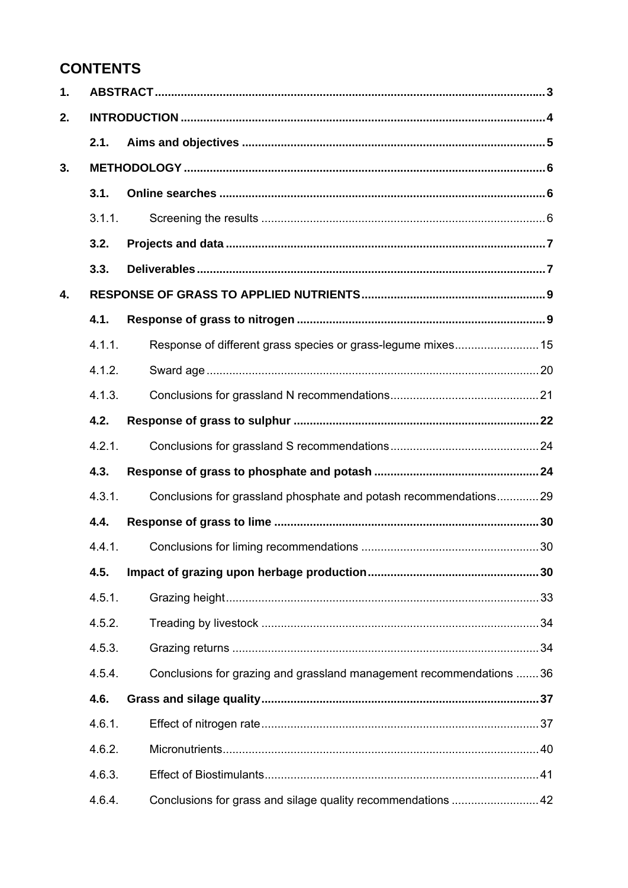## **CONTENTS**

| $\mathbf 1$ . |        |                                                                     |  |
|---------------|--------|---------------------------------------------------------------------|--|
| 2.            |        |                                                                     |  |
|               | 2.1.   |                                                                     |  |
| 3.            |        |                                                                     |  |
|               | 3.1.   |                                                                     |  |
|               | 3.1.1. |                                                                     |  |
|               | 3.2.   |                                                                     |  |
|               | 3.3.   |                                                                     |  |
| 4.            |        |                                                                     |  |
|               | 4.1.   |                                                                     |  |
|               | 4.1.1. | Response of different grass species or grass-legume mixes 15        |  |
|               | 4.1.2. |                                                                     |  |
|               | 4.1.3. |                                                                     |  |
|               | 4.2.   |                                                                     |  |
|               | 4.2.1. |                                                                     |  |
|               | 4.3.   |                                                                     |  |
|               | 4.3.1. | Conclusions for grassland phosphate and potash recommendations29    |  |
|               | 4.4.   |                                                                     |  |
|               | 4.4.1. |                                                                     |  |
|               | 4.5.   |                                                                     |  |
|               | 4.5.1. |                                                                     |  |
|               | 4.5.2. |                                                                     |  |
|               | 4.5.3. |                                                                     |  |
|               | 4.5.4. | Conclusions for grazing and grassland management recommendations 36 |  |
|               | 4.6.   |                                                                     |  |
|               | 4.6.1. |                                                                     |  |
|               | 4.6.2. |                                                                     |  |
|               | 4.6.3. |                                                                     |  |
|               | 4.6.4. | Conclusions for grass and silage quality recommendations  42        |  |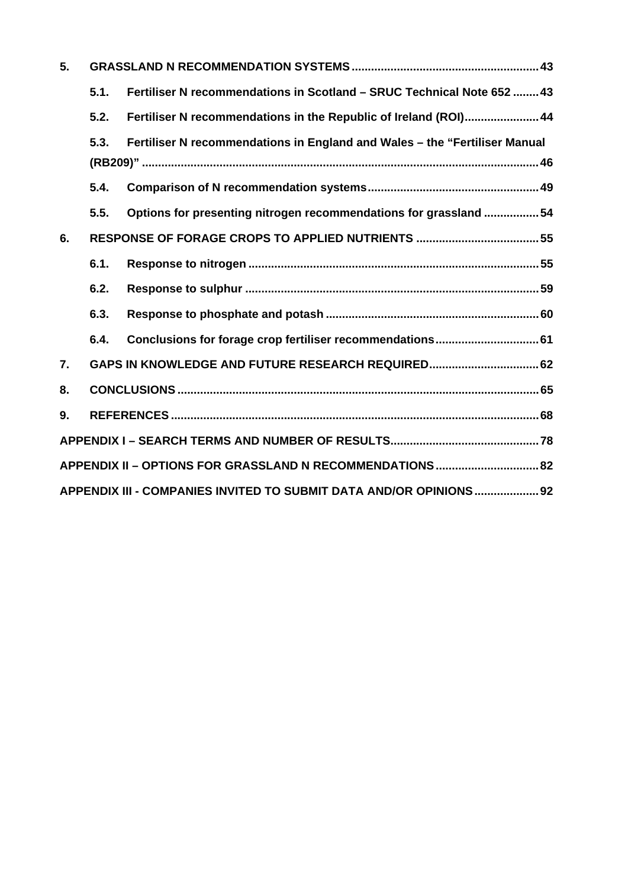| 5. |      |                                                                            |  |
|----|------|----------------------------------------------------------------------------|--|
|    | 5.1. | Fertiliser N recommendations in Scotland - SRUC Technical Note 652  43     |  |
|    | 5.2. | Fertiliser N recommendations in the Republic of Ireland (ROI) 44           |  |
|    | 5.3. | Fertiliser N recommendations in England and Wales - the "Fertiliser Manual |  |
|    | 5.4. |                                                                            |  |
|    | 5.5. | Options for presenting nitrogen recommendations for grassland 54           |  |
| 6. |      |                                                                            |  |
|    | 6.1. |                                                                            |  |
|    | 6.2. |                                                                            |  |
|    | 6.3. |                                                                            |  |
|    | 6.4. | Conclusions for forage crop fertiliser recommendations 61                  |  |
| 7. |      | GAPS IN KNOWLEDGE AND FUTURE RESEARCH REQUIRED 62                          |  |
| 8. |      |                                                                            |  |
| 9. |      |                                                                            |  |
|    |      |                                                                            |  |
|    |      | APPENDIX II - OPTIONS FOR GRASSLAND N RECOMMENDATIONS  82                  |  |
|    |      | APPENDIX III - COMPANIES INVITED TO SUBMIT DATA AND/OR OPINIONS  92        |  |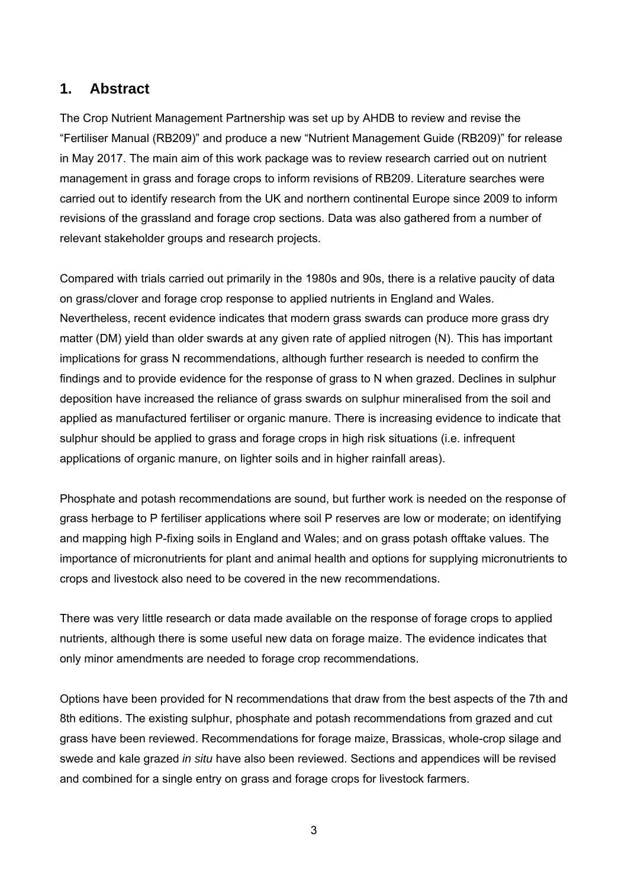## **1. Abstract**

The Crop Nutrient Management Partnership was set up by AHDB to review and revise the "Fertiliser Manual (RB209)" and produce a new "Nutrient Management Guide (RB209)" for release in May 2017. The main aim of this work package was to review research carried out on nutrient management in grass and forage crops to inform revisions of RB209. Literature searches were carried out to identify research from the UK and northern continental Europe since 2009 to inform revisions of the grassland and forage crop sections. Data was also gathered from a number of relevant stakeholder groups and research projects.

Compared with trials carried out primarily in the 1980s and 90s, there is a relative paucity of data on grass/clover and forage crop response to applied nutrients in England and Wales. Nevertheless, recent evidence indicates that modern grass swards can produce more grass dry matter (DM) yield than older swards at any given rate of applied nitrogen (N). This has important implications for grass N recommendations, although further research is needed to confirm the findings and to provide evidence for the response of grass to N when grazed. Declines in sulphur deposition have increased the reliance of grass swards on sulphur mineralised from the soil and applied as manufactured fertiliser or organic manure. There is increasing evidence to indicate that sulphur should be applied to grass and forage crops in high risk situations (i.e. infrequent applications of organic manure, on lighter soils and in higher rainfall areas).

Phosphate and potash recommendations are sound, but further work is needed on the response of grass herbage to P fertiliser applications where soil P reserves are low or moderate; on identifying and mapping high P-fixing soils in England and Wales; and on grass potash offtake values. The importance of micronutrients for plant and animal health and options for supplying micronutrients to crops and livestock also need to be covered in the new recommendations.

There was very little research or data made available on the response of forage crops to applied nutrients, although there is some useful new data on forage maize. The evidence indicates that only minor amendments are needed to forage crop recommendations.

Options have been provided for N recommendations that draw from the best aspects of the 7th and 8th editions. The existing sulphur, phosphate and potash recommendations from grazed and cut grass have been reviewed. Recommendations for forage maize, Brassicas, whole-crop silage and swede and kale grazed *in situ* have also been reviewed. Sections and appendices will be revised and combined for a single entry on grass and forage crops for livestock farmers.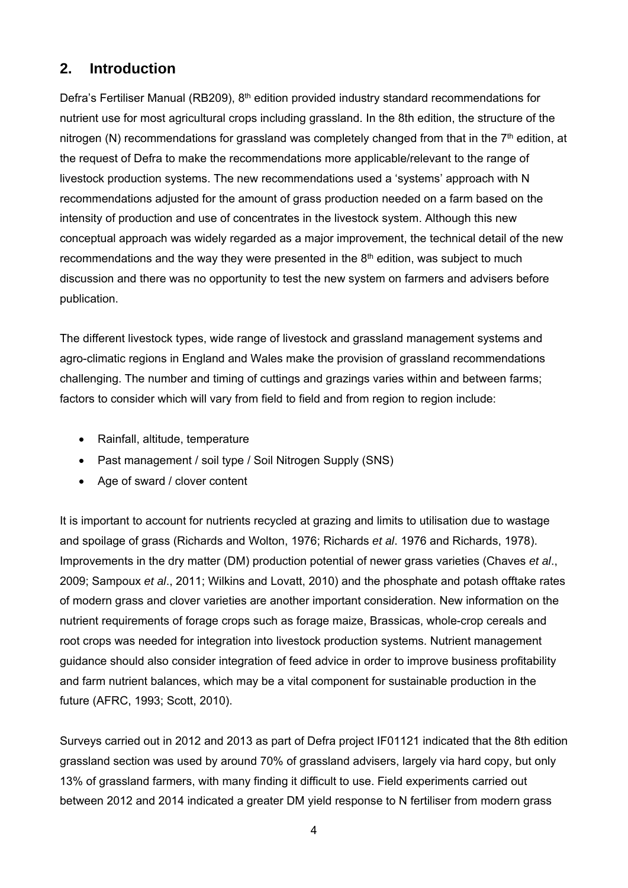## **2. Introduction**

Defra's Fertiliser Manual (RB209), 8<sup>th</sup> edition provided industry standard recommendations for nutrient use for most agricultural crops including grassland. In the 8th edition, the structure of the nitrogen (N) recommendations for grassland was completely changed from that in the  $7<sup>th</sup>$  edition, at the request of Defra to make the recommendations more applicable/relevant to the range of livestock production systems. The new recommendations used a 'systems' approach with N recommendations adjusted for the amount of grass production needed on a farm based on the intensity of production and use of concentrates in the livestock system. Although this new conceptual approach was widely regarded as a major improvement, the technical detail of the new recommendations and the way they were presented in the  $8<sup>th</sup>$  edition, was subject to much discussion and there was no opportunity to test the new system on farmers and advisers before publication.

The different livestock types, wide range of livestock and grassland management systems and agro-climatic regions in England and Wales make the provision of grassland recommendations challenging. The number and timing of cuttings and grazings varies within and between farms; factors to consider which will vary from field to field and from region to region include:

- Rainfall, altitude, temperature
- Past management / soil type / Soil Nitrogen Supply (SNS)
- Age of sward / clover content

It is important to account for nutrients recycled at grazing and limits to utilisation due to wastage and spoilage of grass (Richards and Wolton, 1976; Richards *et al*. 1976 and Richards, 1978). Improvements in the dry matter (DM) production potential of newer grass varieties (Chaves *et al*., 2009; Sampoux *et al*., 2011; Wilkins and Lovatt, 2010) and the phosphate and potash offtake rates of modern grass and clover varieties are another important consideration. New information on the nutrient requirements of forage crops such as forage maize, Brassicas, whole-crop cereals and root crops was needed for integration into livestock production systems. Nutrient management guidance should also consider integration of feed advice in order to improve business profitability and farm nutrient balances, which may be a vital component for sustainable production in the future (AFRC, 1993; Scott, 2010).

Surveys carried out in 2012 and 2013 as part of Defra project IF01121 indicated that the 8th edition grassland section was used by around 70% of grassland advisers, largely via hard copy, but only 13% of grassland farmers, with many finding it difficult to use. Field experiments carried out between 2012 and 2014 indicated a greater DM yield response to N fertiliser from modern grass

4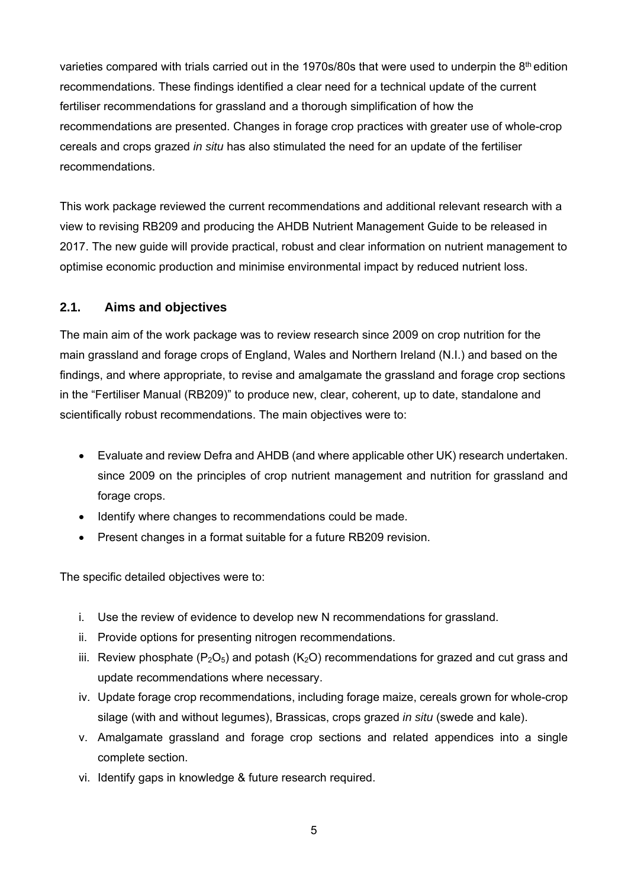varieties compared with trials carried out in the 1970s/80s that were used to underpin the 8th edition recommendations. These findings identified a clear need for a technical update of the current fertiliser recommendations for grassland and a thorough simplification of how the recommendations are presented. Changes in forage crop practices with greater use of whole-crop cereals and crops grazed *in situ* has also stimulated the need for an update of the fertiliser recommendations.

This work package reviewed the current recommendations and additional relevant research with a view to revising RB209 and producing the AHDB Nutrient Management Guide to be released in 2017. The new guide will provide practical, robust and clear information on nutrient management to optimise economic production and minimise environmental impact by reduced nutrient loss.

#### **2.1. Aims and objectives**

The main aim of the work package was to review research since 2009 on crop nutrition for the main grassland and forage crops of England, Wales and Northern Ireland (N.I.) and based on the findings, and where appropriate, to revise and amalgamate the grassland and forage crop sections in the "Fertiliser Manual (RB209)" to produce new, clear, coherent, up to date, standalone and scientifically robust recommendations. The main objectives were to:

- Evaluate and review Defra and AHDB (and where applicable other UK) research undertaken. since 2009 on the principles of crop nutrient management and nutrition for grassland and forage crops.
- Identify where changes to recommendations could be made.
- Present changes in a format suitable for a future RB209 revision.

The specific detailed objectives were to:

- i. Use the review of evidence to develop new N recommendations for grassland.
- ii. Provide options for presenting nitrogen recommendations.
- iii. Review phosphate ( $P_2O_5$ ) and potash ( $K_2O$ ) recommendations for grazed and cut grass and update recommendations where necessary.
- iv. Update forage crop recommendations, including forage maize, cereals grown for whole-crop silage (with and without legumes), Brassicas, crops grazed *in situ* (swede and kale).
- v. Amalgamate grassland and forage crop sections and related appendices into a single complete section.
- vi. Identify gaps in knowledge & future research required.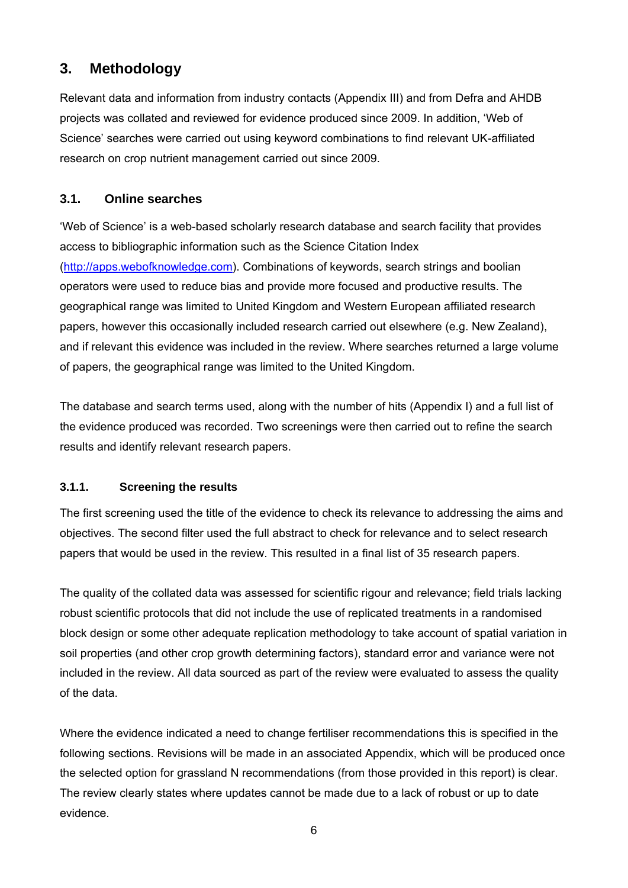## **3. Methodology**

Relevant data and information from industry contacts (Appendix III) and from Defra and AHDB projects was collated and reviewed for evidence produced since 2009. In addition, 'Web of Science' searches were carried out using keyword combinations to find relevant UK-affiliated research on crop nutrient management carried out since 2009.

## **3.1. Online searches**

'Web of Science' is a web-based scholarly research database and search facility that provides access to bibliographic information such as the Science Citation Index (http://apps.webofknowledge.com). Combinations of keywords, search strings and boolian operators were used to reduce bias and provide more focused and productive results. The geographical range was limited to United Kingdom and Western European affiliated research papers, however this occasionally included research carried out elsewhere (e.g. New Zealand), and if relevant this evidence was included in the review. Where searches returned a large volume of papers, the geographical range was limited to the United Kingdom.

The database and search terms used, along with the number of hits (Appendix I) and a full list of the evidence produced was recorded. Two screenings were then carried out to refine the search results and identify relevant research papers.

## **3.1.1. Screening the results**

The first screening used the title of the evidence to check its relevance to addressing the aims and objectives. The second filter used the full abstract to check for relevance and to select research papers that would be used in the review. This resulted in a final list of 35 research papers.

The quality of the collated data was assessed for scientific rigour and relevance; field trials lacking robust scientific protocols that did not include the use of replicated treatments in a randomised block design or some other adequate replication methodology to take account of spatial variation in soil properties (and other crop growth determining factors), standard error and variance were not included in the review. All data sourced as part of the review were evaluated to assess the quality of the data.

Where the evidence indicated a need to change fertiliser recommendations this is specified in the following sections. Revisions will be made in an associated Appendix, which will be produced once the selected option for grassland N recommendations (from those provided in this report) is clear. The review clearly states where updates cannot be made due to a lack of robust or up to date evidence.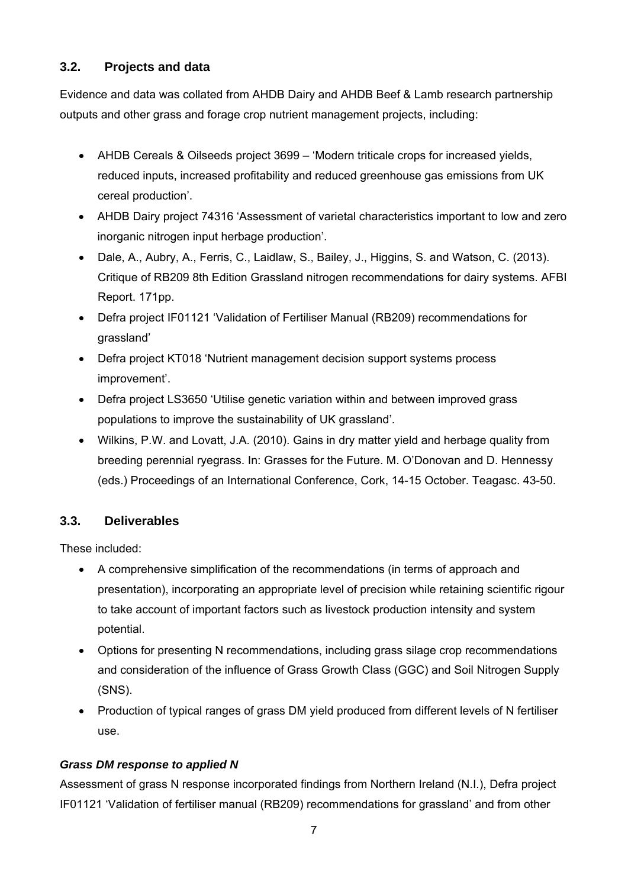## **3.2. Projects and data**

Evidence and data was collated from AHDB Dairy and AHDB Beef & Lamb research partnership outputs and other grass and forage crop nutrient management projects, including:

- AHDB Cereals & Oilseeds project 3699 'Modern triticale crops for increased yields, reduced inputs, increased profitability and reduced greenhouse gas emissions from UK cereal production'.
- AHDB Dairy project 74316 'Assessment of varietal characteristics important to low and zero inorganic nitrogen input herbage production'.
- Dale, A., Aubry, A., Ferris, C., Laidlaw, S., Bailey, J., Higgins, S. and Watson, C. (2013). Critique of RB209 8th Edition Grassland nitrogen recommendations for dairy systems. AFBI Report. 171pp.
- Defra project IF01121 'Validation of Fertiliser Manual (RB209) recommendations for grassland'
- Defra project KT018 'Nutrient management decision support systems process improvement'.
- Defra project LS3650 'Utilise genetic variation within and between improved grass populations to improve the sustainability of UK grassland'.
- Wilkins, P.W. and Lovatt, J.A. (2010). Gains in dry matter yield and herbage quality from breeding perennial ryegrass. In: Grasses for the Future. M. O'Donovan and D. Hennessy (eds.) Proceedings of an International Conference, Cork, 14-15 October. Teagasc. 43-50.

## **3.3. Deliverables**

These included:

- A comprehensive simplification of the recommendations (in terms of approach and presentation), incorporating an appropriate level of precision while retaining scientific rigour to take account of important factors such as livestock production intensity and system potential.
- Options for presenting N recommendations, including grass silage crop recommendations and consideration of the influence of Grass Growth Class (GGC) and Soil Nitrogen Supply (SNS).
- Production of typical ranges of grass DM yield produced from different levels of N fertiliser use.

## *Grass DM response to applied N*

Assessment of grass N response incorporated findings from Northern Ireland (N.I.), Defra project IF01121 'Validation of fertiliser manual (RB209) recommendations for grassland' and from other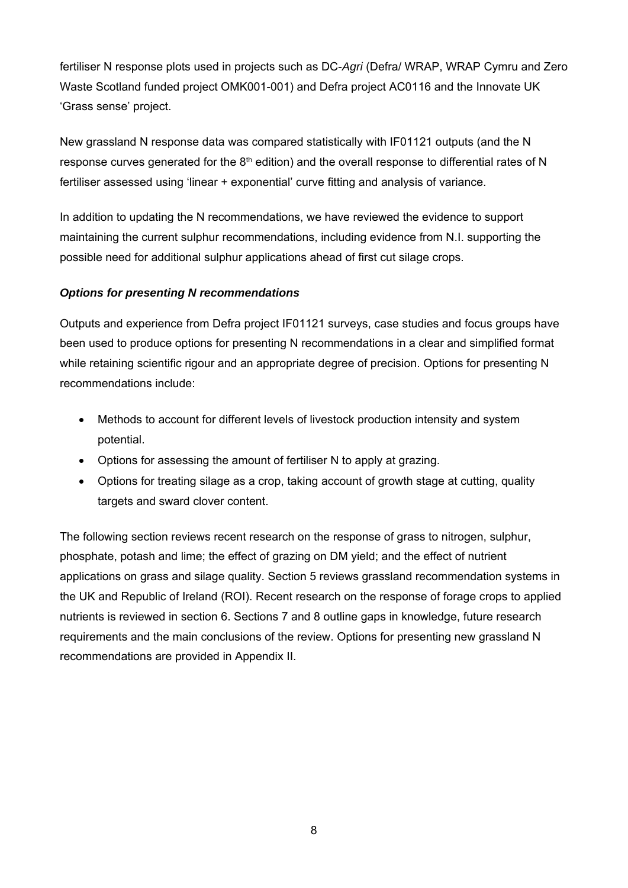fertiliser N response plots used in projects such as DC-*Agri* (Defra/ WRAP, WRAP Cymru and Zero Waste Scotland funded project OMK001-001) and Defra project AC0116 and the Innovate UK 'Grass sense' project.

New grassland N response data was compared statistically with IF01121 outputs (and the N response curves generated for the  $8<sup>th</sup>$  edition) and the overall response to differential rates of N fertiliser assessed using 'linear + exponential' curve fitting and analysis of variance.

In addition to updating the N recommendations, we have reviewed the evidence to support maintaining the current sulphur recommendations, including evidence from N.I. supporting the possible need for additional sulphur applications ahead of first cut silage crops.

#### *Options for presenting N recommendations*

Outputs and experience from Defra project IF01121 surveys, case studies and focus groups have been used to produce options for presenting N recommendations in a clear and simplified format while retaining scientific rigour and an appropriate degree of precision. Options for presenting N recommendations include:

- Methods to account for different levels of livestock production intensity and system potential.
- Options for assessing the amount of fertiliser N to apply at grazing.
- Options for treating silage as a crop, taking account of growth stage at cutting, quality targets and sward clover content.

The following section reviews recent research on the response of grass to nitrogen, sulphur, phosphate, potash and lime; the effect of grazing on DM yield; and the effect of nutrient applications on grass and silage quality. Section 5 reviews grassland recommendation systems in the UK and Republic of Ireland (ROI). Recent research on the response of forage crops to applied nutrients is reviewed in section 6. Sections 7 and 8 outline gaps in knowledge, future research requirements and the main conclusions of the review. Options for presenting new grassland N recommendations are provided in Appendix II.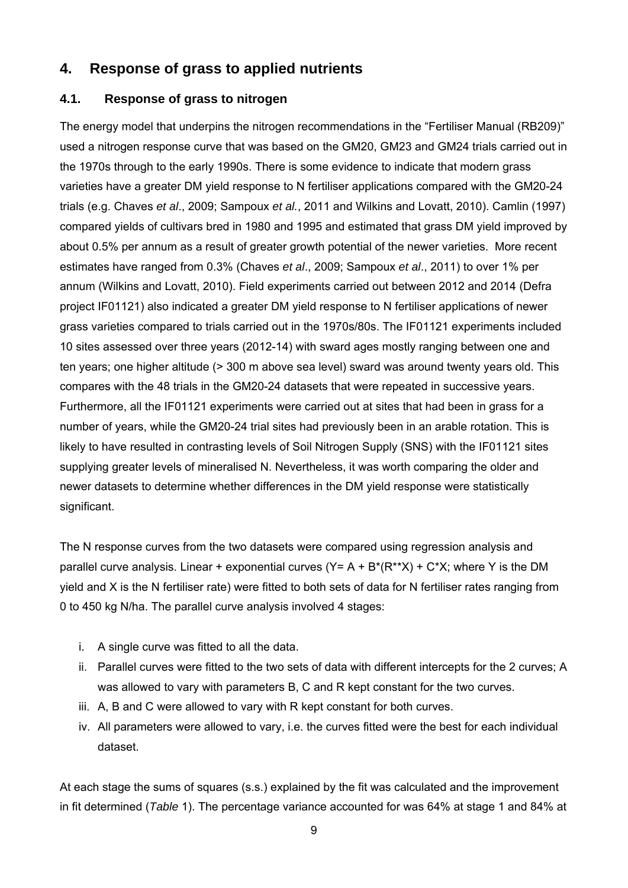## **4. Response of grass to applied nutrients**

## **4.1. Response of grass to nitrogen**

The energy model that underpins the nitrogen recommendations in the "Fertiliser Manual (RB209)" used a nitrogen response curve that was based on the GM20, GM23 and GM24 trials carried out in the 1970s through to the early 1990s. There is some evidence to indicate that modern grass varieties have a greater DM yield response to N fertiliser applications compared with the GM20-24 trials (e.g. Chaves *et al*., 2009; Sampoux *et al.*, 2011 and Wilkins and Lovatt, 2010). Camlin (1997) compared yields of cultivars bred in 1980 and 1995 and estimated that grass DM yield improved by about 0.5% per annum as a result of greater growth potential of the newer varieties. More recent estimates have ranged from 0.3% (Chaves *et al*., 2009; Sampoux *et al*., 2011) to over 1% per annum (Wilkins and Lovatt, 2010). Field experiments carried out between 2012 and 2014 (Defra project IF01121) also indicated a greater DM yield response to N fertiliser applications of newer grass varieties compared to trials carried out in the 1970s/80s. The IF01121 experiments included 10 sites assessed over three years (2012-14) with sward ages mostly ranging between one and ten years; one higher altitude (> 300 m above sea level) sward was around twenty years old. This compares with the 48 trials in the GM20-24 datasets that were repeated in successive years. Furthermore, all the IF01121 experiments were carried out at sites that had been in grass for a number of years, while the GM20-24 trial sites had previously been in an arable rotation. This is likely to have resulted in contrasting levels of Soil Nitrogen Supply (SNS) with the IF01121 sites supplying greater levels of mineralised N. Nevertheless, it was worth comparing the older and newer datasets to determine whether differences in the DM yield response were statistically significant.

The N response curves from the two datasets were compared using regression analysis and parallel curve analysis. Linear + exponential curves  $(Y = A + B^*(R^{**}X) + C^*X$ ; where Y is the DM yield and X is the N fertiliser rate) were fitted to both sets of data for N fertiliser rates ranging from 0 to 450 kg N/ha. The parallel curve analysis involved 4 stages:

- i. A single curve was fitted to all the data.
- ii. Parallel curves were fitted to the two sets of data with different intercepts for the 2 curves; A was allowed to vary with parameters B, C and R kept constant for the two curves.
- iii. A, B and C were allowed to vary with R kept constant for both curves.
- iv. All parameters were allowed to vary, i.e. the curves fitted were the best for each individual dataset.

At each stage the sums of squares (s.s.) explained by the fit was calculated and the improvement in fit determined (*Table* 1). The percentage variance accounted for was 64% at stage 1 and 84% at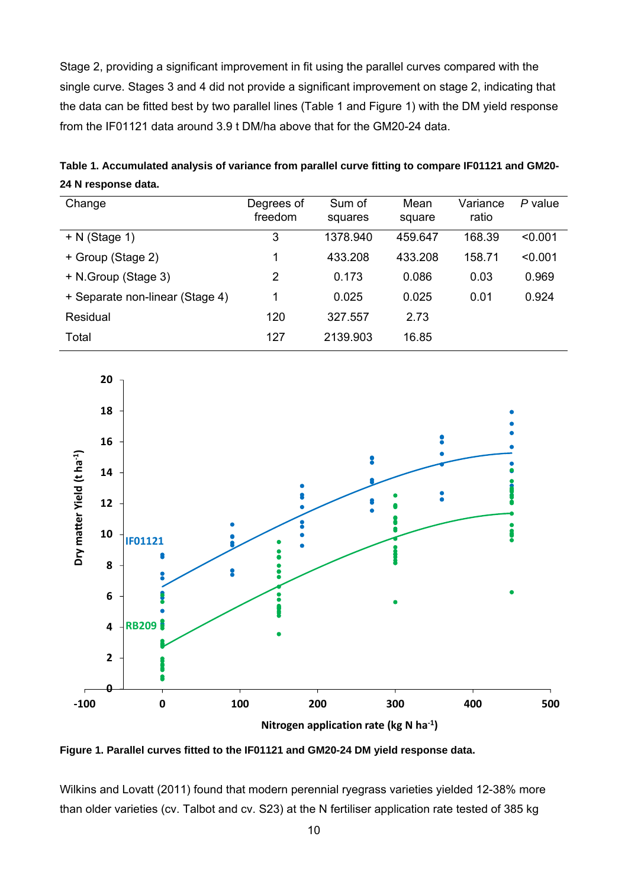Stage 2, providing a significant improvement in fit using the parallel curves compared with the single curve. Stages 3 and 4 did not provide a significant improvement on stage 2, indicating that the data can be fitted best by two parallel lines (Table 1 and Figure 1) with the DM yield response from the IF01121 data around 3.9 t DM/ha above that for the GM20-24 data.

| Table 1. Accumulated analysis of variance from parallel curve fitting to compare IF01121 and GM20- |  |
|----------------------------------------------------------------------------------------------------|--|
| 24 N response data.                                                                                |  |

| Change                          | Degrees of<br>freedom | Sum of<br>squares | Mean<br>square | Variance<br>ratio | P value |
|---------------------------------|-----------------------|-------------------|----------------|-------------------|---------|
| $+ N$ (Stage 1)                 | 3                     | 1378.940          | 459.647        | 168.39            | < 0.001 |
| + Group (Stage 2)               |                       | 433.208           | 433.208        | 158.71            | < 0.001 |
| + N.Group (Stage 3)             | 2                     | 0.173             | 0.086          | 0.03              | 0.969   |
| + Separate non-linear (Stage 4) |                       | 0.025             | 0.025          | 0.01              | 0.924   |
| Residual                        | 120                   | 327.557           | 2.73           |                   |         |
| Total                           | 127                   | 2139.903          | 16.85          |                   |         |



**Figure 1. Parallel curves fitted to the IF01121 and GM20-24 DM yield response data.** 

Wilkins and Lovatt (2011) found that modern perennial ryegrass varieties yielded 12-38% more than older varieties (cv. Talbot and cv. S23) at the N fertiliser application rate tested of 385 kg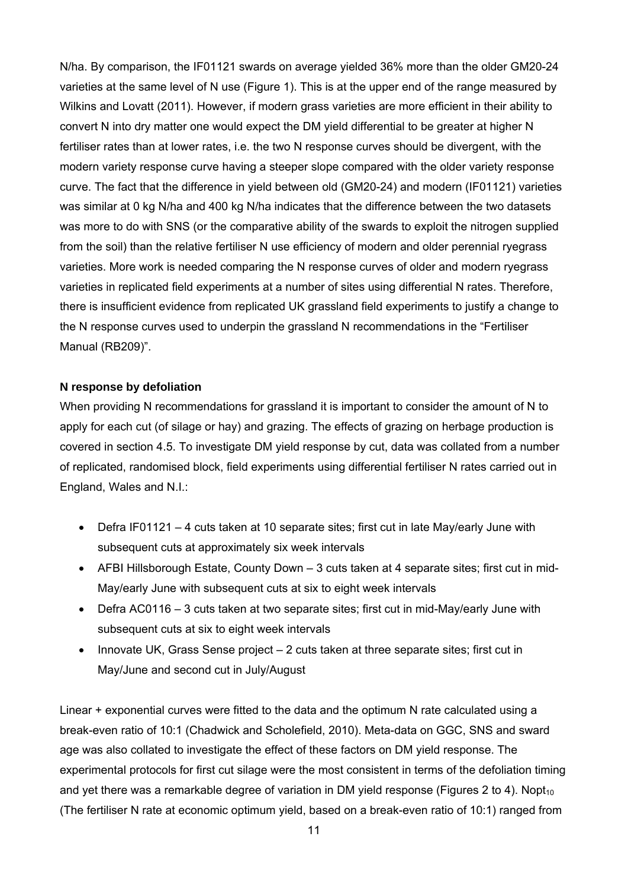N/ha. By comparison, the IF01121 swards on average yielded 36% more than the older GM20-24 varieties at the same level of N use (Figure 1). This is at the upper end of the range measured by Wilkins and Lovatt (2011). However, if modern grass varieties are more efficient in their ability to convert N into dry matter one would expect the DM yield differential to be greater at higher N fertiliser rates than at lower rates, i.e. the two N response curves should be divergent, with the modern variety response curve having a steeper slope compared with the older variety response curve. The fact that the difference in yield between old (GM20-24) and modern (IF01121) varieties was similar at 0 kg N/ha and 400 kg N/ha indicates that the difference between the two datasets was more to do with SNS (or the comparative ability of the swards to exploit the nitrogen supplied from the soil) than the relative fertiliser N use efficiency of modern and older perennial ryegrass varieties. More work is needed comparing the N response curves of older and modern ryegrass varieties in replicated field experiments at a number of sites using differential N rates. Therefore, there is insufficient evidence from replicated UK grassland field experiments to justify a change to the N response curves used to underpin the grassland N recommendations in the "Fertiliser Manual (RB209)".

#### **N response by defoliation**

When providing N recommendations for grassland it is important to consider the amount of N to apply for each cut (of silage or hay) and grazing. The effects of grazing on herbage production is covered in section 4.5. To investigate DM yield response by cut, data was collated from a number of replicated, randomised block, field experiments using differential fertiliser N rates carried out in England, Wales and N.I.:

- Defra IF01121 4 cuts taken at 10 separate sites; first cut in late May/early June with subsequent cuts at approximately six week intervals
- AFBI Hillsborough Estate, County Down 3 cuts taken at 4 separate sites; first cut in mid-May/early June with subsequent cuts at six to eight week intervals
- Defra AC0116 3 cuts taken at two separate sites; first cut in mid-May/early June with subsequent cuts at six to eight week intervals
- Innovate UK, Grass Sense project 2 cuts taken at three separate sites; first cut in May/June and second cut in July/August

Linear + exponential curves were fitted to the data and the optimum N rate calculated using a break-even ratio of 10:1 (Chadwick and Scholefield, 2010). Meta-data on GGC, SNS and sward age was also collated to investigate the effect of these factors on DM yield response. The experimental protocols for first cut silage were the most consistent in terms of the defoliation timing and yet there was a remarkable degree of variation in DM yield response (Figures 2 to 4). Nopt<sub>10</sub> (The fertiliser N rate at economic optimum yield, based on a break-even ratio of 10:1) ranged from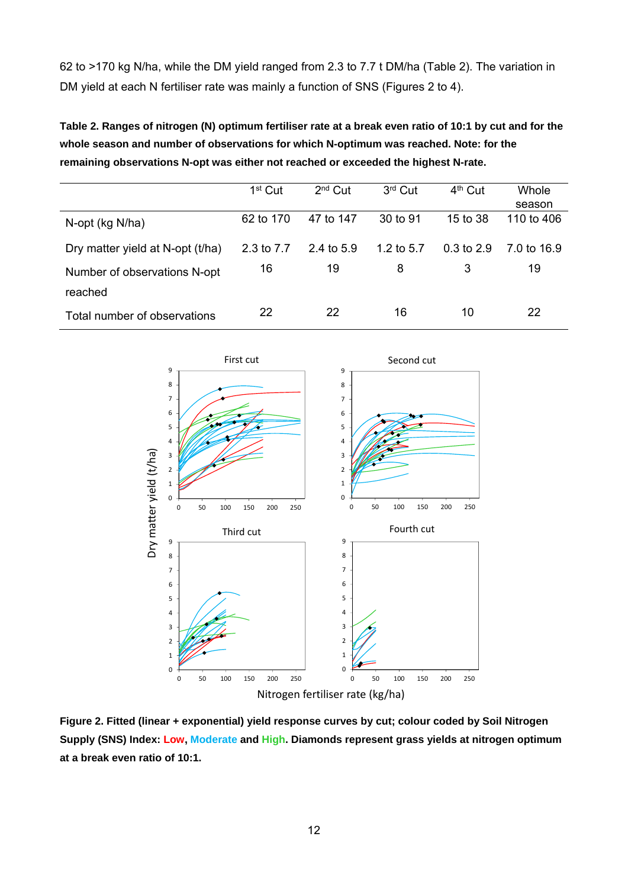62 to >170 kg N/ha, while the DM yield ranged from 2.3 to 7.7 t DM/ha (Table 2). The variation in DM yield at each N fertiliser rate was mainly a function of SNS (Figures 2 to 4).

**Table 2. Ranges of nitrogen (N) optimum fertiliser rate at a break even ratio of 10:1 by cut and for the whole season and number of observations for which N-optimum was reached. Note: for the remaining observations N-opt was either not reached or exceeded the highest N-rate.** 

|                                  | $1st$ Cut  | $2nd$ Cut    | 3rd Cut      | 4 <sup>th</sup> Cut | <b>Whole</b> |
|----------------------------------|------------|--------------|--------------|---------------------|--------------|
|                                  |            |              |              |                     | season       |
| N-opt (kg N/ha)                  | 62 to 170  | 47 to 147    | 30 to 91     | 15 to 38            | 110 to 406   |
| Dry matter yield at N-opt (t/ha) | 2.3 to 7.7 | 2.4 to $5.9$ | 1.2 to $5.7$ | $0.3$ to $2.9$      | 7.0 to 16.9  |
| Number of observations N-opt     | 16         | 19           | 8            | 3                   | 19           |
| reached                          |            |              |              |                     |              |
| Total number of observations     | 22         | 22           | 16           | 10                  | 22           |



**Figure 2. Fitted (linear + exponential) yield response curves by cut; colour coded by Soil Nitrogen Supply (SNS) Index: Low, Moderate and High. Diamonds represent grass yields at nitrogen optimum at a break even ratio of 10:1.**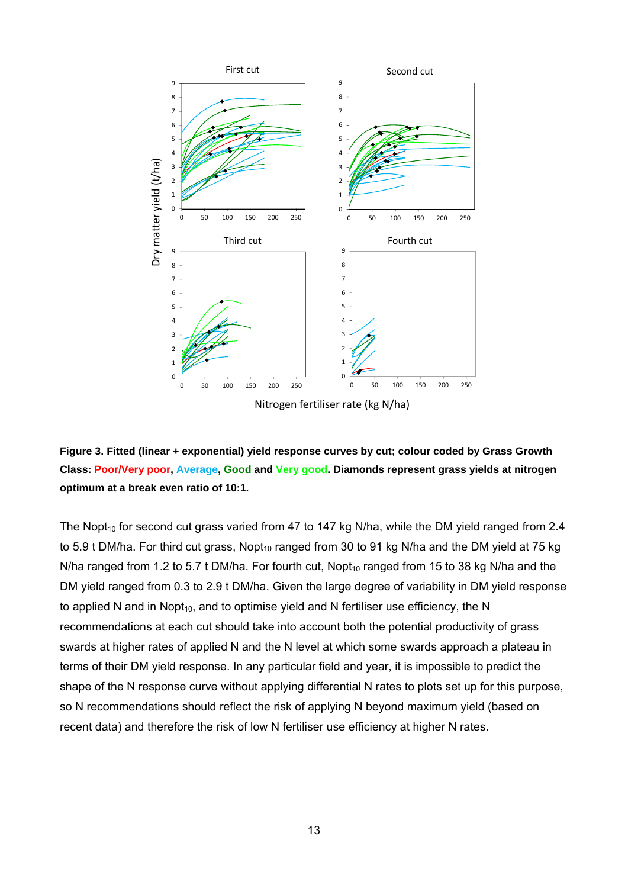



The Nopt<sub>10</sub> for second cut grass varied from 47 to 147 kg N/ha, while the DM yield ranged from 2.4 to 5.9 t DM/ha. For third cut grass, Nopt<sub>10</sub> ranged from 30 to 91 kg N/ha and the DM yield at 75 kg N/ha ranged from 1.2 to 5.7 t DM/ha. For fourth cut,  $Nopt_{10}$  ranged from 15 to 38 kg N/ha and the DM yield ranged from 0.3 to 2.9 t DM/ha. Given the large degree of variability in DM yield response to applied N and in Nopt<sub>10</sub>, and to optimise yield and N fertiliser use efficiency, the N recommendations at each cut should take into account both the potential productivity of grass swards at higher rates of applied N and the N level at which some swards approach a plateau in terms of their DM yield response. In any particular field and year, it is impossible to predict the shape of the N response curve without applying differential N rates to plots set up for this purpose, so N recommendations should reflect the risk of applying N beyond maximum yield (based on recent data) and therefore the risk of low N fertiliser use efficiency at higher N rates.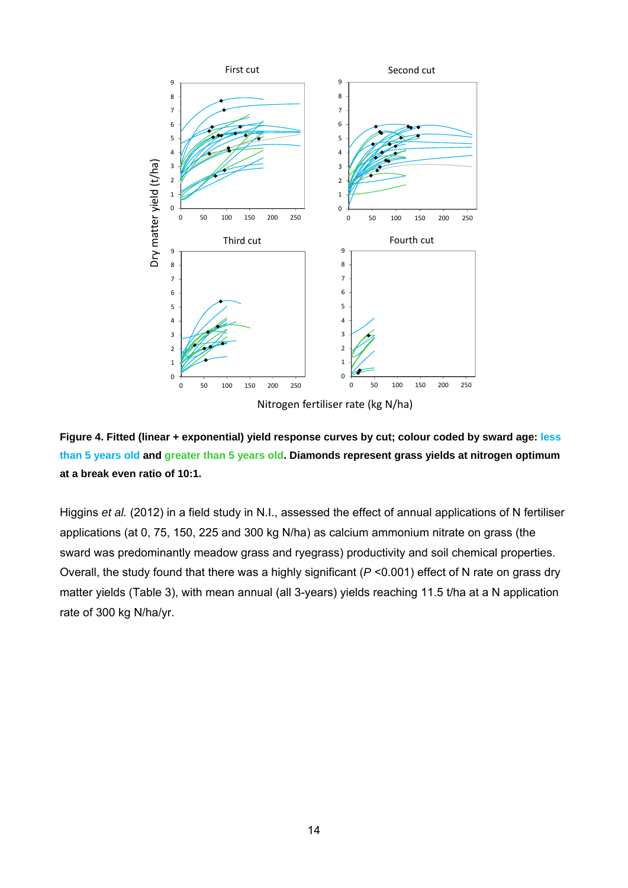



Higgins *et al.* (2012) in a field study in N.I., assessed the effect of annual applications of N fertiliser applications (at 0, 75, 150, 225 and 300 kg N/ha) as calcium ammonium nitrate on grass (the sward was predominantly meadow grass and ryegrass) productivity and soil chemical properties. Overall, the study found that there was a highly significant (*P* <0.001) effect of N rate on grass dry matter yields (Table 3), with mean annual (all 3-years) yields reaching 11.5 t/ha at a N application rate of 300 kg N/ha/yr.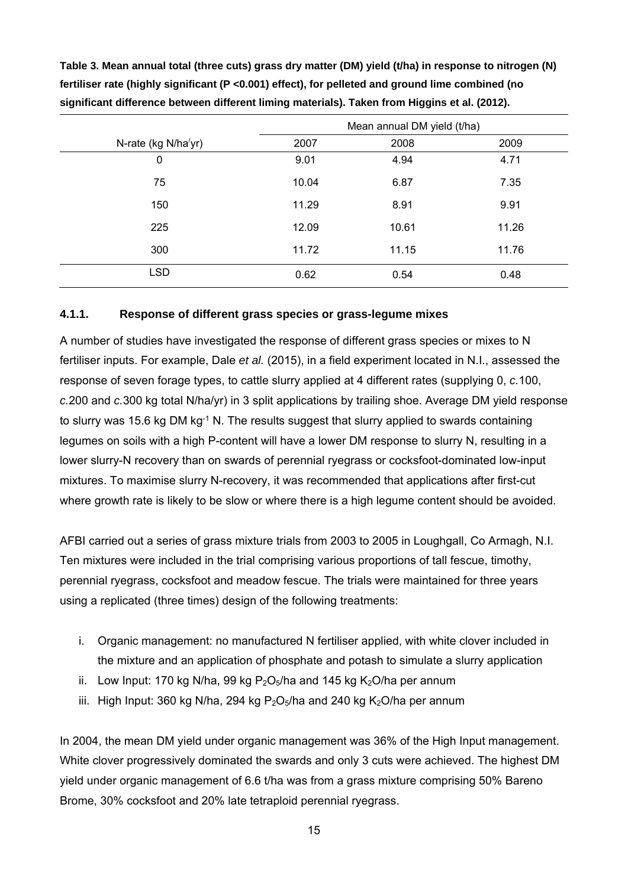|                     |       | Mean annual DM yield (t/ha) |       |
|---------------------|-------|-----------------------------|-------|
| N-rate (kg N/ha/yr) | 2007  | 2008                        | 2009  |
| 0                   | 9.01  | 4.94                        | 4.71  |
| 75                  | 10.04 | 6.87                        | 7.35  |
| 150                 | 11.29 | 8.91                        | 9.91  |
| 225                 | 12.09 | 10.61                       | 11.26 |
| 300                 | 11.72 | 11.15                       | 11.76 |
| <b>LSD</b>          | 0.62  | 0.54                        | 0.48  |

**Table 3. Mean annual total (three cuts) grass dry matter (DM) yield (t/ha) in response to nitrogen (N) fertiliser rate (highly significant (P <0.001) effect), for pelleted and ground lime combined (no significant difference between different liming materials). Taken from Higgins et al. (2012).** 

#### **4.1.1. Response of different grass species or grass-legume mixes**

A number of studies have investigated the response of different grass species or mixes to N fertiliser inputs. For example, Dale *et al.* (2015), in a field experiment located in N.I., assessed the response of seven forage types, to cattle slurry applied at 4 different rates (supplying 0, *c.*100, *c.*200 and *c.*300 kg total N/ha/yr) in 3 split applications by trailing shoe. Average DM yield response to slurry was 15.6 kg DM kg<sup>-1</sup> N. The results suggest that slurry applied to swards containing legumes on soils with a high P-content will have a lower DM response to slurry N, resulting in a lower slurry-N recovery than on swards of perennial ryegrass or cocksfoot-dominated low-input mixtures. To maximise slurry N-recovery, it was recommended that applications after first-cut where growth rate is likely to be slow or where there is a high legume content should be avoided.

AFBI carried out a series of grass mixture trials from 2003 to 2005 in Loughgall, Co Armagh, N.I. Ten mixtures were included in the trial comprising various proportions of tall fescue, timothy, perennial ryegrass, cocksfoot and meadow fescue. The trials were maintained for three years using a replicated (three times) design of the following treatments:

- i. Organic management: no manufactured N fertiliser applied, with white clover included in the mixture and an application of phosphate and potash to simulate a slurry application
- ii. Low Input: 170 kg N/ha, 99 kg  $P_2O_5/ha$  and 145 kg  $K_2O/ha$  per annum
- iii. High Input: 360 kg N/ha, 294 kg P<sub>2</sub>O<sub>5</sub>/ha and 240 kg K<sub>2</sub>O/ha per annum

In 2004, the mean DM yield under organic management was 36% of the High Input management. White clover progressively dominated the swards and only 3 cuts were achieved. The highest DM yield under organic management of 6.6 t/ha was from a grass mixture comprising 50% Bareno Brome, 30% cocksfoot and 20% late tetraploid perennial ryegrass.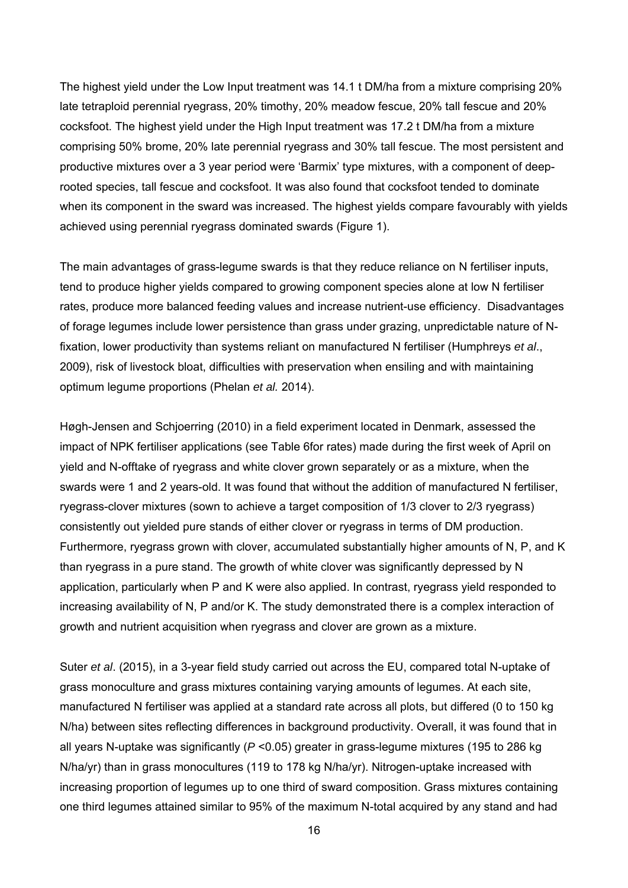The highest yield under the Low Input treatment was 14.1 t DM/ha from a mixture comprising 20% late tetraploid perennial ryegrass, 20% timothy, 20% meadow fescue, 20% tall fescue and 20% cocksfoot. The highest yield under the High Input treatment was 17.2 t DM/ha from a mixture comprising 50% brome, 20% late perennial ryegrass and 30% tall fescue. The most persistent and productive mixtures over a 3 year period were 'Barmix' type mixtures, with a component of deeprooted species, tall fescue and cocksfoot. It was also found that cocksfoot tended to dominate when its component in the sward was increased. The highest yields compare favourably with yields achieved using perennial ryegrass dominated swards (Figure 1).

The main advantages of grass-legume swards is that they reduce reliance on N fertiliser inputs, tend to produce higher yields compared to growing component species alone at low N fertiliser rates, produce more balanced feeding values and increase nutrient-use efficiency. Disadvantages of forage legumes include lower persistence than grass under grazing, unpredictable nature of Nfixation, lower productivity than systems reliant on manufactured N fertiliser (Humphreys *et al*., 2009), risk of livestock bloat, difficulties with preservation when ensiling and with maintaining optimum legume proportions (Phelan *et al.* 2014).

Høgh-Jensen and Schjoerring (2010) in a field experiment located in Denmark, assessed the impact of NPK fertiliser applications (see Table 6for rates) made during the first week of April on yield and N-offtake of ryegrass and white clover grown separately or as a mixture, when the swards were 1 and 2 years-old. It was found that without the addition of manufactured N fertiliser, ryegrass-clover mixtures (sown to achieve a target composition of 1/3 clover to 2/3 ryegrass) consistently out yielded pure stands of either clover or ryegrass in terms of DM production. Furthermore, ryegrass grown with clover, accumulated substantially higher amounts of N, P, and K than ryegrass in a pure stand. The growth of white clover was significantly depressed by N application, particularly when P and K were also applied. In contrast, ryegrass yield responded to increasing availability of N, P and/or K. The study demonstrated there is a complex interaction of growth and nutrient acquisition when ryegrass and clover are grown as a mixture.

Suter *et al*. (2015), in a 3-year field study carried out across the EU, compared total N-uptake of grass monoculture and grass mixtures containing varying amounts of legumes. At each site, manufactured N fertiliser was applied at a standard rate across all plots, but differed (0 to 150 kg N/ha) between sites reflecting differences in background productivity. Overall, it was found that in all years N-uptake was significantly (*P* <0.05) greater in grass-legume mixtures (195 to 286 kg N/ha/yr) than in grass monocultures (119 to 178 kg N/ha/yr). Nitrogen-uptake increased with increasing proportion of legumes up to one third of sward composition. Grass mixtures containing one third legumes attained similar to 95% of the maximum N-total acquired by any stand and had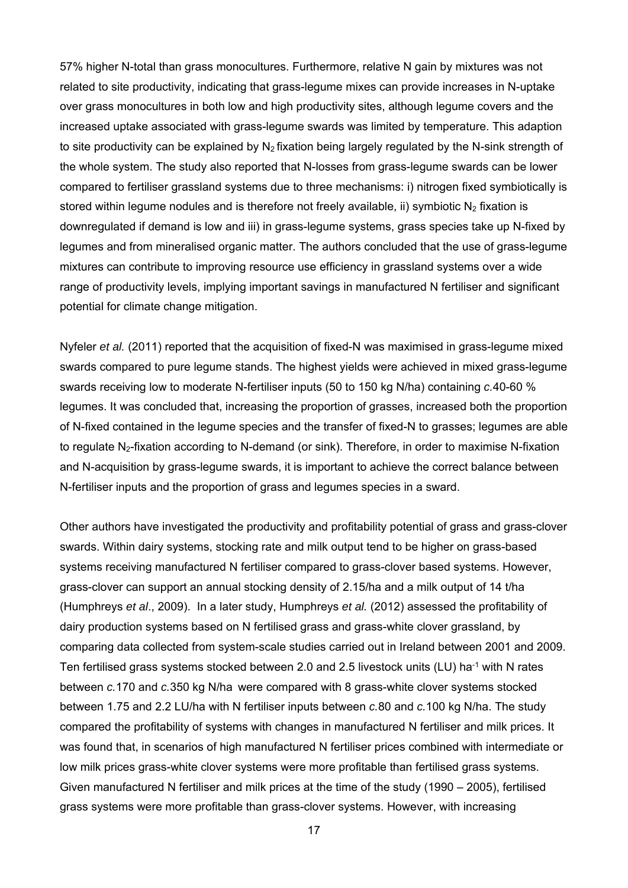57% higher N-total than grass monocultures. Furthermore, relative N gain by mixtures was not related to site productivity, indicating that grass-legume mixes can provide increases in N-uptake over grass monocultures in both low and high productivity sites, although legume covers and the increased uptake associated with grass-legume swards was limited by temperature. This adaption to site productivity can be explained by  $N_2$  fixation being largely regulated by the N-sink strength of the whole system. The study also reported that N-losses from grass-legume swards can be lower compared to fertiliser grassland systems due to three mechanisms: i) nitrogen fixed symbiotically is stored within legume nodules and is therefore not freely available, ii) symbiotic  $N_2$  fixation is downregulated if demand is low and iii) in grass-legume systems, grass species take up N-fixed by legumes and from mineralised organic matter. The authors concluded that the use of grass-legume mixtures can contribute to improving resource use efficiency in grassland systems over a wide range of productivity levels, implying important savings in manufactured N fertiliser and significant potential for climate change mitigation.

Nyfeler *et al.* (2011) reported that the acquisition of fixed-N was maximised in grass-legume mixed swards compared to pure legume stands. The highest yields were achieved in mixed grass-legume swards receiving low to moderate N-fertiliser inputs (50 to 150 kg N/ha) containing *c.*40-60 % legumes. It was concluded that, increasing the proportion of grasses, increased both the proportion of N-fixed contained in the legume species and the transfer of fixed-N to grasses; legumes are able to regulate N<sub>2</sub>-fixation according to N-demand (or sink). Therefore, in order to maximise N-fixation and N-acquisition by grass-legume swards, it is important to achieve the correct balance between N-fertiliser inputs and the proportion of grass and legumes species in a sward.

Other authors have investigated the productivity and profitability potential of grass and grass-clover swards. Within dairy systems, stocking rate and milk output tend to be higher on grass-based systems receiving manufactured N fertiliser compared to grass-clover based systems. However, grass-clover can support an annual stocking density of 2.15/ha and a milk output of 14 t/ha (Humphreys *et al*., 2009). In a later study, Humphreys *et al.* (2012) assessed the profitability of dairy production systems based on N fertilised grass and grass-white clover grassland, by comparing data collected from system-scale studies carried out in Ireland between 2001 and 2009. Ten fertilised grass systems stocked between 2.0 and 2.5 livestock units (LU) ha-1 with N rates between *c.*170 and *c.*350 kg N/ha were compared with 8 grass-white clover systems stocked between 1.75 and 2.2 LU/ha with N fertiliser inputs between *c.*80 and *c.*100 kg N/ha. The study compared the profitability of systems with changes in manufactured N fertiliser and milk prices. It was found that, in scenarios of high manufactured N fertiliser prices combined with intermediate or low milk prices grass-white clover systems were more profitable than fertilised grass systems. Given manufactured N fertiliser and milk prices at the time of the study (1990 – 2005), fertilised grass systems were more profitable than grass-clover systems. However, with increasing

17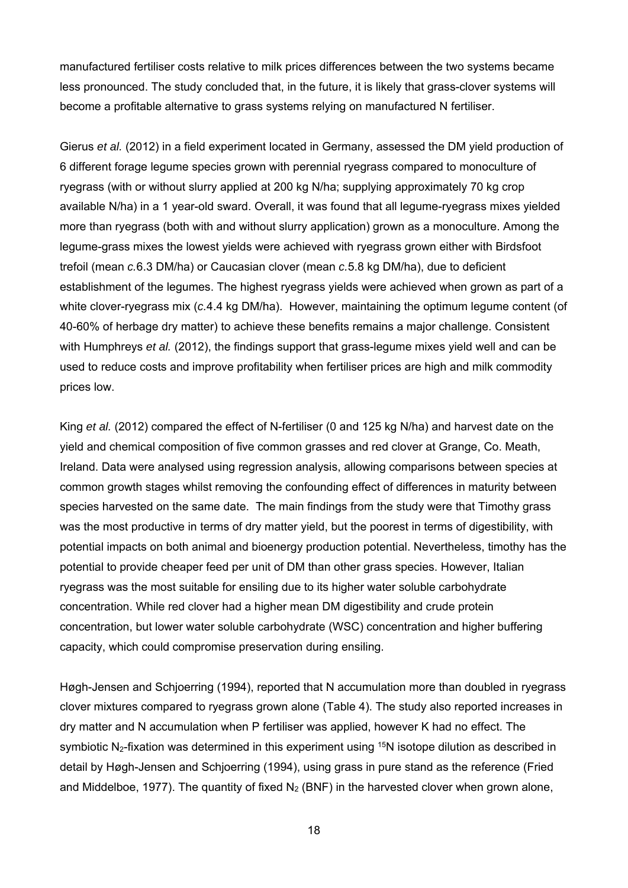manufactured fertiliser costs relative to milk prices differences between the two systems became less pronounced. The study concluded that, in the future, it is likely that grass-clover systems will become a profitable alternative to grass systems relying on manufactured N fertiliser.

Gierus *et al.* (2012) in a field experiment located in Germany, assessed the DM yield production of 6 different forage legume species grown with perennial ryegrass compared to monoculture of ryegrass (with or without slurry applied at 200 kg N/ha; supplying approximately 70 kg crop available N/ha) in a 1 year-old sward. Overall, it was found that all legume-ryegrass mixes yielded more than ryegrass (both with and without slurry application) grown as a monoculture. Among the legume-grass mixes the lowest yields were achieved with ryegrass grown either with Birdsfoot trefoil (mean *c.*6.3 DM/ha) or Caucasian clover (mean *c.*5.8 kg DM/ha), due to deficient establishment of the legumes. The highest ryegrass yields were achieved when grown as part of a white clover-ryegrass mix (*c.*4.4 kg DM/ha). However, maintaining the optimum legume content (of 40-60% of herbage dry matter) to achieve these benefits remains a major challenge. Consistent with Humphreys *et al.* (2012), the findings support that grass-legume mixes yield well and can be used to reduce costs and improve profitability when fertiliser prices are high and milk commodity prices low.

King *et al.* (2012) compared the effect of N-fertiliser (0 and 125 kg N/ha) and harvest date on the yield and chemical composition of five common grasses and red clover at Grange, Co. Meath, Ireland. Data were analysed using regression analysis, allowing comparisons between species at common growth stages whilst removing the confounding effect of differences in maturity between species harvested on the same date. The main findings from the study were that Timothy grass was the most productive in terms of dry matter yield, but the poorest in terms of digestibility, with potential impacts on both animal and bioenergy production potential. Nevertheless, timothy has the potential to provide cheaper feed per unit of DM than other grass species. However, Italian ryegrass was the most suitable for ensiling due to its higher water soluble carbohydrate concentration. While red clover had a higher mean DM digestibility and crude protein concentration, but lower water soluble carbohydrate (WSC) concentration and higher buffering capacity, which could compromise preservation during ensiling.

Høgh-Jensen and Schjoerring (1994), reported that N accumulation more than doubled in ryegrass clover mixtures compared to ryegrass grown alone (Table 4). The study also reported increases in dry matter and N accumulation when P fertiliser was applied, however K had no effect. The symbiotic N<sub>2</sub>-fixation was determined in this experiment using <sup>15</sup>N isotope dilution as described in detail by Høgh-Jensen and Schjoerring (1994), using grass in pure stand as the reference (Fried and Middelboe, 1977). The quantity of fixed  $N_2$  (BNF) in the harvested clover when grown alone,

18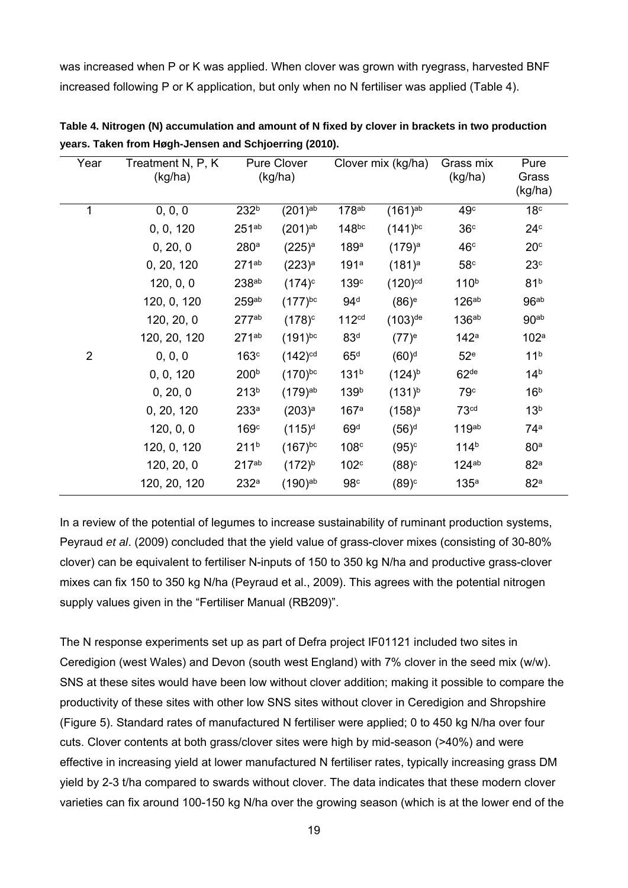was increased when P or K was applied. When clover was grown with ryegrass, harvested BNF increased following P or K application, but only when no N fertiliser was applied (Table 4).

| Year           | Treatment N, P, K<br>(kg/ha) |                   | <b>Pure Clover</b><br>(kg/ha) | Clover mix (kg/ha) |                       | Grass mix<br>(kg/ha) | Pure<br>Grass<br>(kg/ha) |
|----------------|------------------------------|-------------------|-------------------------------|--------------------|-----------------------|----------------------|--------------------------|
| 1              | 0, 0, 0                      | 232 <sup>b</sup>  | $(201)^{ab}$                  | 178 <sup>ab</sup>  | $(161)^{ab}$          | 49 <sup>c</sup>      | 18 <sup>c</sup>          |
|                | 0, 0, 120                    | 251 <sub>ab</sub> | $(201)^{ab}$                  | 148bc              | $(141)$ <sup>bc</sup> | 36 <sup>c</sup>      | 24 <sup>c</sup>          |
|                | 0, 20, 0                     | 280 <sup>a</sup>  | $(225)^{a}$                   | 189a               | $(179)^a$             | 46 <sup>c</sup>      | 20 <sup>c</sup>          |
|                | 0, 20, 120                   | 271 <sub>ab</sub> | (223) <sup>a</sup>            | 191a               | $(181)^a$             | 58 <sup>c</sup>      | 23 <sup>c</sup>          |
|                | 120, 0, 0                    | 238 <sup>ab</sup> | $(174)^c$                     | 139 <sup>c</sup>   | $(120)^{cd}$          | 110 <sup>b</sup>     | 81 <sup>b</sup>          |
|                | 120, 0, 120                  | 259 <sub>ab</sub> | $(177)^{bc}$                  | 94 <sup>d</sup>    | $(86)^e$              | $126^{ab}$           | 96ab                     |
|                | 120, 20, 0                   | 277 <sup>ab</sup> | $(178)^c$                     | 112 <sup>cd</sup>  | $(103)$ <sup>de</sup> | 136 <sup>ab</sup>    | 90 <sub>ab</sub>         |
|                | 120, 20, 120                 | 271 <sub>ab</sub> | $(191)^{bc}$                  | 83 <sup>d</sup>    | $(77)^e$              | 142a                 | 102 <sup>a</sup>         |
| $\overline{2}$ | 0, 0, 0                      | 163 <sup>c</sup>  | $(142)$ <sup>cd</sup>         | 65 <sup>d</sup>    | $(60)^d$              | 52 <sup>e</sup>      | 11 <sup>b</sup>          |
|                | 0, 0, 120                    | 200 <sup>b</sup>  | $(170)^{bc}$                  | 131 <sup>b</sup>   | $(124)^{b}$           | 62 <sup>de</sup>     | 14 <sup>b</sup>          |
|                | 0, 20, 0                     | 213 <sup>b</sup>  | $(179)^{ab}$                  | 139 <sup>b</sup>   | $(131)^{b}$           | 79 <sup>c</sup>      | 16 <sup>b</sup>          |
|                | 0, 20, 120                   | 233 <sup>a</sup>  | $(203)^{a}$                   | 167 <sup>a</sup>   | $(158)^a$             | 73 <sup>cd</sup>     | 13 <sup>b</sup>          |
|                | 120, 0, 0                    | 169c              | $(115)^d$                     | 69 <sup>d</sup>    | $(56)^d$              | 119 <sub>ab</sub>    | 74 <sup>a</sup>          |
|                | 120, 0, 120                  | 211 <sup>b</sup>  | $(167)^{bc}$                  | 108 <sup>c</sup>   | $(95)^{c}$            | 114 <sup>b</sup>     | 80 <sup>a</sup>          |
|                | 120, 20, 0                   | 217 <sub>ab</sub> | $(172)^{b}$                   | 102 <sup>c</sup>   | $(88)^c$              | $124^{ab}$           | 82 <sup>a</sup>          |
|                | 120, 20, 120                 | 232 <sup>a</sup>  | $(190)^{ab}$                  | 98c                | $(89)^c$              | 135 <sup>a</sup>     | 82 <sup>a</sup>          |

**Table 4. Nitrogen (N) accumulation and amount of N fixed by clover in brackets in two production years. Taken from Høgh-Jensen and Schjoerring (2010).** 

In a review of the potential of legumes to increase sustainability of ruminant production systems, Peyraud *et al*. (2009) concluded that the yield value of grass-clover mixes (consisting of 30-80% clover) can be equivalent to fertiliser N-inputs of 150 to 350 kg N/ha and productive grass-clover mixes can fix 150 to 350 kg N/ha (Peyraud et al., 2009). This agrees with the potential nitrogen supply values given in the "Fertiliser Manual (RB209)".

The N response experiments set up as part of Defra project IF01121 included two sites in Ceredigion (west Wales) and Devon (south west England) with 7% clover in the seed mix (w/w). SNS at these sites would have been low without clover addition; making it possible to compare the productivity of these sites with other low SNS sites without clover in Ceredigion and Shropshire (Figure 5). Standard rates of manufactured N fertiliser were applied; 0 to 450 kg N/ha over four cuts. Clover contents at both grass/clover sites were high by mid-season (>40%) and were effective in increasing yield at lower manufactured N fertiliser rates, typically increasing grass DM yield by 2-3 t/ha compared to swards without clover. The data indicates that these modern clover varieties can fix around 100-150 kg N/ha over the growing season (which is at the lower end of the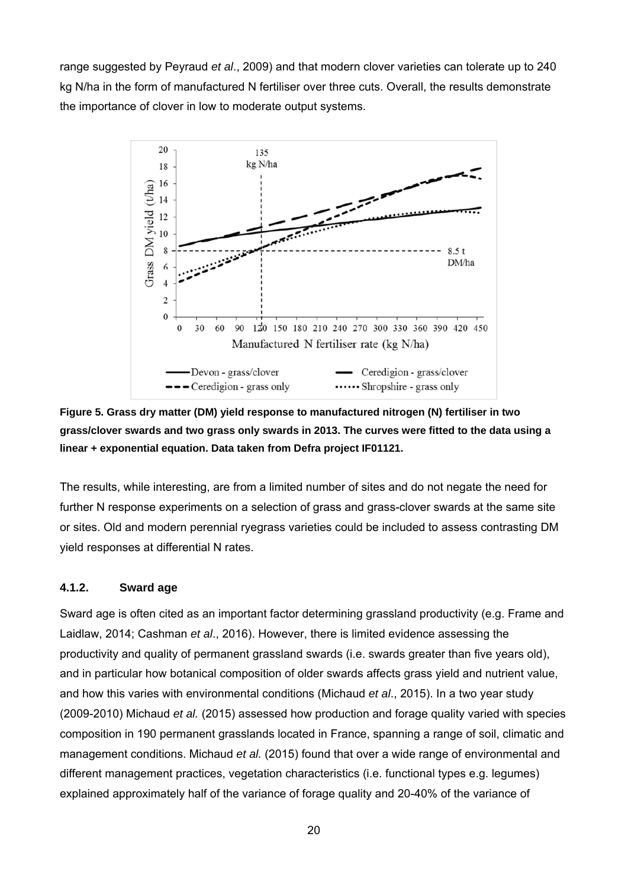range suggested by Peyraud *et al*., 2009) and that modern clover varieties can tolerate up to 240 kg N/ha in the form of manufactured N fertiliser over three cuts. Overall, the results demonstrate the importance of clover in low to moderate output systems.



**Figure 5. Grass dry matter (DM) yield response to manufactured nitrogen (N) fertiliser in two grass/clover swards and two grass only swards in 2013. The curves were fitted to the data using a linear + exponential equation. Data taken from Defra project IF01121.** 

The results, while interesting, are from a limited number of sites and do not negate the need for further N response experiments on a selection of grass and grass-clover swards at the same site or sites. Old and modern perennial ryegrass varieties could be included to assess contrasting DM yield responses at differential N rates.

#### **4.1.2. Sward age**

Sward age is often cited as an important factor determining grassland productivity (e.g. Frame and Laidlaw, 2014; Cashman *et al*., 2016). However, there is limited evidence assessing the productivity and quality of permanent grassland swards (i.e. swards greater than five years old), and in particular how botanical composition of older swards affects grass yield and nutrient value, and how this varies with environmental conditions (Michaud *et al*., 2015). In a two year study (2009-2010) Michaud *et al.* (2015) assessed how production and forage quality varied with species composition in 190 permanent grasslands located in France, spanning a range of soil, climatic and management conditions. Michaud *et al.* (2015) found that over a wide range of environmental and different management practices, vegetation characteristics (i.e. functional types e.g. legumes) explained approximately half of the variance of forage quality and 20-40% of the variance of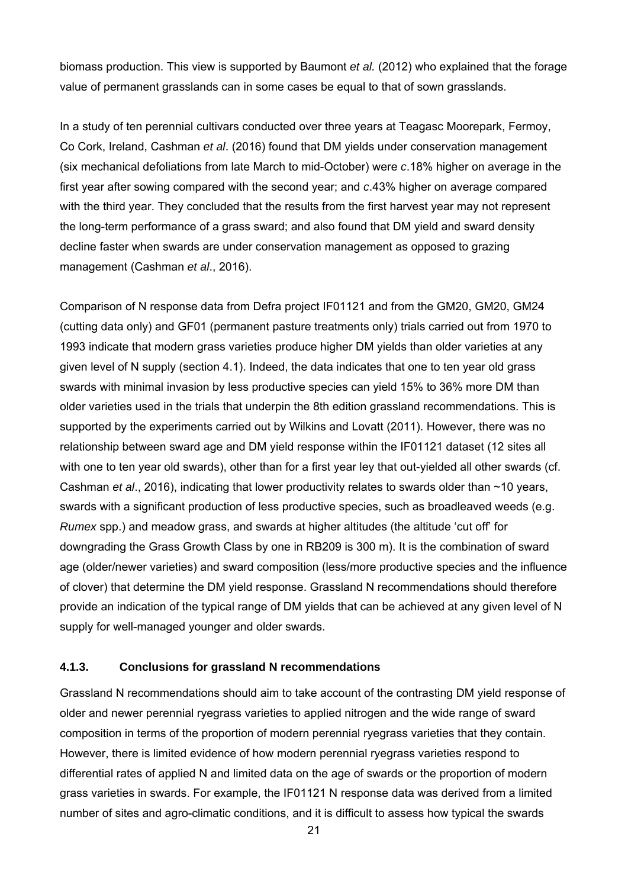biomass production. This view is supported by Baumont *et al.* (2012) who explained that the forage value of permanent grasslands can in some cases be equal to that of sown grasslands.

In a study of ten perennial cultivars conducted over three years at Teagasc Moorepark, Fermoy, Co Cork, Ireland, Cashman *et al*. (2016) found that DM yields under conservation management (six mechanical defoliations from late March to mid-October) were *c*.18% higher on average in the first year after sowing compared with the second year; and *c*.43% higher on average compared with the third year. They concluded that the results from the first harvest year may not represent the long-term performance of a grass sward; and also found that DM yield and sward density decline faster when swards are under conservation management as opposed to grazing management (Cashman *et al*., 2016).

Comparison of N response data from Defra project IF01121 and from the GM20, GM20, GM24 (cutting data only) and GF01 (permanent pasture treatments only) trials carried out from 1970 to 1993 indicate that modern grass varieties produce higher DM yields than older varieties at any given level of N supply (section 4.1). Indeed, the data indicates that one to ten year old grass swards with minimal invasion by less productive species can yield 15% to 36% more DM than older varieties used in the trials that underpin the 8th edition grassland recommendations. This is supported by the experiments carried out by Wilkins and Lovatt (2011). However, there was no relationship between sward age and DM yield response within the IF01121 dataset (12 sites all with one to ten year old swards), other than for a first year ley that out-yielded all other swards (cf. Cashman *et al*., 2016), indicating that lower productivity relates to swards older than ~10 years, swards with a significant production of less productive species, such as broadleaved weeds (e.g. *Rumex* spp.) and meadow grass, and swards at higher altitudes (the altitude 'cut off' for downgrading the Grass Growth Class by one in RB209 is 300 m). It is the combination of sward age (older/newer varieties) and sward composition (less/more productive species and the influence of clover) that determine the DM yield response. Grassland N recommendations should therefore provide an indication of the typical range of DM yields that can be achieved at any given level of N supply for well-managed younger and older swards.

#### **4.1.3. Conclusions for grassland N recommendations**

Grassland N recommendations should aim to take account of the contrasting DM yield response of older and newer perennial ryegrass varieties to applied nitrogen and the wide range of sward composition in terms of the proportion of modern perennial ryegrass varieties that they contain. However, there is limited evidence of how modern perennial ryegrass varieties respond to differential rates of applied N and limited data on the age of swards or the proportion of modern grass varieties in swards. For example, the IF01121 N response data was derived from a limited number of sites and agro-climatic conditions, and it is difficult to assess how typical the swards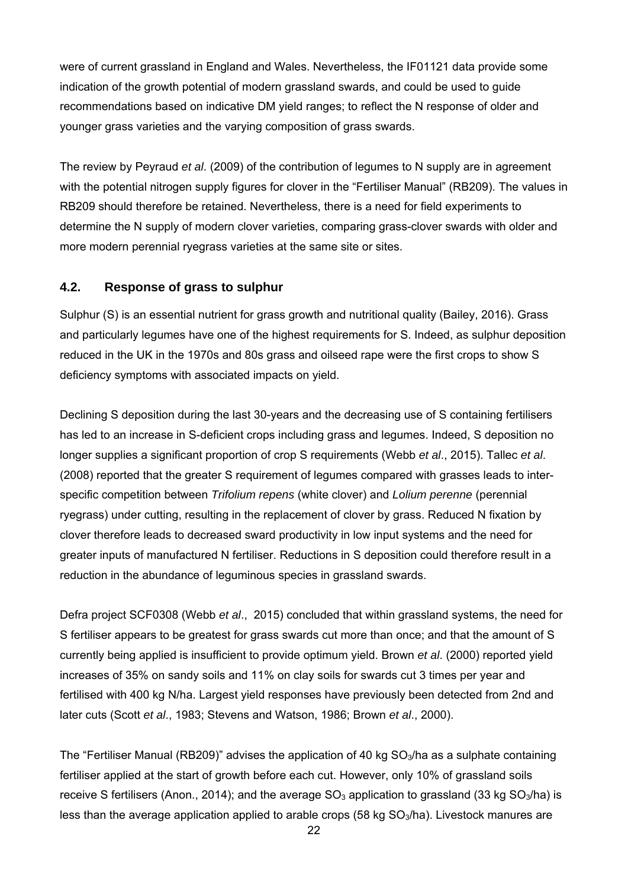were of current grassland in England and Wales. Nevertheless, the IF01121 data provide some indication of the growth potential of modern grassland swards, and could be used to guide recommendations based on indicative DM yield ranges; to reflect the N response of older and younger grass varieties and the varying composition of grass swards.

The review by Peyraud *et al*. (2009) of the contribution of legumes to N supply are in agreement with the potential nitrogen supply figures for clover in the "Fertiliser Manual" (RB209). The values in RB209 should therefore be retained. Nevertheless, there is a need for field experiments to determine the N supply of modern clover varieties, comparing grass-clover swards with older and more modern perennial ryegrass varieties at the same site or sites.

## **4.2. Response of grass to sulphur**

Sulphur (S) is an essential nutrient for grass growth and nutritional quality (Bailey, 2016). Grass and particularly legumes have one of the highest requirements for S. Indeed, as sulphur deposition reduced in the UK in the 1970s and 80s grass and oilseed rape were the first crops to show S deficiency symptoms with associated impacts on yield.

Declining S deposition during the last 30-years and the decreasing use of S containing fertilisers has led to an increase in S-deficient crops including grass and legumes. Indeed, S deposition no longer supplies a significant proportion of crop S requirements (Webb *et al*., 2015). Tallec *et al*. (2008) reported that the greater S requirement of legumes compared with grasses leads to interspecific competition between *Trifolium repens* (white clover) and *Lolium perenne* (perennial ryegrass) under cutting, resulting in the replacement of clover by grass. Reduced N fixation by clover therefore leads to decreased sward productivity in low input systems and the need for greater inputs of manufactured N fertiliser. Reductions in S deposition could therefore result in a reduction in the abundance of leguminous species in grassland swards.

Defra project SCF0308 (Webb *et al*., 2015) concluded that within grassland systems, the need for S fertiliser appears to be greatest for grass swards cut more than once; and that the amount of S currently being applied is insufficient to provide optimum yield. Brown *et al*. (2000) reported yield increases of 35% on sandy soils and 11% on clay soils for swards cut 3 times per year and fertilised with 400 kg N/ha. Largest yield responses have previously been detected from 2nd and later cuts (Scott *et al*., 1983; Stevens and Watson, 1986; Brown *et al*., 2000).

The "Fertiliser Manual (RB209)" advises the application of 40 kg  $SO<sub>3</sub>/ha$  as a sulphate containing fertiliser applied at the start of growth before each cut. However, only 10% of grassland soils receive S fertilisers (Anon., 2014); and the average  $SO_3$  application to grassland (33 kg  $SO_3/ha$ ) is less than the average application applied to arable crops (58 kg  $SO<sub>3</sub>/ha$ ). Livestock manures are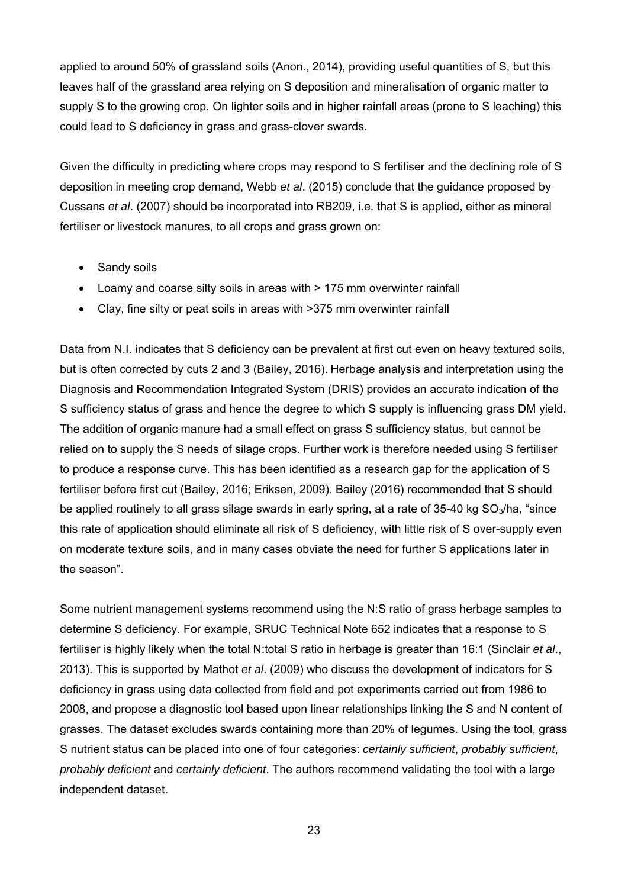applied to around 50% of grassland soils (Anon., 2014), providing useful quantities of S, but this leaves half of the grassland area relying on S deposition and mineralisation of organic matter to supply S to the growing crop. On lighter soils and in higher rainfall areas (prone to S leaching) this could lead to S deficiency in grass and grass-clover swards.

Given the difficulty in predicting where crops may respond to S fertiliser and the declining role of S deposition in meeting crop demand, Webb *et al*. (2015) conclude that the guidance proposed by Cussans *et al*. (2007) should be incorporated into RB209, i.e. that S is applied, either as mineral fertiliser or livestock manures, to all crops and grass grown on:

- Sandy soils
- Loamy and coarse silty soils in areas with > 175 mm overwinter rainfall
- Clay, fine silty or peat soils in areas with >375 mm overwinter rainfall

Data from N.I. indicates that S deficiency can be prevalent at first cut even on heavy textured soils, but is often corrected by cuts 2 and 3 (Bailey, 2016). Herbage analysis and interpretation using the Diagnosis and Recommendation Integrated System (DRIS) provides an accurate indication of the S sufficiency status of grass and hence the degree to which S supply is influencing grass DM yield. The addition of organic manure had a small effect on grass S sufficiency status, but cannot be relied on to supply the S needs of silage crops. Further work is therefore needed using S fertiliser to produce a response curve. This has been identified as a research gap for the application of S fertiliser before first cut (Bailey, 2016; Eriksen, 2009). Bailey (2016) recommended that S should be applied routinely to all grass silage swards in early spring, at a rate of 35-40 kg SO<sub>3</sub>/ha, "since this rate of application should eliminate all risk of S deficiency, with little risk of S over-supply even on moderate texture soils, and in many cases obviate the need for further S applications later in the season".

Some nutrient management systems recommend using the N:S ratio of grass herbage samples to determine S deficiency. For example, SRUC Technical Note 652 indicates that a response to S fertiliser is highly likely when the total N:total S ratio in herbage is greater than 16:1 (Sinclair *et al*., 2013). This is supported by Mathot *et al*. (2009) who discuss the development of indicators for S deficiency in grass using data collected from field and pot experiments carried out from 1986 to 2008, and propose a diagnostic tool based upon linear relationships linking the S and N content of grasses. The dataset excludes swards containing more than 20% of legumes. Using the tool, grass S nutrient status can be placed into one of four categories: *certainly sufficient*, *probably sufficient*, *probably deficient* and *certainly deficient*. The authors recommend validating the tool with a large independent dataset.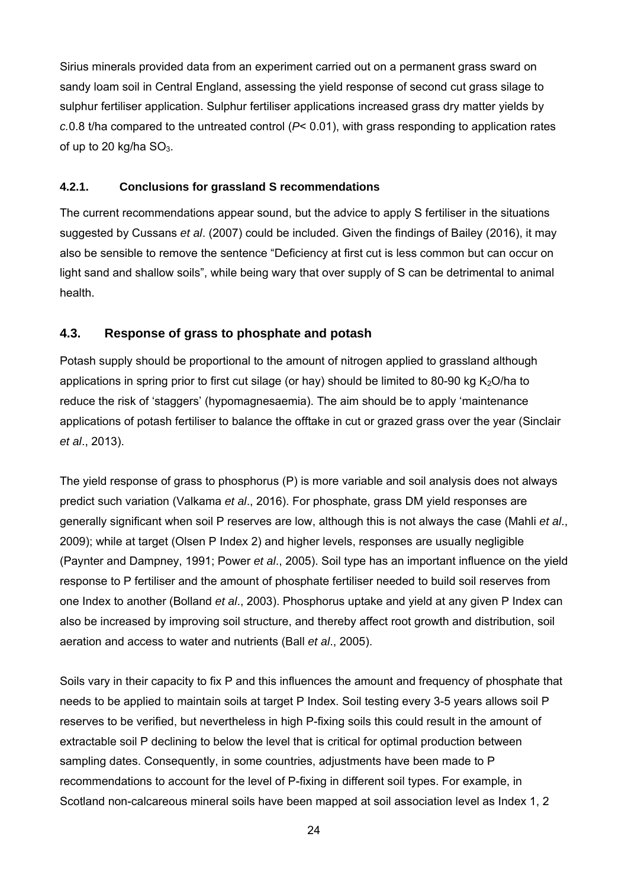Sirius minerals provided data from an experiment carried out on a permanent grass sward on sandy loam soil in Central England, assessing the yield response of second cut grass silage to sulphur fertiliser application. Sulphur fertiliser applications increased grass dry matter yields by *c.*0.8 t/ha compared to the untreated control (*P*< 0.01), with grass responding to application rates of up to 20 kg/ha  $SO<sub>3</sub>$ .

#### **4.2.1. Conclusions for grassland S recommendations**

The current recommendations appear sound, but the advice to apply S fertiliser in the situations suggested by Cussans *et al*. (2007) could be included. Given the findings of Bailey (2016), it may also be sensible to remove the sentence "Deficiency at first cut is less common but can occur on light sand and shallow soils", while being wary that over supply of S can be detrimental to animal health.

#### **4.3. Response of grass to phosphate and potash**

Potash supply should be proportional to the amount of nitrogen applied to grassland although applications in spring prior to first cut silage (or hay) should be limited to 80-90 kg  $K<sub>2</sub>O/ha$  to reduce the risk of 'staggers' (hypomagnesaemia). The aim should be to apply 'maintenance applications of potash fertiliser to balance the offtake in cut or grazed grass over the year (Sinclair *et al*., 2013).

The yield response of grass to phosphorus (P) is more variable and soil analysis does not always predict such variation (Valkama *et al*., 2016). For phosphate, grass DM yield responses are generally significant when soil P reserves are low, although this is not always the case (Mahli *et al*., 2009); while at target (Olsen P Index 2) and higher levels, responses are usually negligible (Paynter and Dampney, 1991; Power *et al*., 2005). Soil type has an important influence on the yield response to P fertiliser and the amount of phosphate fertiliser needed to build soil reserves from one Index to another (Bolland *et al*., 2003). Phosphorus uptake and yield at any given P Index can also be increased by improving soil structure, and thereby affect root growth and distribution, soil aeration and access to water and nutrients (Ball *et al*., 2005).

Soils vary in their capacity to fix P and this influences the amount and frequency of phosphate that needs to be applied to maintain soils at target P Index. Soil testing every 3-5 years allows soil P reserves to be verified, but nevertheless in high P-fixing soils this could result in the amount of extractable soil P declining to below the level that is critical for optimal production between sampling dates. Consequently, in some countries, adjustments have been made to P recommendations to account for the level of P-fixing in different soil types. For example, in Scotland non-calcareous mineral soils have been mapped at soil association level as Index 1, 2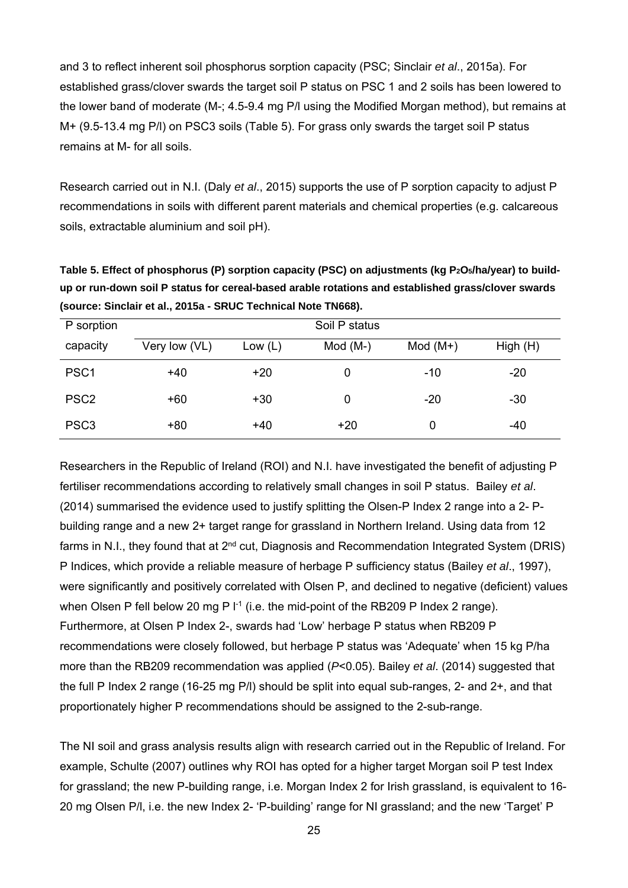and 3 to reflect inherent soil phosphorus sorption capacity (PSC; Sinclair *et al*., 2015a). For established grass/clover swards the target soil P status on PSC 1 and 2 soils has been lowered to the lower band of moderate (M-; 4.5-9.4 mg P/l using the Modified Morgan method), but remains at M+ (9.5-13.4 mg P/l) on PSC3 soils (Table 5). For grass only swards the target soil P status remains at M- for all soils.

Research carried out in N.I. (Daly *et al*., 2015) supports the use of P sorption capacity to adjust P recommendations in soils with different parent materials and chemical properties (e.g. calcareous soils, extractable aluminium and soil pH).

Table 5. Effect of phosphorus (P) sorption capacity (PSC) on adjustments (kg P<sub>2</sub>O<sub>5</sub>/ha/year) to build**up or run-down soil P status for cereal-based arable rotations and established grass/clover swards (source: Sinclair et al., 2015a - SRUC Technical Note TN668).** 

| P sorption       | Soil P status |           |           |           |         |  |  |  |
|------------------|---------------|-----------|-----------|-----------|---------|--|--|--|
| capacity         | Very low (VL) | Low $(L)$ | $Mod(M-)$ | $Mod(M+)$ | High(H) |  |  |  |
| PSC <sub>1</sub> | $+40$         | $+20$     |           | $-10$     | $-20$   |  |  |  |
| PSC <sub>2</sub> | $+60$         | $+30$     |           | $-20$     | -30     |  |  |  |
| PSC <sub>3</sub> | +80           | $+40$     | $+20$     | 0         | -40     |  |  |  |

Researchers in the Republic of Ireland (ROI) and N.I. have investigated the benefit of adjusting P fertiliser recommendations according to relatively small changes in soil P status. Bailey *et al*. (2014) summarised the evidence used to justify splitting the Olsen-P Index 2 range into a 2- Pbuilding range and a new 2+ target range for grassland in Northern Ireland. Using data from 12 farms in N.I., they found that at  $2^{nd}$  cut, Diagnosis and Recommendation Integrated System (DRIS) P Indices, which provide a reliable measure of herbage P sufficiency status (Bailey *et al*., 1997), were significantly and positively correlated with Olsen P, and declined to negative (deficient) values when Olsen P fell below 20 mg P  $I<sup>-1</sup>$  (i.e. the mid-point of the RB209 P Index 2 range). Furthermore, at Olsen P Index 2-, swards had 'Low' herbage P status when RB209 P recommendations were closely followed, but herbage P status was 'Adequate' when 15 kg P/ha more than the RB209 recommendation was applied (*P*<0.05). Bailey *et al*. (2014) suggested that the full P Index 2 range (16-25 mg P/l) should be split into equal sub-ranges, 2- and 2+, and that proportionately higher P recommendations should be assigned to the 2-sub-range.

The NI soil and grass analysis results align with research carried out in the Republic of Ireland. For example, Schulte (2007) outlines why ROI has opted for a higher target Morgan soil P test Index for grassland; the new P-building range, i.e. Morgan Index 2 for Irish grassland, is equivalent to 16- 20 mg Olsen P/l, i.e. the new Index 2- 'P-building' range for NI grassland; and the new 'Target' P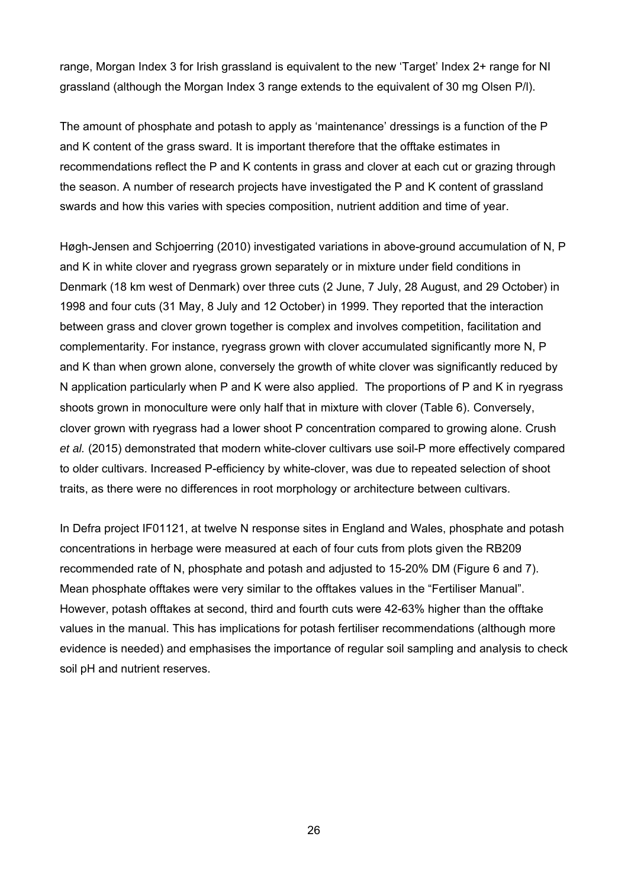range, Morgan Index 3 for Irish grassland is equivalent to the new 'Target' Index 2+ range for NI grassland (although the Morgan Index 3 range extends to the equivalent of 30 mg Olsen P/l).

The amount of phosphate and potash to apply as 'maintenance' dressings is a function of the P and K content of the grass sward. It is important therefore that the offtake estimates in recommendations reflect the P and K contents in grass and clover at each cut or grazing through the season. A number of research projects have investigated the P and K content of grassland swards and how this varies with species composition, nutrient addition and time of year.

Høgh-Jensen and Schjoerring (2010) investigated variations in above-ground accumulation of N, P and K in white clover and ryegrass grown separately or in mixture under field conditions in Denmark (18 km west of Denmark) over three cuts (2 June, 7 July, 28 August, and 29 October) in 1998 and four cuts (31 May, 8 July and 12 October) in 1999. They reported that the interaction between grass and clover grown together is complex and involves competition, facilitation and complementarity. For instance, ryegrass grown with clover accumulated significantly more N, P and K than when grown alone, conversely the growth of white clover was significantly reduced by N application particularly when P and K were also applied. The proportions of P and K in ryegrass shoots grown in monoculture were only half that in mixture with clover (Table 6). Conversely, clover grown with ryegrass had a lower shoot P concentration compared to growing alone. Crush *et al.* (2015) demonstrated that modern white-clover cultivars use soil-P more effectively compared to older cultivars. Increased P-efficiency by white-clover, was due to repeated selection of shoot traits, as there were no differences in root morphology or architecture between cultivars.

In Defra project IF01121, at twelve N response sites in England and Wales, phosphate and potash concentrations in herbage were measured at each of four cuts from plots given the RB209 recommended rate of N, phosphate and potash and adjusted to 15-20% DM (Figure 6 and 7). Mean phosphate offtakes were very similar to the offtakes values in the "Fertiliser Manual". However, potash offtakes at second, third and fourth cuts were 42-63% higher than the offtake values in the manual. This has implications for potash fertiliser recommendations (although more evidence is needed) and emphasises the importance of regular soil sampling and analysis to check soil pH and nutrient reserves.

26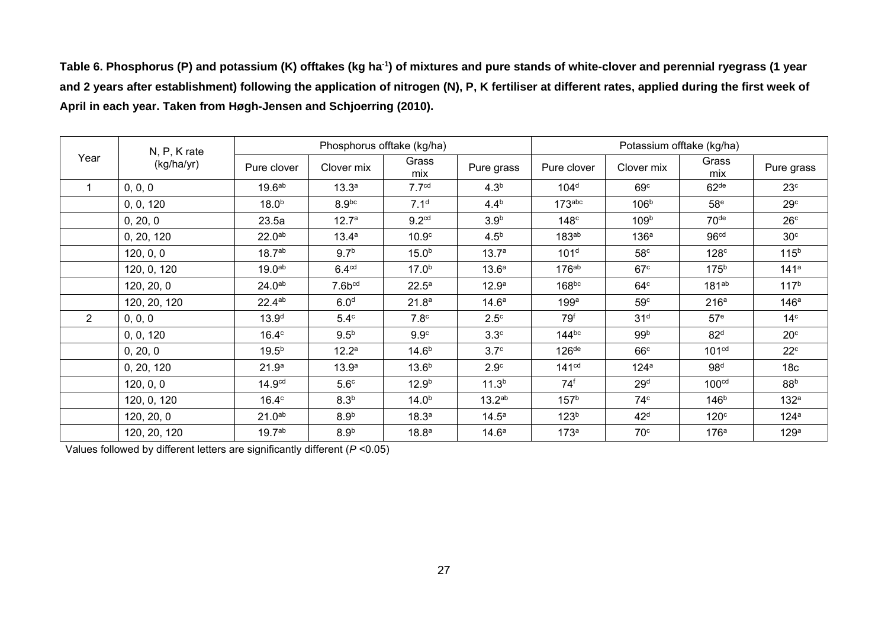Table 6. Phosphorus (P) and potassium (K) offtakes (kg ha<sup>-1</sup>) of mixtures and pure stands of white-clover and perennial ryegrass (1 year **and 2 years after establishment) following the application of nitrogen (N), P, K fertiliser at different rates, applied during the first week of April in each year. Taken from Høgh-Jensen and Schjoerring (2010).** 

|      | N, P, K rate<br>(kg/ha/yr) | Phosphorus offtake (kg/ha) |                   |                   | Potassium offtake (kg/ha) |                     |                  |                   |                  |
|------|----------------------------|----------------------------|-------------------|-------------------|---------------------------|---------------------|------------------|-------------------|------------------|
| Year |                            | Pure clover                | Clover mix        | Grass<br>mix      | Pure grass                | Pure clover         | Clover mix       | Grass<br>mix      | Pure grass       |
|      | 0, 0, 0                    | 19.6 <sup>ab</sup>         | 13.3 <sup>a</sup> | 7.7 <sup>cd</sup> | 4.3 <sup>b</sup>          | 104 <sup>d</sup>    | 69 <sup>c</sup>  | 62 <sup>de</sup>  | 23 <sup>c</sup>  |
|      | 0, 0, 120                  | 18.0 <sup>b</sup>          | 8.9 <sup>bc</sup> | 7.1 <sup>d</sup>  | $4.4^{b}$                 | $173$ abc           | 106 <sup>b</sup> | 58 <sup>e</sup>   | 29 <sup>c</sup>  |
|      | 0, 20, 0                   | 23.5a                      | 12.7 <sup>a</sup> | 9.2 <sup>cd</sup> | 3.9 <sup>b</sup>          | 148 <sup>c</sup>    | 109 <sup>b</sup> | 70 <sup>de</sup>  | 26 <sup>c</sup>  |
|      | 0, 20, 120                 | 22.0 <sup>ab</sup>         | 13.4a             | 10.9 <sup>c</sup> | 4.5 <sup>b</sup>          | 183 <sup>ab</sup>   | 136 <sup>a</sup> | 96 <sup>cd</sup>  | 30 <sup>c</sup>  |
|      | 120, 0, 0                  | 18.7 <sup>ab</sup>         | 9.7 <sup>b</sup>  | 15.0 <sup>b</sup> | 13.7 <sup>a</sup>         | 101 <sup>d</sup>    | 58 <sup>c</sup>  | 128 <sup>c</sup>  | 115 <sup>b</sup> |
|      | 120, 0, 120                | 19.0 <sup>ab</sup>         | 6.4 <sup>cd</sup> | $17.0^{b}$        | 13.6 <sup>a</sup>         | $176^{ab}$          | 67 <sup>c</sup>  | 175 <sup>b</sup>  | 141 <sup>a</sup> |
|      | 120, 20, 0                 | 24.0 <sup>ab</sup>         | $7.6b^{cd}$       | $22.5^a$          | 12.9 <sup>a</sup>         | 168 <sup>bc</sup>   | 64 <sup>c</sup>  | 181 <sup>ab</sup> | 117 <sup>b</sup> |
|      | 120, 20, 120               | $22.4^{ab}$                | 6.0 <sup>d</sup>  | 21.8 <sup>a</sup> | 14.6 <sup>a</sup>         | 199a                | 59 <sup>c</sup>  | 216 <sup>a</sup>  | 146a             |
| 2    | 0, 0, 0                    | 13.9 <sup>d</sup>          | $5.4^\circ$       | 7.8 <sup>c</sup>  | 2.5 <sup>c</sup>          | 79 <sup>f</sup>     | 31 <sup>d</sup>  | 57 <sup>e</sup>   | 14 <sup>c</sup>  |
|      | 0, 0, 120                  | 16.4 <sup>c</sup>          | 9.5 <sup>b</sup>  | 9.9 <sup>c</sup>  | 3.3 <sup>c</sup>          | $144^{bc}$          | 99 <sup>b</sup>  | 82 <sup>d</sup>   | 20 <sup>c</sup>  |
|      | 0, 20, 0                   | 19.5 <sup>b</sup>          | 12.2 <sup>a</sup> | 14.6 <sup>b</sup> | 3.7 <sup>c</sup>          | $126$ <sup>de</sup> | 66c              | 101 <sup>cd</sup> | $22^{\circ}$     |
|      | 0, 20, 120                 | 21.9 <sup>a</sup>          | 13.9 <sup>a</sup> | 13.6 <sup>b</sup> | 2.9 <sup>c</sup>          | 141 <sup>cd</sup>   | 124 <sup>a</sup> | 98 <sup>d</sup>   | 18 <sub>c</sub>  |
|      | 120, 0, 0                  | 14.9 <sup>cd</sup>         | 5.6 <sup>c</sup>  | 12.9 <sup>b</sup> | 11.3 <sup>b</sup>         | $74^f$              | 29 <sup>d</sup>  | 100 <sup>cd</sup> | 88 <sup>b</sup>  |
|      | 120, 0, 120                | 16.4 <sup>c</sup>          | 8.3 <sup>b</sup>  | 14.0 <sup>b</sup> | 13.2 <sup>ab</sup>        | 157 <sup>b</sup>    | 74 <sup>c</sup>  | 146 <sup>b</sup>  | 132 <sup>a</sup> |
|      | 120, 20, 0                 | 21.0 <sup>ab</sup>         | 8.9 <sup>b</sup>  | 18.3 <sup>a</sup> | $14.5^{\circ}$            | 123 <sup>b</sup>    | 42 <sup>d</sup>  | 120 <sup>c</sup>  | 124a             |
|      | 120, 20, 120               | 19.7 <sup>ab</sup>         | 8.9 <sup>b</sup>  | 18.8 <sup>a</sup> | 14.6 <sup>a</sup>         | 173 <sup>a</sup>    | 70 <sup>c</sup>  | 176 <sup>a</sup>  | 129 <sup>a</sup> |

Values followed by different letters are significantly different (*P* <0.05)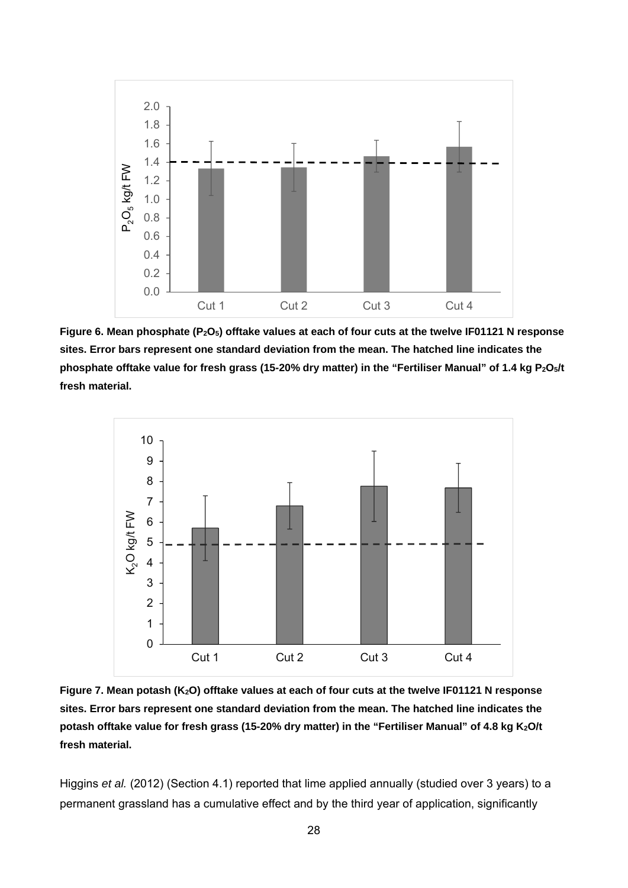

Figure 6. Mean phosphate (P<sub>2</sub>O<sub>5</sub>) offtake values at each of four cuts at the twelve IF01121 N response **sites. Error bars represent one standard deviation from the mean. The hatched line indicates the**  phosphate offtake value for fresh grass (15-20% dry matter) in the "Fertiliser Manual" of 1.4 kg P<sub>2</sub>O<sub>5</sub>/t **fresh material.** 



Figure 7. Mean potash (K<sub>2</sub>O) offtake values at each of four cuts at the twelve IF01121 N response **sites. Error bars represent one standard deviation from the mean. The hatched line indicates the**  potash offtake value for fresh grass (15-20% dry matter) in the "Fertiliser Manual" of 4.8 kg K<sub>2</sub>O/t **fresh material.** 

Higgins *et al.* (2012) (Section 4.1) reported that lime applied annually (studied over 3 years) to a permanent grassland has a cumulative effect and by the third year of application, significantly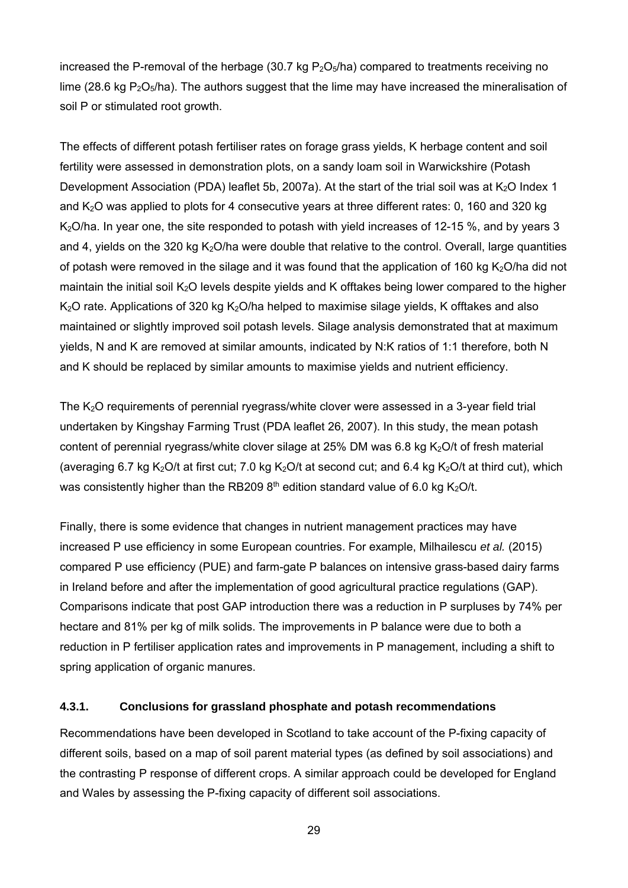increased the P-removal of the herbage (30.7 kg  $P_2O_5/ha$ ) compared to treatments receiving no lime (28.6 kg  $P_2O_5/ha$ ). The authors suggest that the lime may have increased the mineralisation of soil P or stimulated root growth.

The effects of different potash fertiliser rates on forage grass yields, K herbage content and soil fertility were assessed in demonstration plots, on a sandy loam soil in Warwickshire (Potash Development Association (PDA) leaflet 5b, 2007a). At the start of the trial soil was at  $K_2O$  Index 1 and  $K<sub>2</sub>O$  was applied to plots for 4 consecutive years at three different rates: 0, 160 and 320 kg K<sub>2</sub>O/ha. In year one, the site responded to potash with yield increases of 12-15 %, and by years 3 and 4, yields on the 320 kg  $K<sub>2</sub>O/ha$  were double that relative to the control. Overall, large quantities of potash were removed in the silage and it was found that the application of 160 kg  $K<sub>2</sub>O/h$ a did not maintain the initial soil  $K_2O$  levels despite yields and K offtakes being lower compared to the higher  $K<sub>2</sub>O$  rate. Applications of 320 kg  $K<sub>2</sub>O/ha$  helped to maximise silage yields, K offtakes and also maintained or slightly improved soil potash levels. Silage analysis demonstrated that at maximum yields, N and K are removed at similar amounts, indicated by N:K ratios of 1:1 therefore, both N and K should be replaced by similar amounts to maximise yields and nutrient efficiency.

The K<sub>2</sub>O requirements of perennial ryegrass/white clover were assessed in a 3-year field trial undertaken by Kingshay Farming Trust (PDA leaflet 26, 2007). In this study, the mean potash content of perennial ryegrass/white clover silage at 25% DM was 6.8 kg  $K<sub>2</sub>O/t$  of fresh material (averaging 6.7 kg K<sub>2</sub>O/t at first cut; 7.0 kg K<sub>2</sub>O/t at second cut; and 6.4 kg K<sub>2</sub>O/t at third cut), which was consistently higher than the RB209  $8<sup>th</sup>$  edition standard value of 6.0 kg K<sub>2</sub>O/t.

Finally, there is some evidence that changes in nutrient management practices may have increased P use efficiency in some European countries. For example, Milhailescu *et al.* (2015) compared P use efficiency (PUE) and farm-gate P balances on intensive grass-based dairy farms in Ireland before and after the implementation of good agricultural practice regulations (GAP). Comparisons indicate that post GAP introduction there was a reduction in P surpluses by 74% per hectare and 81% per kg of milk solids. The improvements in P balance were due to both a reduction in P fertiliser application rates and improvements in P management, including a shift to spring application of organic manures.

#### **4.3.1. Conclusions for grassland phosphate and potash recommendations**

Recommendations have been developed in Scotland to take account of the P-fixing capacity of different soils, based on a map of soil parent material types (as defined by soil associations) and the contrasting P response of different crops. A similar approach could be developed for England and Wales by assessing the P-fixing capacity of different soil associations.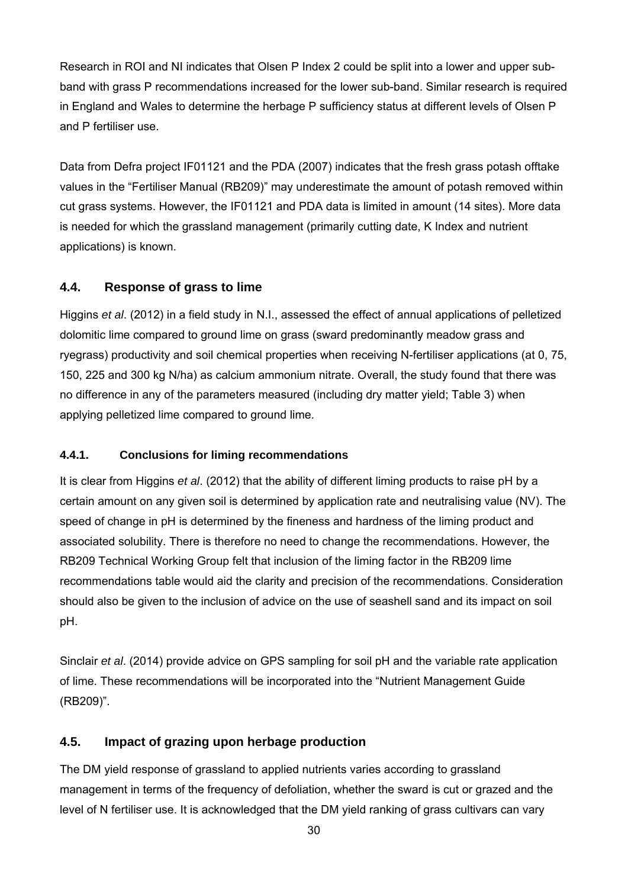Research in ROI and NI indicates that Olsen P Index 2 could be split into a lower and upper subband with grass P recommendations increased for the lower sub-band. Similar research is required in England and Wales to determine the herbage P sufficiency status at different levels of Olsen P and P fertiliser use.

Data from Defra project IF01121 and the PDA (2007) indicates that the fresh grass potash offtake values in the "Fertiliser Manual (RB209)" may underestimate the amount of potash removed within cut grass systems. However, the IF01121 and PDA data is limited in amount (14 sites). More data is needed for which the grassland management (primarily cutting date, K Index and nutrient applications) is known.

## **4.4. Response of grass to lime**

Higgins *et al*. (2012) in a field study in N.I., assessed the effect of annual applications of pelletized dolomitic lime compared to ground lime on grass (sward predominantly meadow grass and ryegrass) productivity and soil chemical properties when receiving N-fertiliser applications (at 0, 75, 150, 225 and 300 kg N/ha) as calcium ammonium nitrate. Overall, the study found that there was no difference in any of the parameters measured (including dry matter yield; Table 3) when applying pelletized lime compared to ground lime.

## **4.4.1. Conclusions for liming recommendations**

It is clear from Higgins *et al*. (2012) that the ability of different liming products to raise pH by a certain amount on any given soil is determined by application rate and neutralising value (NV). The speed of change in pH is determined by the fineness and hardness of the liming product and associated solubility. There is therefore no need to change the recommendations. However, the RB209 Technical Working Group felt that inclusion of the liming factor in the RB209 lime recommendations table would aid the clarity and precision of the recommendations. Consideration should also be given to the inclusion of advice on the use of seashell sand and its impact on soil pH.

Sinclair *et al*. (2014) provide advice on GPS sampling for soil pH and the variable rate application of lime. These recommendations will be incorporated into the "Nutrient Management Guide (RB209)".

## **4.5. Impact of grazing upon herbage production**

The DM yield response of grassland to applied nutrients varies according to grassland management in terms of the frequency of defoliation, whether the sward is cut or grazed and the level of N fertiliser use. It is acknowledged that the DM yield ranking of grass cultivars can vary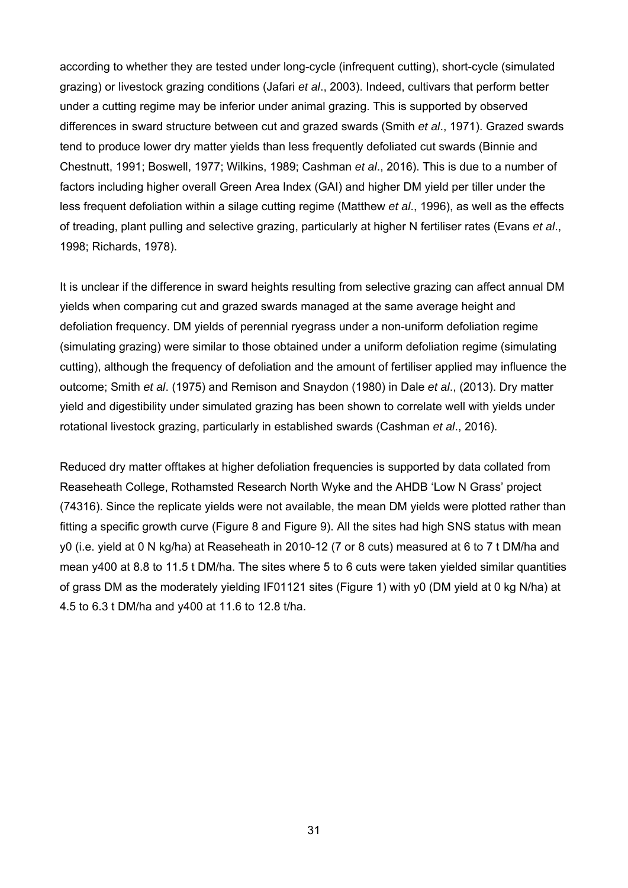according to whether they are tested under long-cycle (infrequent cutting), short-cycle (simulated grazing) or livestock grazing conditions (Jafari *et al*., 2003). Indeed, cultivars that perform better under a cutting regime may be inferior under animal grazing. This is supported by observed differences in sward structure between cut and grazed swards (Smith *et al*., 1971). Grazed swards tend to produce lower dry matter yields than less frequently defoliated cut swards (Binnie and Chestnutt, 1991; Boswell, 1977; Wilkins, 1989; Cashman *et al*., 2016). This is due to a number of factors including higher overall Green Area Index (GAI) and higher DM yield per tiller under the less frequent defoliation within a silage cutting regime (Matthew *et al*., 1996), as well as the effects of treading, plant pulling and selective grazing, particularly at higher N fertiliser rates (Evans *et al*., 1998; Richards, 1978).

It is unclear if the difference in sward heights resulting from selective grazing can affect annual DM yields when comparing cut and grazed swards managed at the same average height and defoliation frequency. DM yields of perennial ryegrass under a non-uniform defoliation regime (simulating grazing) were similar to those obtained under a uniform defoliation regime (simulating cutting), although the frequency of defoliation and the amount of fertiliser applied may influence the outcome; Smith *et al*. (1975) and Remison and Snaydon (1980) in Dale *et al*., (2013). Dry matter yield and digestibility under simulated grazing has been shown to correlate well with yields under rotational livestock grazing, particularly in established swards (Cashman *et al*., 2016).

Reduced dry matter offtakes at higher defoliation frequencies is supported by data collated from Reaseheath College, Rothamsted Research North Wyke and the AHDB 'Low N Grass' project (74316). Since the replicate yields were not available, the mean DM yields were plotted rather than fitting a specific growth curve (Figure 8 and Figure 9). All the sites had high SNS status with mean y0 (i.e. yield at 0 N kg/ha) at Reaseheath in 2010-12 (7 or 8 cuts) measured at 6 to 7 t DM/ha and mean y400 at 8.8 to 11.5 t DM/ha. The sites where 5 to 6 cuts were taken yielded similar quantities of grass DM as the moderately yielding IF01121 sites (Figure 1) with y0 (DM yield at 0 kg N/ha) at 4.5 to 6.3 t DM/ha and y400 at 11.6 to 12.8 t/ha.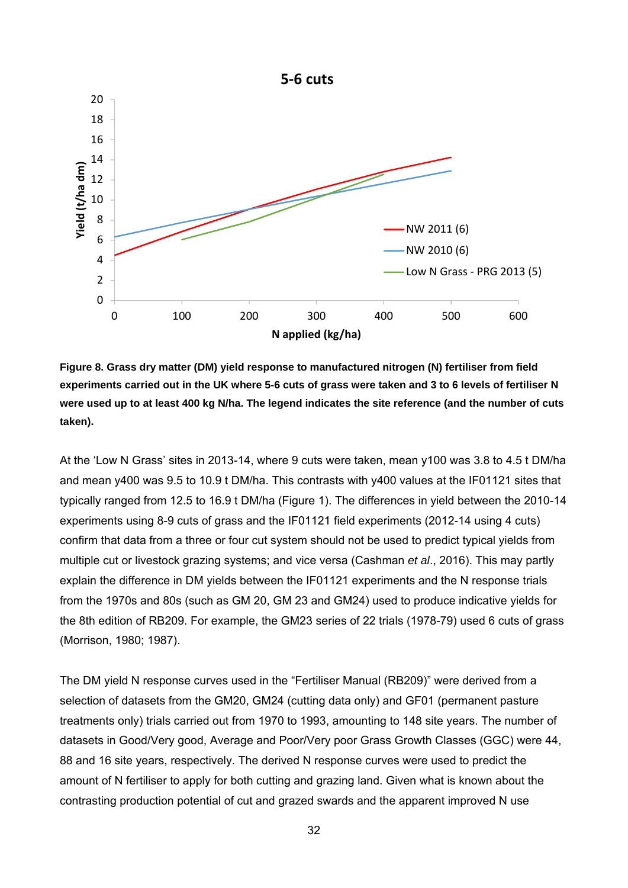

**Figure 8. Grass dry matter (DM) yield response to manufactured nitrogen (N) fertiliser from field experiments carried out in the UK where 5-6 cuts of grass were taken and 3 to 6 levels of fertiliser N were used up to at least 400 kg N/ha. The legend indicates the site reference (and the number of cuts taken).** 

At the 'Low N Grass' sites in 2013-14, where 9 cuts were taken, mean y100 was 3.8 to 4.5 t DM/ha and mean y400 was 9.5 to 10.9 t DM/ha. This contrasts with y400 values at the IF01121 sites that typically ranged from 12.5 to 16.9 t DM/ha (Figure 1). The differences in yield between the 2010-14 experiments using 8-9 cuts of grass and the IF01121 field experiments (2012-14 using 4 cuts) confirm that data from a three or four cut system should not be used to predict typical yields from multiple cut or livestock grazing systems; and vice versa (Cashman *et al*., 2016). This may partly explain the difference in DM yields between the IF01121 experiments and the N response trials from the 1970s and 80s (such as GM 20, GM 23 and GM24) used to produce indicative yields for the 8th edition of RB209. For example, the GM23 series of 22 trials (1978-79) used 6 cuts of grass (Morrison, 1980; 1987).

The DM yield N response curves used in the "Fertiliser Manual (RB209)" were derived from a selection of datasets from the GM20, GM24 (cutting data only) and GF01 (permanent pasture treatments only) trials carried out from 1970 to 1993, amounting to 148 site years. The number of datasets in Good/Very good, Average and Poor/Very poor Grass Growth Classes (GGC) were 44, 88 and 16 site years, respectively. The derived N response curves were used to predict the amount of N fertiliser to apply for both cutting and grazing land. Given what is known about the contrasting production potential of cut and grazed swards and the apparent improved N use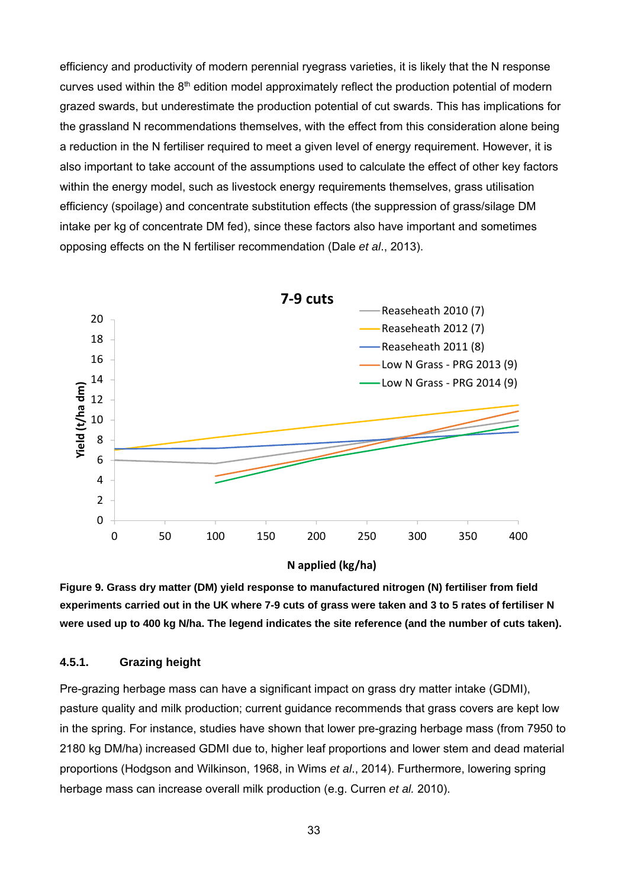efficiency and productivity of modern perennial ryegrass varieties, it is likely that the N response curves used within the 8<sup>th</sup> edition model approximately reflect the production potential of modern grazed swards, but underestimate the production potential of cut swards. This has implications for the grassland N recommendations themselves, with the effect from this consideration alone being a reduction in the N fertiliser required to meet a given level of energy requirement. However, it is also important to take account of the assumptions used to calculate the effect of other key factors within the energy model, such as livestock energy requirements themselves, grass utilisation efficiency (spoilage) and concentrate substitution effects (the suppression of grass/silage DM intake per kg of concentrate DM fed), since these factors also have important and sometimes opposing effects on the N fertiliser recommendation (Dale *et al*., 2013).



**Figure 9. Grass dry matter (DM) yield response to manufactured nitrogen (N) fertiliser from field experiments carried out in the UK where 7-9 cuts of grass were taken and 3 to 5 rates of fertiliser N were used up to 400 kg N/ha. The legend indicates the site reference (and the number of cuts taken).** 

#### **4.5.1. Grazing height**

Pre-grazing herbage mass can have a significant impact on grass dry matter intake (GDMI), pasture quality and milk production; current guidance recommends that grass covers are kept low in the spring. For instance, studies have shown that lower pre-grazing herbage mass (from 7950 to 2180 kg DM/ha) increased GDMI due to, higher leaf proportions and lower stem and dead material proportions (Hodgson and Wilkinson, 1968, in Wims *et al*., 2014). Furthermore, lowering spring herbage mass can increase overall milk production (e.g. Curren *et al.* 2010).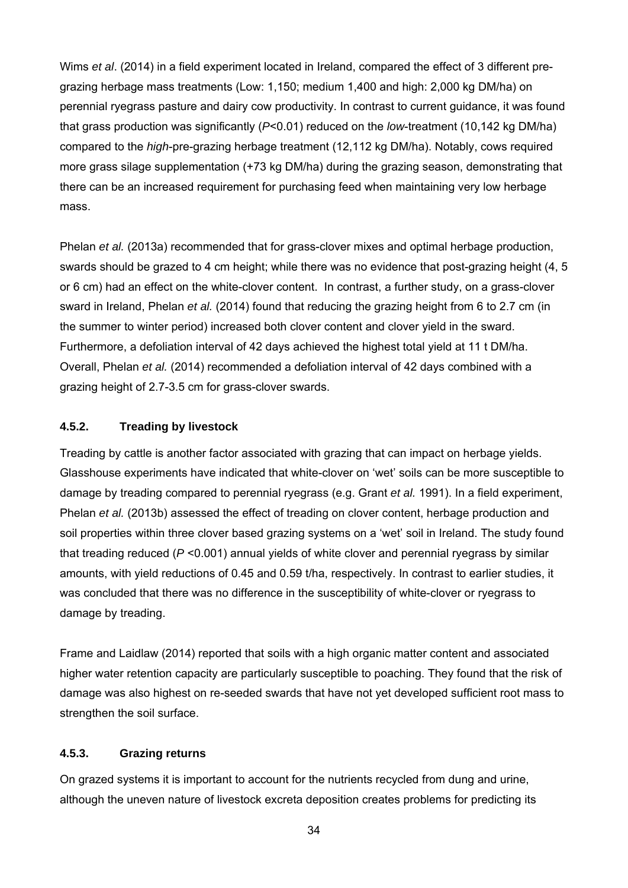Wims *et al*. (2014) in a field experiment located in Ireland, compared the effect of 3 different pregrazing herbage mass treatments (Low: 1,150; medium 1,400 and high: 2,000 kg DM/ha) on perennial ryegrass pasture and dairy cow productivity. In contrast to current guidance, it was found that grass production was significantly (*P*<0.01) reduced on the *low*-treatment (10,142 kg DM/ha) compared to the *high*-pre-grazing herbage treatment (12,112 kg DM/ha). Notably, cows required more grass silage supplementation (+73 kg DM/ha) during the grazing season, demonstrating that there can be an increased requirement for purchasing feed when maintaining very low herbage mass.

Phelan *et al.* (2013a) recommended that for grass-clover mixes and optimal herbage production, swards should be grazed to 4 cm height; while there was no evidence that post-grazing height (4, 5 or 6 cm) had an effect on the white-clover content. In contrast, a further study, on a grass-clover sward in Ireland, Phelan *et al.* (2014) found that reducing the grazing height from 6 to 2.7 cm (in the summer to winter period) increased both clover content and clover yield in the sward. Furthermore, a defoliation interval of 42 days achieved the highest total yield at 11 t DM/ha. Overall, Phelan *et al.* (2014) recommended a defoliation interval of 42 days combined with a grazing height of 2.7-3.5 cm for grass-clover swards.

#### **4.5.2. Treading by livestock**

Treading by cattle is another factor associated with grazing that can impact on herbage yields. Glasshouse experiments have indicated that white-clover on 'wet' soils can be more susceptible to damage by treading compared to perennial ryegrass (e.g. Grant *et al.* 1991). In a field experiment, Phelan *et al.* (2013b) assessed the effect of treading on clover content, herbage production and soil properties within three clover based grazing systems on a 'wet' soil in Ireland. The study found that treading reduced (*P* <0.001) annual yields of white clover and perennial ryegrass by similar amounts, with yield reductions of 0.45 and 0.59 t/ha, respectively. In contrast to earlier studies, it was concluded that there was no difference in the susceptibility of white-clover or ryegrass to damage by treading.

Frame and Laidlaw (2014) reported that soils with a high organic matter content and associated higher water retention capacity are particularly susceptible to poaching. They found that the risk of damage was also highest on re-seeded swards that have not yet developed sufficient root mass to strengthen the soil surface.

#### **4.5.3. Grazing returns**

On grazed systems it is important to account for the nutrients recycled from dung and urine, although the uneven nature of livestock excreta deposition creates problems for predicting its

34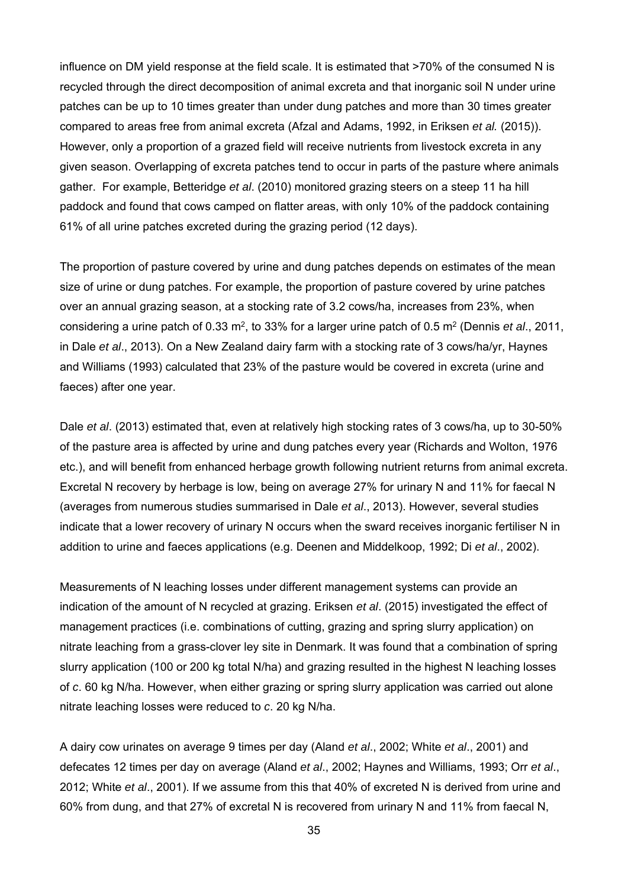influence on DM yield response at the field scale. It is estimated that >70% of the consumed N is recycled through the direct decomposition of animal excreta and that inorganic soil N under urine patches can be up to 10 times greater than under dung patches and more than 30 times greater compared to areas free from animal excreta (Afzal and Adams, 1992, in Eriksen *et al.* (2015)). However, only a proportion of a grazed field will receive nutrients from livestock excreta in any given season. Overlapping of excreta patches tend to occur in parts of the pasture where animals gather. For example, Betteridge *et al*. (2010) monitored grazing steers on a steep 11 ha hill paddock and found that cows camped on flatter areas, with only 10% of the paddock containing 61% of all urine patches excreted during the grazing period (12 days).

The proportion of pasture covered by urine and dung patches depends on estimates of the mean size of urine or dung patches. For example, the proportion of pasture covered by urine patches over an annual grazing season, at a stocking rate of 3.2 cows/ha, increases from 23%, when considering a urine patch of 0.33 m2, to 33% for a larger urine patch of 0.5 m2 (Dennis *et al*., 2011, in Dale *et al*., 2013). On a New Zealand dairy farm with a stocking rate of 3 cows/ha/yr, Haynes and Williams (1993) calculated that 23% of the pasture would be covered in excreta (urine and faeces) after one year.

Dale *et al*. (2013) estimated that, even at relatively high stocking rates of 3 cows/ha, up to 30-50% of the pasture area is affected by urine and dung patches every year (Richards and Wolton, 1976 etc.), and will benefit from enhanced herbage growth following nutrient returns from animal excreta. Excretal N recovery by herbage is low, being on average 27% for urinary N and 11% for faecal N (averages from numerous studies summarised in Dale *et al*., 2013). However, several studies indicate that a lower recovery of urinary N occurs when the sward receives inorganic fertiliser N in addition to urine and faeces applications (e.g. Deenen and Middelkoop, 1992; Di *et al*., 2002).

Measurements of N leaching losses under different management systems can provide an indication of the amount of N recycled at grazing. Eriksen *et al*. (2015) investigated the effect of management practices (i.e. combinations of cutting, grazing and spring slurry application) on nitrate leaching from a grass-clover ley site in Denmark. It was found that a combination of spring slurry application (100 or 200 kg total N/ha) and grazing resulted in the highest N leaching losses of *c*. 60 kg N/ha. However, when either grazing or spring slurry application was carried out alone nitrate leaching losses were reduced to *c*. 20 kg N/ha.

A dairy cow urinates on average 9 times per day (Aland *et al*., 2002; White *et al*., 2001) and defecates 12 times per day on average (Aland *et al*., 2002; Haynes and Williams, 1993; Orr *et al*., 2012; White *et al*., 2001). If we assume from this that 40% of excreted N is derived from urine and 60% from dung, and that 27% of excretal N is recovered from urinary N and 11% from faecal N,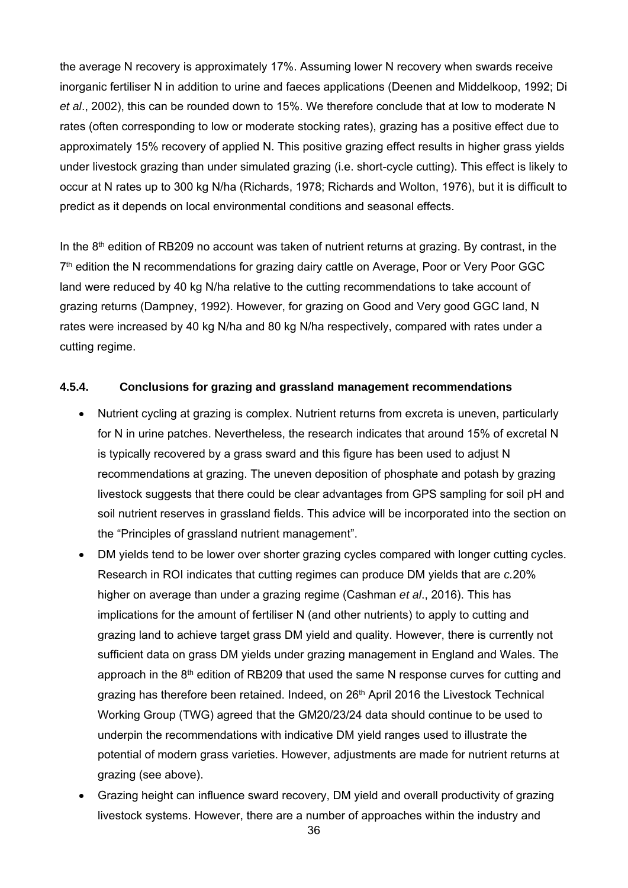the average N recovery is approximately 17%. Assuming lower N recovery when swards receive inorganic fertiliser N in addition to urine and faeces applications (Deenen and Middelkoop, 1992; Di *et al*., 2002), this can be rounded down to 15%. We therefore conclude that at low to moderate N rates (often corresponding to low or moderate stocking rates), grazing has a positive effect due to approximately 15% recovery of applied N. This positive grazing effect results in higher grass yields under livestock grazing than under simulated grazing (i.e. short-cycle cutting). This effect is likely to occur at N rates up to 300 kg N/ha (Richards, 1978; Richards and Wolton, 1976), but it is difficult to predict as it depends on local environmental conditions and seasonal effects.

In the  $8<sup>th</sup>$  edition of RB209 no account was taken of nutrient returns at grazing. By contrast, in the 7<sup>th</sup> edition the N recommendations for grazing dairy cattle on Average, Poor or Very Poor GGC land were reduced by 40 kg N/ha relative to the cutting recommendations to take account of grazing returns (Dampney, 1992). However, for grazing on Good and Very good GGC land, N rates were increased by 40 kg N/ha and 80 kg N/ha respectively, compared with rates under a cutting regime.

#### **4.5.4. Conclusions for grazing and grassland management recommendations**

- Nutrient cycling at grazing is complex. Nutrient returns from excreta is uneven, particularly for N in urine patches. Nevertheless, the research indicates that around 15% of excretal N is typically recovered by a grass sward and this figure has been used to adjust N recommendations at grazing. The uneven deposition of phosphate and potash by grazing livestock suggests that there could be clear advantages from GPS sampling for soil pH and soil nutrient reserves in grassland fields. This advice will be incorporated into the section on the "Principles of grassland nutrient management".
- DM yields tend to be lower over shorter grazing cycles compared with longer cutting cycles. Research in ROI indicates that cutting regimes can produce DM yields that are *c.*20% higher on average than under a grazing regime (Cashman *et al*., 2016). This has implications for the amount of fertiliser N (and other nutrients) to apply to cutting and grazing land to achieve target grass DM yield and quality. However, there is currently not sufficient data on grass DM yields under grazing management in England and Wales. The approach in the  $8<sup>th</sup>$  edition of RB209 that used the same N response curves for cutting and grazing has therefore been retained. Indeed, on 26<sup>th</sup> April 2016 the Livestock Technical Working Group (TWG) agreed that the GM20/23/24 data should continue to be used to underpin the recommendations with indicative DM yield ranges used to illustrate the potential of modern grass varieties. However, adjustments are made for nutrient returns at grazing (see above).
- Grazing height can influence sward recovery, DM yield and overall productivity of grazing livestock systems. However, there are a number of approaches within the industry and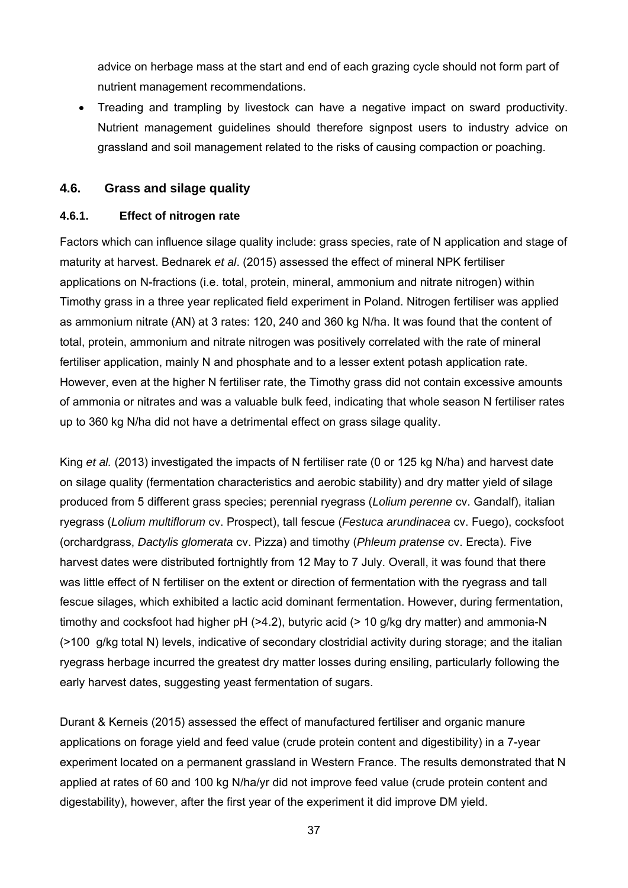advice on herbage mass at the start and end of each grazing cycle should not form part of nutrient management recommendations.

• Treading and trampling by livestock can have a negative impact on sward productivity. Nutrient management guidelines should therefore signpost users to industry advice on grassland and soil management related to the risks of causing compaction or poaching.

# **4.6. Grass and silage quality**

#### **4.6.1. Effect of nitrogen rate**

Factors which can influence silage quality include: grass species, rate of N application and stage of maturity at harvest. Bednarek *et al*. (2015) assessed the effect of mineral NPK fertiliser applications on N-fractions (i.e. total, protein, mineral, ammonium and nitrate nitrogen) within Timothy grass in a three year replicated field experiment in Poland. Nitrogen fertiliser was applied as ammonium nitrate (AN) at 3 rates: 120, 240 and 360 kg N/ha. It was found that the content of total, protein, ammonium and nitrate nitrogen was positively correlated with the rate of mineral fertiliser application, mainly N and phosphate and to a lesser extent potash application rate. However, even at the higher N fertiliser rate, the Timothy grass did not contain excessive amounts of ammonia or nitrates and was a valuable bulk feed, indicating that whole season N fertiliser rates up to 360 kg N/ha did not have a detrimental effect on grass silage quality.

King *et al.* (2013) investigated the impacts of N fertiliser rate (0 or 125 kg N/ha) and harvest date on silage quality (fermentation characteristics and aerobic stability) and dry matter yield of silage produced from 5 different grass species; perennial ryegrass (*Lolium perenne* cv. Gandalf), italian ryegrass (*Lolium multiflorum* cv. Prospect), tall fescue (*Festuca arundinacea* cv. Fuego), cocksfoot (orchardgrass, *Dactylis glomerata* cv. Pizza) and timothy (*Phleum pratense* cv. Erecta). Five harvest dates were distributed fortnightly from 12 May to 7 July. Overall, it was found that there was little effect of N fertiliser on the extent or direction of fermentation with the ryegrass and tall fescue silages, which exhibited a lactic acid dominant fermentation. However, during fermentation, timothy and cocksfoot had higher pH (>4.2), butyric acid (> 10 g/kg dry matter) and ammonia-N (>100 g/kg total N) levels, indicative of secondary clostridial activity during storage; and the italian ryegrass herbage incurred the greatest dry matter losses during ensiling, particularly following the early harvest dates, suggesting yeast fermentation of sugars.

Durant & Kerneis (2015) assessed the effect of manufactured fertiliser and organic manure applications on forage yield and feed value (crude protein content and digestibility) in a 7-year experiment located on a permanent grassland in Western France. The results demonstrated that N applied at rates of 60 and 100 kg N/ha/yr did not improve feed value (crude protein content and digestability), however, after the first year of the experiment it did improve DM yield.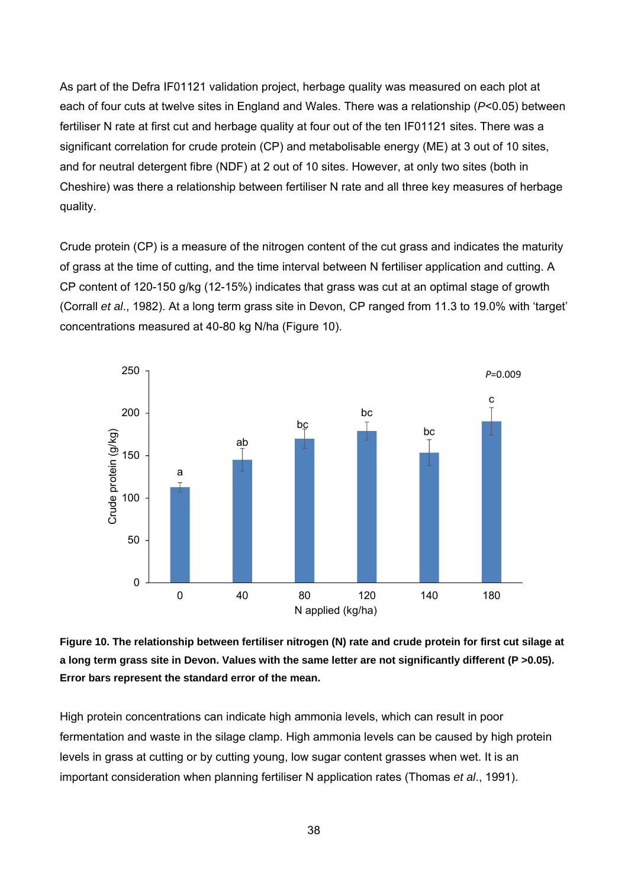As part of the Defra IF01121 validation project, herbage quality was measured on each plot at each of four cuts at twelve sites in England and Wales. There was a relationship (*P*<0.05) between fertiliser N rate at first cut and herbage quality at four out of the ten IF01121 sites. There was a significant correlation for crude protein (CP) and metabolisable energy (ME) at 3 out of 10 sites, and for neutral detergent fibre (NDF) at 2 out of 10 sites. However, at only two sites (both in Cheshire) was there a relationship between fertiliser N rate and all three key measures of herbage quality.

Crude protein (CP) is a measure of the nitrogen content of the cut grass and indicates the maturity of grass at the time of cutting, and the time interval between N fertiliser application and cutting. A CP content of 120-150 g/kg (12-15%) indicates that grass was cut at an optimal stage of growth (Corrall *et al*., 1982). At a long term grass site in Devon, CP ranged from 11.3 to 19.0% with 'target' concentrations measured at 40-80 kg N/ha (Figure 10).



**Figure 10. The relationship between fertiliser nitrogen (N) rate and crude protein for first cut silage at a long term grass site in Devon. Values with the same letter are not significantly different (P >0.05). Error bars represent the standard error of the mean.** 

High protein concentrations can indicate high ammonia levels, which can result in poor fermentation and waste in the silage clamp. High ammonia levels can be caused by high protein levels in grass at cutting or by cutting young, low sugar content grasses when wet. It is an important consideration when planning fertiliser N application rates (Thomas *et al*., 1991).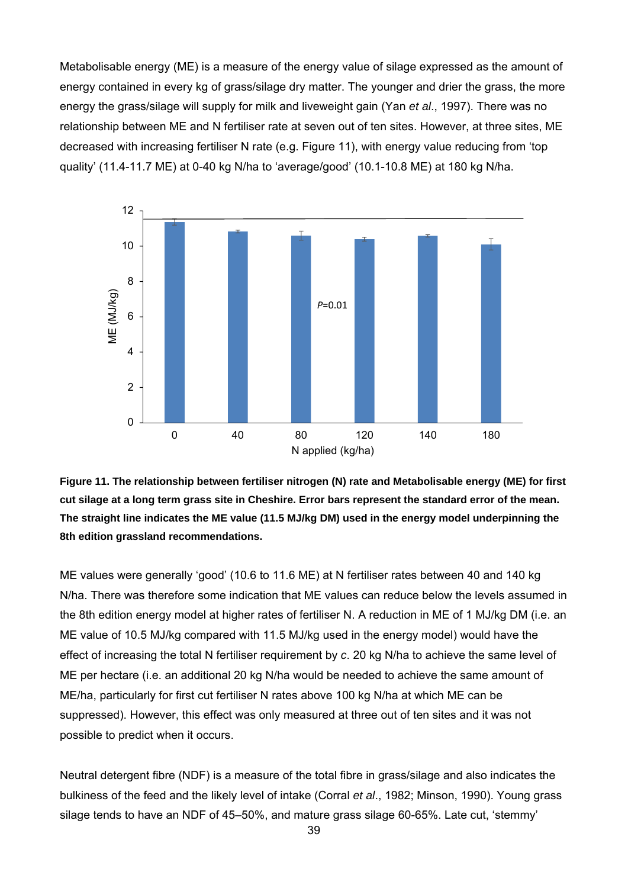Metabolisable energy (ME) is a measure of the energy value of silage expressed as the amount of energy contained in every kg of grass/silage dry matter. The younger and drier the grass, the more energy the grass/silage will supply for milk and liveweight gain (Yan *et al*., 1997). There was no relationship between ME and N fertiliser rate at seven out of ten sites. However, at three sites, ME decreased with increasing fertiliser N rate (e.g. Figure 11), with energy value reducing from 'top quality' (11.4-11.7 ME) at 0-40 kg N/ha to 'average/good' (10.1-10.8 ME) at 180 kg N/ha.



**Figure 11. The relationship between fertiliser nitrogen (N) rate and Metabolisable energy (ME) for first cut silage at a long term grass site in Cheshire. Error bars represent the standard error of the mean. The straight line indicates the ME value (11.5 MJ/kg DM) used in the energy model underpinning the 8th edition grassland recommendations.** 

ME values were generally 'good' (10.6 to 11.6 ME) at N fertiliser rates between 40 and 140 kg N/ha. There was therefore some indication that ME values can reduce below the levels assumed in the 8th edition energy model at higher rates of fertiliser N. A reduction in ME of 1 MJ/kg DM (i.e. an ME value of 10.5 MJ/kg compared with 11.5 MJ/kg used in the energy model) would have the effect of increasing the total N fertiliser requirement by *c*. 20 kg N/ha to achieve the same level of ME per hectare (i.e. an additional 20 kg N/ha would be needed to achieve the same amount of ME/ha, particularly for first cut fertiliser N rates above 100 kg N/ha at which ME can be suppressed). However, this effect was only measured at three out of ten sites and it was not possible to predict when it occurs.

Neutral detergent fibre (NDF) is a measure of the total fibre in grass/silage and also indicates the bulkiness of the feed and the likely level of intake (Corral *et al*., 1982; Minson, 1990). Young grass silage tends to have an NDF of 45–50%, and mature grass silage 60-65%. Late cut, 'stemmy'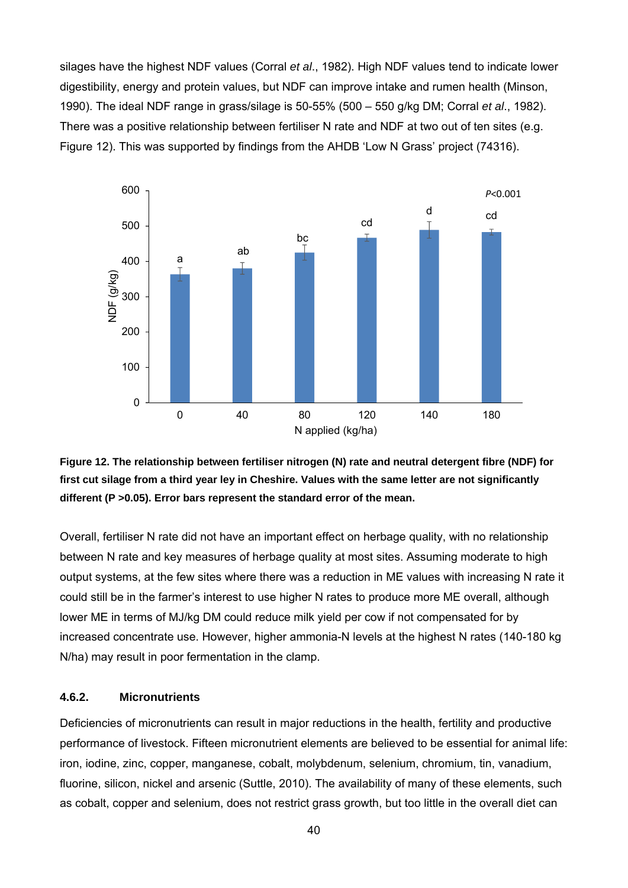silages have the highest NDF values (Corral *et al*., 1982). High NDF values tend to indicate lower digestibility, energy and protein values, but NDF can improve intake and rumen health (Minson, 1990). The ideal NDF range in grass/silage is 50-55% (500 – 550 g/kg DM; Corral *et al*., 1982). There was a positive relationship between fertiliser N rate and NDF at two out of ten sites (e.g. Figure 12). This was supported by findings from the AHDB 'Low N Grass' project (74316).





Overall, fertiliser N rate did not have an important effect on herbage quality, with no relationship between N rate and key measures of herbage quality at most sites. Assuming moderate to high output systems, at the few sites where there was a reduction in ME values with increasing N rate it could still be in the farmer's interest to use higher N rates to produce more ME overall, although lower ME in terms of MJ/kg DM could reduce milk yield per cow if not compensated for by increased concentrate use. However, higher ammonia-N levels at the highest N rates (140-180 kg N/ha) may result in poor fermentation in the clamp.

#### **4.6.2. Micronutrients**

Deficiencies of micronutrients can result in major reductions in the health, fertility and productive performance of livestock. Fifteen micronutrient elements are believed to be essential for animal life: iron, iodine, zinc, copper, manganese, cobalt, molybdenum, selenium, chromium, tin, vanadium, fluorine, silicon, nickel and arsenic (Suttle, 2010). The availability of many of these elements, such as cobalt, copper and selenium, does not restrict grass growth, but too little in the overall diet can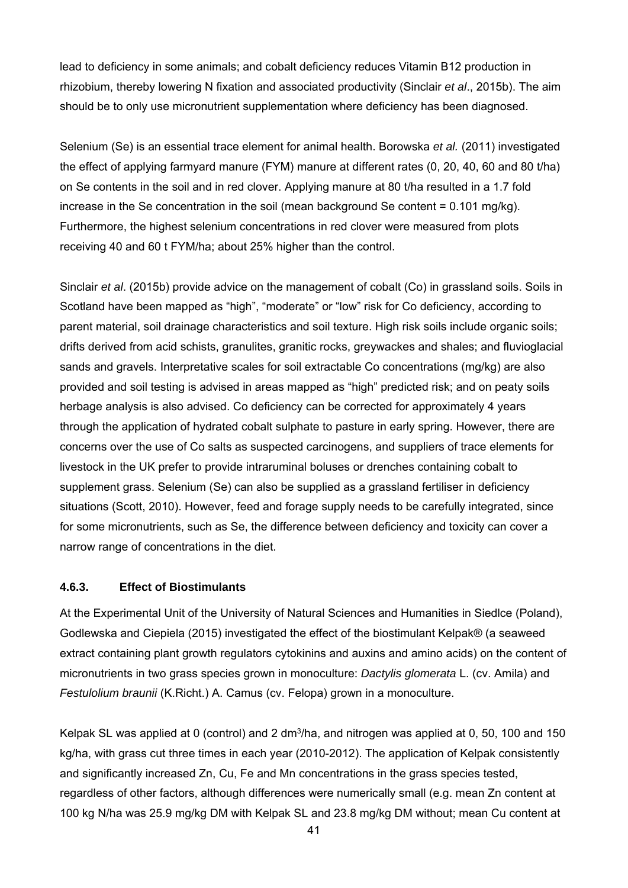lead to deficiency in some animals; and cobalt deficiency reduces Vitamin B12 production in rhizobium, thereby lowering N fixation and associated productivity (Sinclair *et al*., 2015b). The aim should be to only use micronutrient supplementation where deficiency has been diagnosed.

Selenium (Se) is an essential trace element for animal health. Borowska *et al.* (2011) investigated the effect of applying farmyard manure (FYM) manure at different rates (0, 20, 40, 60 and 80 t/ha) on Se contents in the soil and in red clover. Applying manure at 80 t/ha resulted in a 1.7 fold increase in the Se concentration in the soil (mean background Se content = 0.101 mg/kg). Furthermore, the highest selenium concentrations in red clover were measured from plots receiving 40 and 60 t FYM/ha; about 25% higher than the control.

Sinclair *et al*. (2015b) provide advice on the management of cobalt (Co) in grassland soils. Soils in Scotland have been mapped as "high", "moderate" or "low" risk for Co deficiency, according to parent material, soil drainage characteristics and soil texture. High risk soils include organic soils; drifts derived from acid schists, granulites, granitic rocks, greywackes and shales; and fluvioglacial sands and gravels. Interpretative scales for soil extractable Co concentrations (mg/kg) are also provided and soil testing is advised in areas mapped as "high" predicted risk; and on peaty soils herbage analysis is also advised. Co deficiency can be corrected for approximately 4 years through the application of hydrated cobalt sulphate to pasture in early spring. However, there are concerns over the use of Co salts as suspected carcinogens, and suppliers of trace elements for livestock in the UK prefer to provide intraruminal boluses or drenches containing cobalt to supplement grass. Selenium (Se) can also be supplied as a grassland fertiliser in deficiency situations (Scott, 2010). However, feed and forage supply needs to be carefully integrated, since for some micronutrients, such as Se, the difference between deficiency and toxicity can cover a narrow range of concentrations in the diet.

#### **4.6.3. Effect of Biostimulants**

At the Experimental Unit of the University of Natural Sciences and Humanities in Siedlce (Poland), Godlewska and Ciepiela (2015) investigated the effect of the biostimulant Kelpak® (a seaweed extract containing plant growth regulators cytokinins and auxins and amino acids) on the content of micronutrients in two grass species grown in monoculture: *Dactylis glomerata* L. (cv. Amila) and *Festulolium braunii* (K.Richt.) A. Camus (cv. Felopa) grown in a monoculture.

Kelpak SL was applied at 0 (control) and 2 dm<sup>3</sup>/ha, and nitrogen was applied at 0, 50, 100 and 150 kg/ha, with grass cut three times in each year (2010-2012). The application of Kelpak consistently and significantly increased Zn, Cu, Fe and Mn concentrations in the grass species tested, regardless of other factors, although differences were numerically small (e.g. mean Zn content at 100 kg N/ha was 25.9 mg/kg DM with Kelpak SL and 23.8 mg/kg DM without; mean Cu content at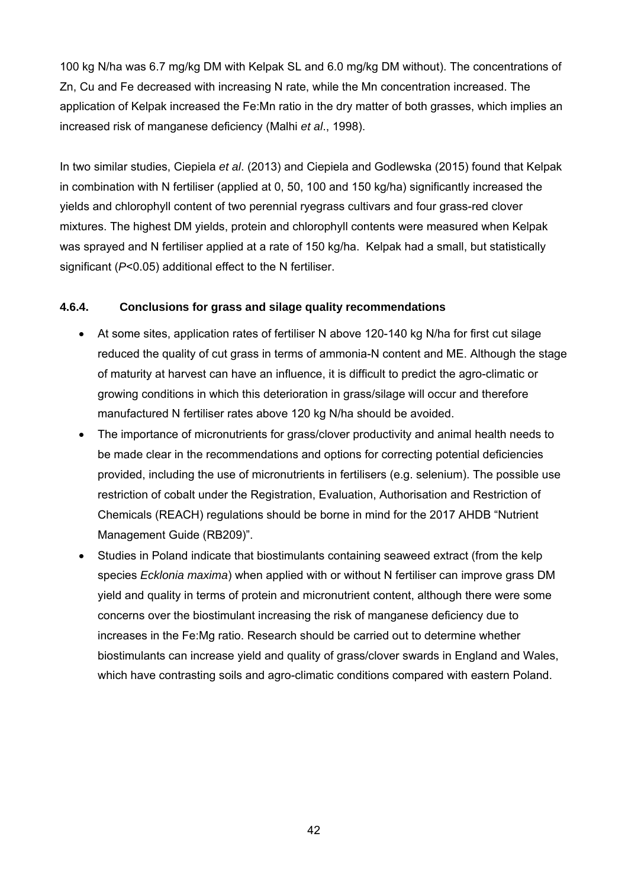100 kg N/ha was 6.7 mg/kg DM with Kelpak SL and 6.0 mg/kg DM without). The concentrations of Zn, Cu and Fe decreased with increasing N rate, while the Mn concentration increased. The application of Kelpak increased the Fe:Mn ratio in the dry matter of both grasses, which implies an increased risk of manganese deficiency (Malhi *et al*., 1998).

In two similar studies, Ciepiela *et al*. (2013) and Ciepiela and Godlewska (2015) found that Kelpak in combination with N fertiliser (applied at 0, 50, 100 and 150 kg/ha) significantly increased the yields and chlorophyll content of two perennial ryegrass cultivars and four grass-red clover mixtures. The highest DM yields, protein and chlorophyll contents were measured when Kelpak was sprayed and N fertiliser applied at a rate of 150 kg/ha. Kelpak had a small, but statistically significant (*P*<0.05) additional effect to the N fertiliser.

# **4.6.4. Conclusions for grass and silage quality recommendations**

- At some sites, application rates of fertiliser N above 120-140 kg N/ha for first cut silage reduced the quality of cut grass in terms of ammonia-N content and ME. Although the stage of maturity at harvest can have an influence, it is difficult to predict the agro-climatic or growing conditions in which this deterioration in grass/silage will occur and therefore manufactured N fertiliser rates above 120 kg N/ha should be avoided.
- The importance of micronutrients for grass/clover productivity and animal health needs to be made clear in the recommendations and options for correcting potential deficiencies provided, including the use of micronutrients in fertilisers (e.g. selenium). The possible use restriction of cobalt under the Registration, Evaluation, Authorisation and Restriction of Chemicals (REACH) regulations should be borne in mind for the 2017 AHDB "Nutrient Management Guide (RB209)".
- Studies in Poland indicate that biostimulants containing seaweed extract (from the kelp species *Ecklonia maxima*) when applied with or without N fertiliser can improve grass DM yield and quality in terms of protein and micronutrient content, although there were some concerns over the biostimulant increasing the risk of manganese deficiency due to increases in the Fe:Mg ratio. Research should be carried out to determine whether biostimulants can increase yield and quality of grass/clover swards in England and Wales, which have contrasting soils and agro-climatic conditions compared with eastern Poland.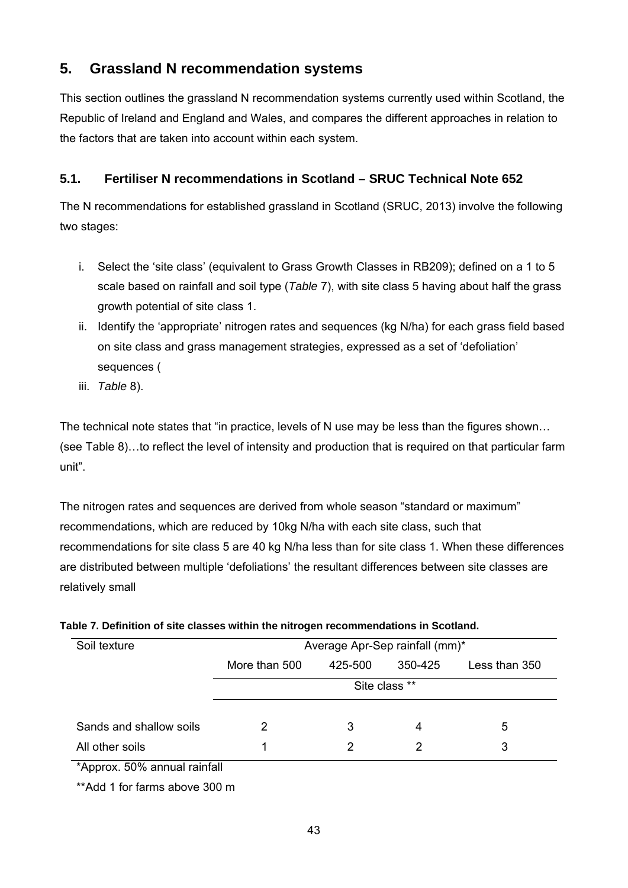# **5. Grassland N recommendation systems**

This section outlines the grassland N recommendation systems currently used within Scotland, the Republic of Ireland and England and Wales, and compares the different approaches in relation to the factors that are taken into account within each system.

# **5.1. Fertiliser N recommendations in Scotland – SRUC Technical Note 652**

The N recommendations for established grassland in Scotland (SRUC, 2013) involve the following two stages:

- i. Select the 'site class' (equivalent to Grass Growth Classes in RB209); defined on a 1 to 5 scale based on rainfall and soil type (*Table* 7), with site class 5 having about half the grass growth potential of site class 1.
- ii. Identify the 'appropriate' nitrogen rates and sequences (kg N/ha) for each grass field based on site class and grass management strategies, expressed as a set of 'defoliation' sequences (
- iii. *Table* 8).

The technical note states that "in practice, levels of N use may be less than the figures shown… (see Table 8)…to reflect the level of intensity and production that is required on that particular farm unit".

The nitrogen rates and sequences are derived from whole season "standard or maximum" recommendations, which are reduced by 10kg N/ha with each site class, such that recommendations for site class 5 are 40 kg N/ha less than for site class 1. When these differences are distributed between multiple 'defoliations' the resultant differences between site classes are relatively small

| Soil texture            |               | Average Apr-Sep rainfall (mm)* |               |               |
|-------------------------|---------------|--------------------------------|---------------|---------------|
|                         | More than 500 | 425-500                        | 350-425       | Less than 350 |
|                         |               |                                | Site class ** |               |
| Sands and shallow soils | 2             | 3                              | 4             | 5             |
| All other soils         | 1             |                                |               | 3             |

# **Table 7. Definition of site classes within the nitrogen recommendations in Scotland.**

\*Approx. 50% annual rainfall

\*\*Add 1 for farms above 300 m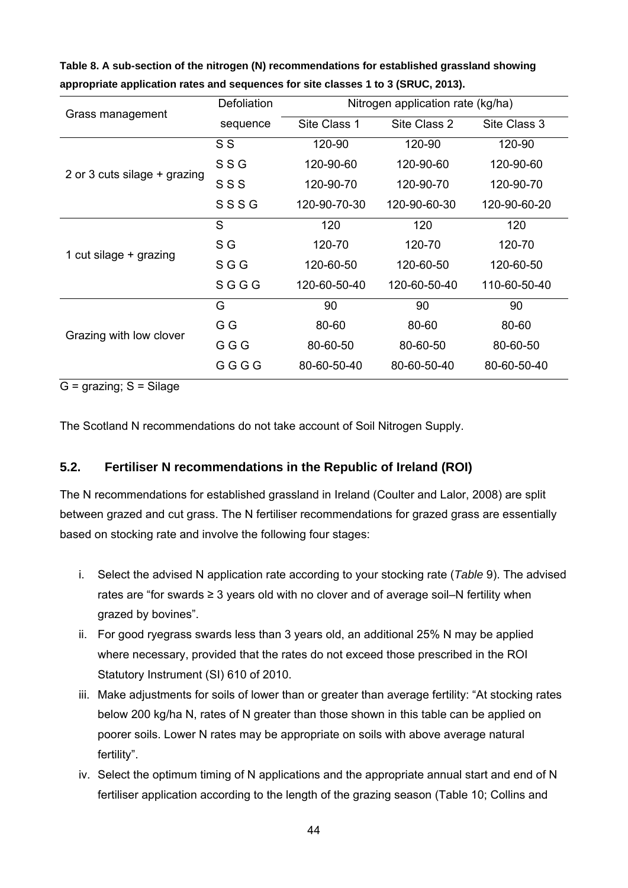| Grass management             | Defoliation |              | Nitrogen application rate (kg/ha) |              |  |  |  |  |
|------------------------------|-------------|--------------|-----------------------------------|--------------|--|--|--|--|
|                              | sequence    | Site Class 1 | Site Class 2                      | Site Class 3 |  |  |  |  |
|                              | S S         | 120-90       | 120-90                            | 120-90       |  |  |  |  |
|                              | SSG         | 120-90-60    | 120-90-60                         | 120-90-60    |  |  |  |  |
| 2 or 3 cuts silage + grazing | SSS         | 120-90-70    | 120-90-70                         | 120-90-70    |  |  |  |  |
|                              | SSSG        | 120-90-70-30 | 120-90-60-30                      | 120-90-60-20 |  |  |  |  |
|                              | S           | 120          | 120                               | 120          |  |  |  |  |
|                              | S G         | 120-70       | 120-70                            | 120-70       |  |  |  |  |
| 1 cut silage + grazing       | SGG         | 120-60-50    | 120-60-50                         | 120-60-50    |  |  |  |  |
|                              | <b>SGGG</b> | 120-60-50-40 | 120-60-50-40                      | 110-60-50-40 |  |  |  |  |
|                              | G           | 90           | 90                                | 90           |  |  |  |  |
| Grazing with low clover      | G G         | 80-60        | 80-60                             | 80-60        |  |  |  |  |
|                              | GGG         | 80-60-50     | 80-60-50                          | 80-60-50     |  |  |  |  |
|                              | GGGG        | 80-60-50-40  | 80-60-50-40                       | 80-60-50-40  |  |  |  |  |

**Table 8. A sub-section of the nitrogen (N) recommendations for established grassland showing appropriate application rates and sequences for site classes 1 to 3 (SRUC, 2013).** 

 $G =$  grazing;  $S =$  Silage

The Scotland N recommendations do not take account of Soil Nitrogen Supply.

# **5.2. Fertiliser N recommendations in the Republic of Ireland (ROI)**

The N recommendations for established grassland in Ireland (Coulter and Lalor, 2008) are split between grazed and cut grass. The N fertiliser recommendations for grazed grass are essentially based on stocking rate and involve the following four stages:

- i. Select the advised N application rate according to your stocking rate (*Table* 9). The advised rates are "for swards ≥ 3 years old with no clover and of average soil–N fertility when grazed by bovines".
- ii. For good ryegrass swards less than 3 years old, an additional 25% N may be applied where necessary, provided that the rates do not exceed those prescribed in the ROI Statutory Instrument (SI) 610 of 2010.
- iii. Make adjustments for soils of lower than or greater than average fertility: "At stocking rates below 200 kg/ha N, rates of N greater than those shown in this table can be applied on poorer soils. Lower N rates may be appropriate on soils with above average natural fertility".
- iv. Select the optimum timing of N applications and the appropriate annual start and end of N fertiliser application according to the length of the grazing season (Table 10; Collins and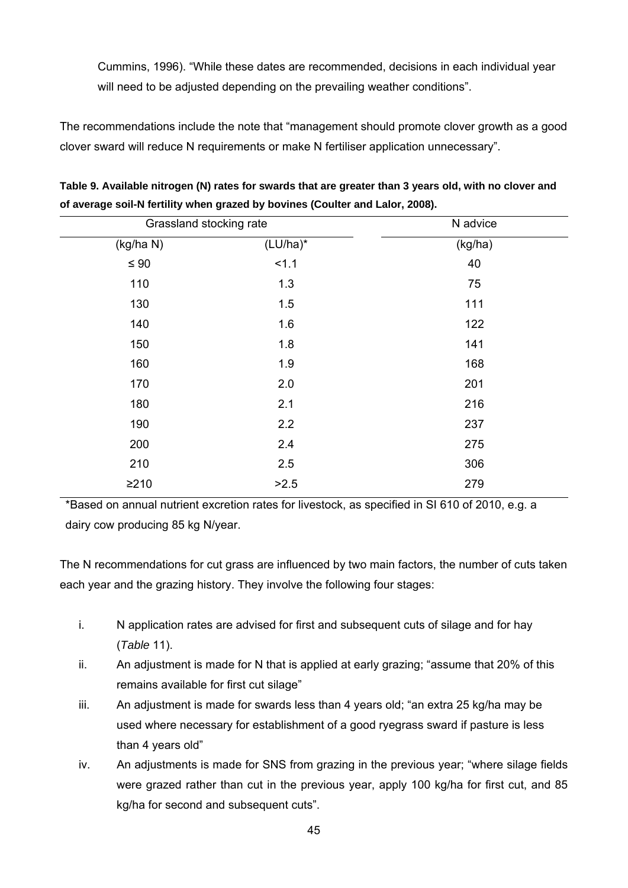Cummins, 1996). "While these dates are recommended, decisions in each individual year will need to be adjusted depending on the prevailing weather conditions".

The recommendations include the note that "management should promote clover growth as a good clover sward will reduce N requirements or make N fertiliser application unnecessary".

| Grassland stocking rate |          |
|-------------------------|----------|
|                         | N advice |
| $(LU/ha)^*$             | (kg/ha)  |
| 1.1                     | 40       |
| 1.3                     | 75       |
| 1.5                     | 111      |
| 1.6                     | 122      |
| 1.8                     | 141      |
| 1.9                     | 168      |
| 2.0                     | 201      |
| 2.1                     | 216      |
| 2.2                     | 237      |
| 2.4                     | 275      |
| 2.5                     | 306      |
| >2.5                    | 279      |
|                         |          |

**Table 9. Available nitrogen (N) rates for swards that are greater than 3 years old, with no clover and of average soil-N fertility when grazed by bovines (Coulter and Lalor, 2008).** 

\*Based on annual nutrient excretion rates for livestock, as specified in SI 610 of 2010, e.g. a dairy cow producing 85 kg N/year.

The N recommendations for cut grass are influenced by two main factors, the number of cuts taken each year and the grazing history. They involve the following four stages:

- i. N application rates are advised for first and subsequent cuts of silage and for hay (*Table* 11).
- ii. An adjustment is made for N that is applied at early grazing; "assume that 20% of this remains available for first cut silage"
- iii. An adjustment is made for swards less than 4 years old; "an extra 25 kg/ha may be used where necessary for establishment of a good ryegrass sward if pasture is less than 4 years old"
- iv. An adjustments is made for SNS from grazing in the previous year; "where silage fields were grazed rather than cut in the previous year, apply 100 kg/ha for first cut, and 85 kg/ha for second and subsequent cuts".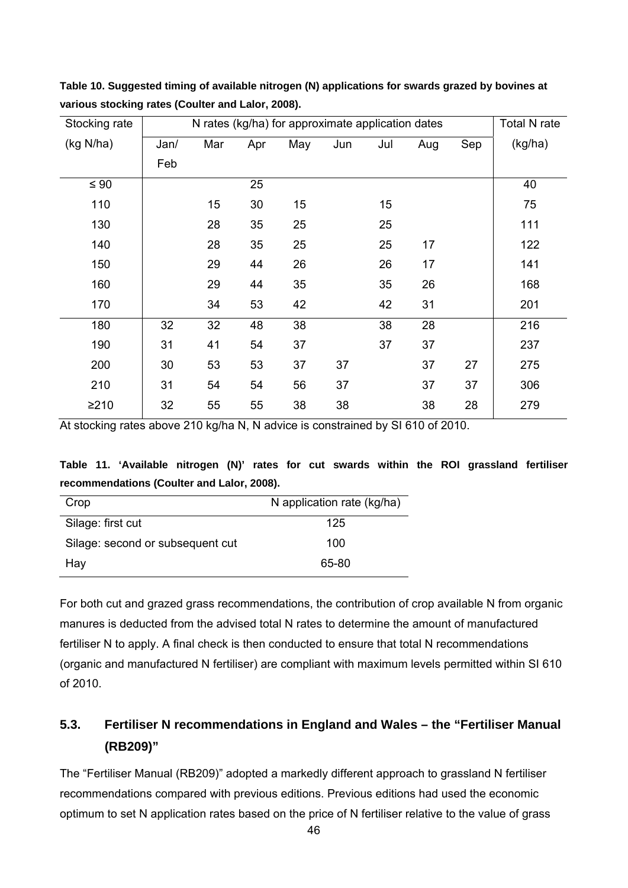**Table 10. Suggested timing of available nitrogen (N) applications for swards grazed by bovines at various stocking rates (Coulter and Lalor, 2008).** 

| Stocking rate | N rates (kg/ha) for approximate application dates |     |     |     |     |     |     | Total N rate |         |
|---------------|---------------------------------------------------|-----|-----|-----|-----|-----|-----|--------------|---------|
| (kg N/ha)     | Jan/                                              | Mar | Apr | May | Jun | Jul | Aug | Sep          | (kg/ha) |
|               | Feb                                               |     |     |     |     |     |     |              |         |
| $\leq 90$     |                                                   |     | 25  |     |     |     |     |              | 40      |
| 110           |                                                   | 15  | 30  | 15  |     | 15  |     |              | 75      |
| 130           |                                                   | 28  | 35  | 25  |     | 25  |     |              | 111     |
| 140           |                                                   | 28  | 35  | 25  |     | 25  | 17  |              | 122     |
| 150           |                                                   | 29  | 44  | 26  |     | 26  | 17  |              | 141     |
| 160           |                                                   | 29  | 44  | 35  |     | 35  | 26  |              | 168     |
| 170           |                                                   | 34  | 53  | 42  |     | 42  | 31  |              | 201     |
| 180           | 32                                                | 32  | 48  | 38  |     | 38  | 28  |              | 216     |
| 190           | 31                                                | 41  | 54  | 37  |     | 37  | 37  |              | 237     |
| 200           | 30                                                | 53  | 53  | 37  | 37  |     | 37  | 27           | 275     |
| 210           | 31                                                | 54  | 54  | 56  | 37  |     | 37  | 37           | 306     |
| ≥210          | 32                                                | 55  | 55  | 38  | 38  |     | 38  | 28           | 279     |

At stocking rates above 210 kg/ha N, N advice is constrained by SI 610 of 2010.

|                                            |  |  |  |  |  |  |  |  | Table 11. 'Available nitrogen (N)' rates for cut swards within the ROI grassland fertiliser |  |
|--------------------------------------------|--|--|--|--|--|--|--|--|---------------------------------------------------------------------------------------------|--|
| recommendations (Coulter and Lalor, 2008). |  |  |  |  |  |  |  |  |                                                                                             |  |

| Crop                             | N application rate (kg/ha) |
|----------------------------------|----------------------------|
| Silage: first cut                | 125                        |
| Silage: second or subsequent cut | 100                        |
| Hay                              | 65-80                      |

For both cut and grazed grass recommendations, the contribution of crop available N from organic manures is deducted from the advised total N rates to determine the amount of manufactured fertiliser N to apply. A final check is then conducted to ensure that total N recommendations (organic and manufactured N fertiliser) are compliant with maximum levels permitted within SI 610 of 2010.

# **5.3. Fertiliser N recommendations in England and Wales – the "Fertiliser Manual (RB209)"**

The "Fertiliser Manual (RB209)" adopted a markedly different approach to grassland N fertiliser recommendations compared with previous editions. Previous editions had used the economic optimum to set N application rates based on the price of N fertiliser relative to the value of grass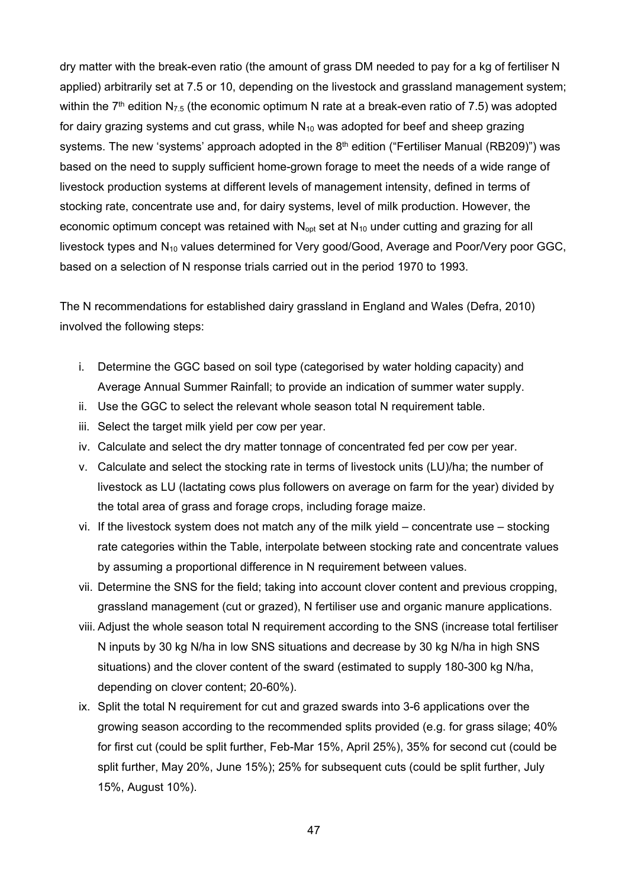dry matter with the break-even ratio (the amount of grass DM needed to pay for a kg of fertiliser N applied) arbitrarily set at 7.5 or 10, depending on the livestock and grassland management system; within the  $7<sup>th</sup>$  edition N<sub>7.5</sub> (the economic optimum N rate at a break-even ratio of 7.5) was adopted for dairy grazing systems and cut grass, while  $N_{10}$  was adopted for beef and sheep grazing systems. The new 'systems' approach adopted in the 8<sup>th</sup> edition ("Fertiliser Manual (RB209)") was based on the need to supply sufficient home-grown forage to meet the needs of a wide range of livestock production systems at different levels of management intensity, defined in terms of stocking rate, concentrate use and, for dairy systems, level of milk production. However, the economic optimum concept was retained with  $N_{\text{oot}}$  set at  $N_{10}$  under cutting and grazing for all livestock types and N<sub>10</sub> values determined for Very good/Good, Average and Poor/Very poor GGC, based on a selection of N response trials carried out in the period 1970 to 1993.

The N recommendations for established dairy grassland in England and Wales (Defra, 2010) involved the following steps:

- i. Determine the GGC based on soil type (categorised by water holding capacity) and Average Annual Summer Rainfall; to provide an indication of summer water supply.
- ii. Use the GGC to select the relevant whole season total N requirement table.
- iii. Select the target milk yield per cow per year.
- iv. Calculate and select the dry matter tonnage of concentrated fed per cow per year.
- v. Calculate and select the stocking rate in terms of livestock units (LU)/ha; the number of livestock as LU (lactating cows plus followers on average on farm for the year) divided by the total area of grass and forage crops, including forage maize.
- vi. If the livestock system does not match any of the milk yield concentrate use stocking rate categories within the Table, interpolate between stocking rate and concentrate values by assuming a proportional difference in N requirement between values.
- vii. Determine the SNS for the field; taking into account clover content and previous cropping, grassland management (cut or grazed), N fertiliser use and organic manure applications.
- viii. Adjust the whole season total N requirement according to the SNS (increase total fertiliser N inputs by 30 kg N/ha in low SNS situations and decrease by 30 kg N/ha in high SNS situations) and the clover content of the sward (estimated to supply 180-300 kg N/ha, depending on clover content; 20-60%).
- ix. Split the total N requirement for cut and grazed swards into 3-6 applications over the growing season according to the recommended splits provided (e.g. for grass silage; 40% for first cut (could be split further, Feb-Mar 15%, April 25%), 35% for second cut (could be split further, May 20%, June 15%); 25% for subsequent cuts (could be split further, July 15%, August 10%).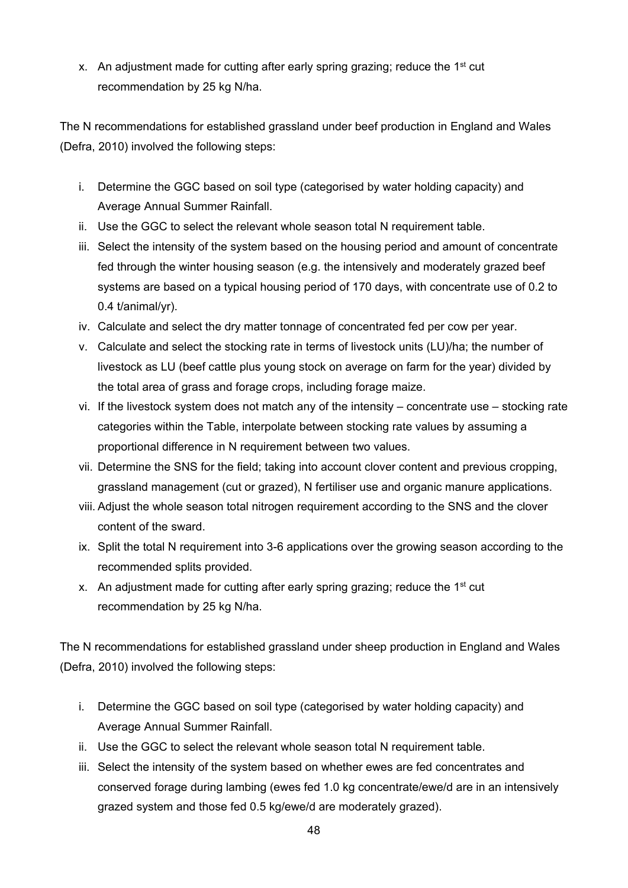x. An adjustment made for cutting after early spring grazing; reduce the 1<sup>st</sup> cut recommendation by 25 kg N/ha.

The N recommendations for established grassland under beef production in England and Wales (Defra, 2010) involved the following steps:

- i. Determine the GGC based on soil type (categorised by water holding capacity) and Average Annual Summer Rainfall.
- ii. Use the GGC to select the relevant whole season total N requirement table.
- iii. Select the intensity of the system based on the housing period and amount of concentrate fed through the winter housing season (e.g. the intensively and moderately grazed beef systems are based on a typical housing period of 170 days, with concentrate use of 0.2 to 0.4 t/animal/yr).
- iv. Calculate and select the dry matter tonnage of concentrated fed per cow per year.
- v. Calculate and select the stocking rate in terms of livestock units (LU)/ha; the number of livestock as LU (beef cattle plus young stock on average on farm for the year) divided by the total area of grass and forage crops, including forage maize.
- vi. If the livestock system does not match any of the intensity concentrate use stocking rate categories within the Table, interpolate between stocking rate values by assuming a proportional difference in N requirement between two values.
- vii. Determine the SNS for the field; taking into account clover content and previous cropping, grassland management (cut or grazed), N fertiliser use and organic manure applications.
- viii. Adjust the whole season total nitrogen requirement according to the SNS and the clover content of the sward.
- ix. Split the total N requirement into 3-6 applications over the growing season according to the recommended splits provided.
- x. An adjustment made for cutting after early spring grazing; reduce the 1<sup>st</sup> cut recommendation by 25 kg N/ha.

The N recommendations for established grassland under sheep production in England and Wales (Defra, 2010) involved the following steps:

- i. Determine the GGC based on soil type (categorised by water holding capacity) and Average Annual Summer Rainfall.
- ii. Use the GGC to select the relevant whole season total N requirement table.
- iii. Select the intensity of the system based on whether ewes are fed concentrates and conserved forage during lambing (ewes fed 1.0 kg concentrate/ewe/d are in an intensively grazed system and those fed 0.5 kg/ewe/d are moderately grazed).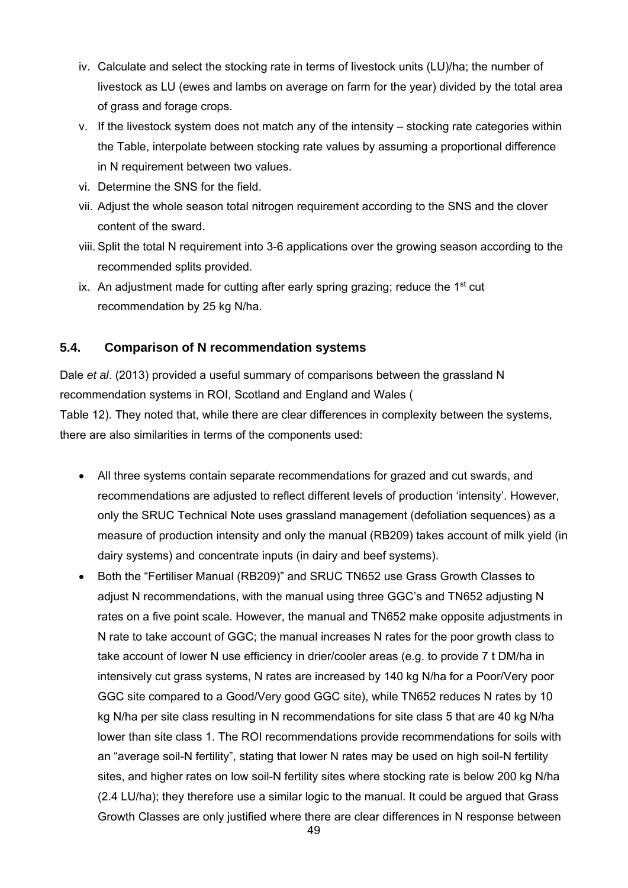- iv. Calculate and select the stocking rate in terms of livestock units (LU)/ha; the number of livestock as LU (ewes and lambs on average on farm for the year) divided by the total area of grass and forage crops.
- v. If the livestock system does not match any of the intensity stocking rate categories within the Table, interpolate between stocking rate values by assuming a proportional difference in N requirement between two values.
- vi. Determine the SNS for the field.
- vii. Adjust the whole season total nitrogen requirement according to the SNS and the clover content of the sward.
- viii. Split the total N requirement into 3-6 applications over the growing season according to the recommended splits provided.
- ix. An adjustment made for cutting after early spring grazing; reduce the  $1<sup>st</sup>$  cut recommendation by 25 kg N/ha.

# **5.4. Comparison of N recommendation systems**

Dale *et al*. (2013) provided a useful summary of comparisons between the grassland N recommendation systems in ROI, Scotland and England and Wales ( Table 12). They noted that, while there are clear differences in complexity between the systems, there are also similarities in terms of the components used:

- All three systems contain separate recommendations for grazed and cut swards, and recommendations are adjusted to reflect different levels of production 'intensity'. However, only the SRUC Technical Note uses grassland management (defoliation sequences) as a measure of production intensity and only the manual (RB209) takes account of milk yield (in dairy systems) and concentrate inputs (in dairy and beef systems).
- Both the "Fertiliser Manual (RB209)" and SRUC TN652 use Grass Growth Classes to adjust N recommendations, with the manual using three GGC's and TN652 adjusting N rates on a five point scale. However, the manual and TN652 make opposite adjustments in N rate to take account of GGC; the manual increases N rates for the poor growth class to take account of lower N use efficiency in drier/cooler areas (e.g. to provide 7 t DM/ha in intensively cut grass systems, N rates are increased by 140 kg N/ha for a Poor/Very poor GGC site compared to a Good/Very good GGC site), while TN652 reduces N rates by 10 kg N/ha per site class resulting in N recommendations for site class 5 that are 40 kg N/ha lower than site class 1. The ROI recommendations provide recommendations for soils with an "average soil-N fertility", stating that lower N rates may be used on high soil-N fertility sites, and higher rates on low soil-N fertility sites where stocking rate is below 200 kg N/ha (2.4 LU/ha); they therefore use a similar logic to the manual. It could be argued that Grass Growth Classes are only justified where there are clear differences in N response between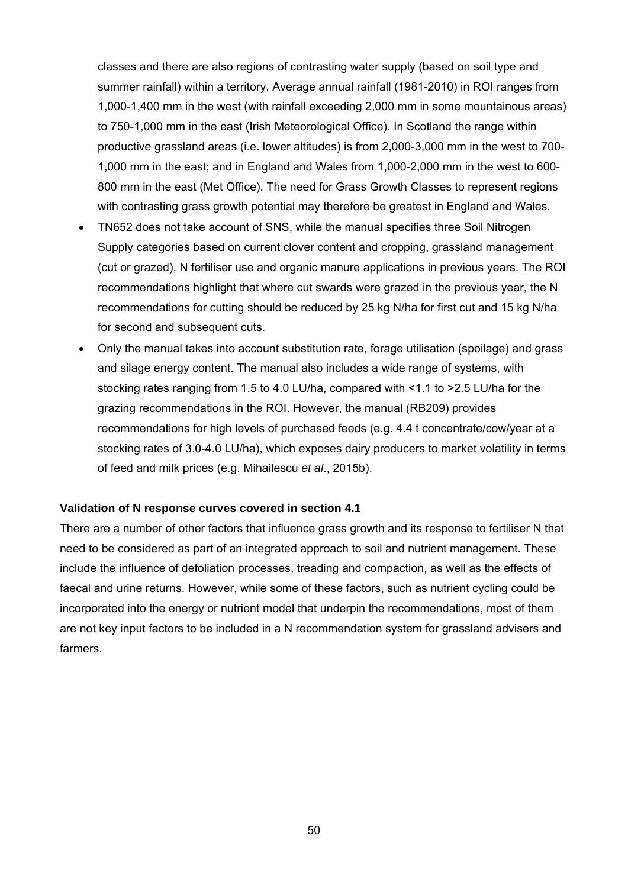classes and there are also regions of contrasting water supply (based on soil type and summer rainfall) within a territory. Average annual rainfall (1981-2010) in ROI ranges from 1,000-1,400 mm in the west (with rainfall exceeding 2,000 mm in some mountainous areas) to 750-1,000 mm in the east (Irish Meteorological Office). In Scotland the range within productive grassland areas (i.e. lower altitudes) is from 2,000-3,000 mm in the west to 700- 1,000 mm in the east; and in England and Wales from 1,000-2,000 mm in the west to 600- 800 mm in the east (Met Office). The need for Grass Growth Classes to represent regions with contrasting grass growth potential may therefore be greatest in England and Wales.

- TN652 does not take account of SNS, while the manual specifies three Soil Nitrogen Supply categories based on current clover content and cropping, grassland management (cut or grazed), N fertiliser use and organic manure applications in previous years. The ROI recommendations highlight that where cut swards were grazed in the previous year, the N recommendations for cutting should be reduced by 25 kg N/ha for first cut and 15 kg N/ha for second and subsequent cuts.
- Only the manual takes into account substitution rate, forage utilisation (spoilage) and grass and silage energy content. The manual also includes a wide range of systems, with stocking rates ranging from 1.5 to 4.0 LU/ha, compared with <1.1 to >2.5 LU/ha for the grazing recommendations in the ROI. However, the manual (RB209) provides recommendations for high levels of purchased feeds (e.g. 4.4 t concentrate/cow/year at a stocking rates of 3.0-4.0 LU/ha), which exposes dairy producers to market volatility in terms of feed and milk prices (e.g. Mihailescu *et al*., 2015b).

#### **Validation of N response curves covered in section 4.1**

There are a number of other factors that influence grass growth and its response to fertiliser N that need to be considered as part of an integrated approach to soil and nutrient management. These include the influence of defoliation processes, treading and compaction, as well as the effects of faecal and urine returns. However, while some of these factors, such as nutrient cycling could be incorporated into the energy or nutrient model that underpin the recommendations, most of them are not key input factors to be included in a N recommendation system for grassland advisers and farmers.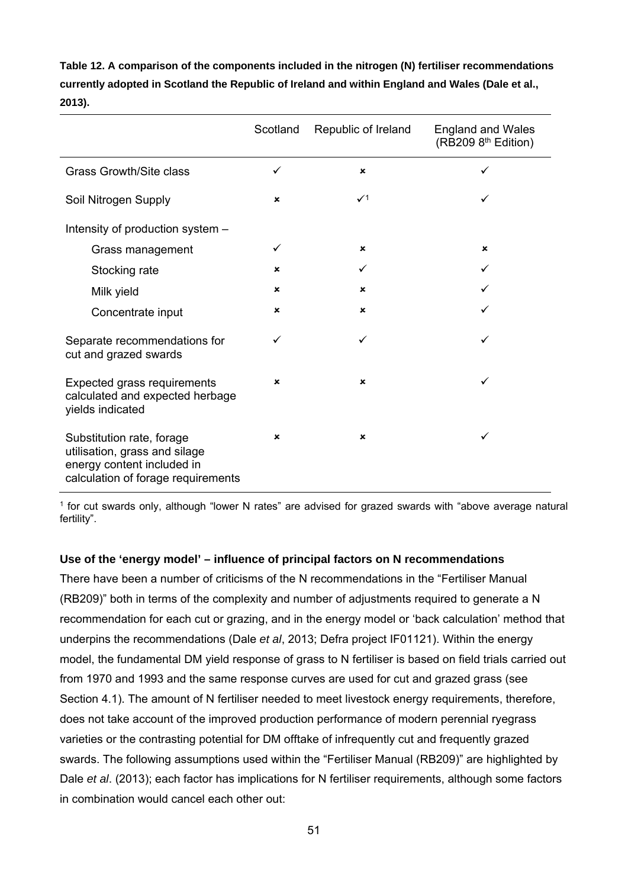| Table 12. A comparison of the components included in the nitrogen (N) fertiliser recommendations |
|--------------------------------------------------------------------------------------------------|
| currently adopted in Scotland the Republic of Ireland and within England and Wales (Dale et al., |
| 2013).                                                                                           |

|                                                                                                                                | Scotland                  | Republic of Ireland | <b>England and Wales</b><br>(RB209 8 <sup>th</sup> Edition) |
|--------------------------------------------------------------------------------------------------------------------------------|---------------------------|---------------------|-------------------------------------------------------------|
| <b>Grass Growth/Site class</b>                                                                                                 | ✓                         | ×                   | ✓                                                           |
| Soil Nitrogen Supply                                                                                                           | $\pmb{\times}$            | $\checkmark$        | ✓                                                           |
| Intensity of production system -                                                                                               |                           |                     |                                                             |
| Grass management                                                                                                               | ✓                         | ×                   | $\pmb{\times}$                                              |
| Stocking rate                                                                                                                  | $\pmb{\times}$            | ✓                   | ✓                                                           |
| Milk yield                                                                                                                     | $\boldsymbol{\mathsf{x}}$ | ×                   |                                                             |
| Concentrate input                                                                                                              | $\pmb{\times}$            | ×                   |                                                             |
| Separate recommendations for<br>cut and grazed swards                                                                          | ✓                         | ✓                   | ✓                                                           |
| Expected grass requirements<br>calculated and expected herbage<br>yields indicated                                             | ×                         | ×                   | ✓                                                           |
| Substitution rate, forage<br>utilisation, grass and silage<br>energy content included in<br>calculation of forage requirements | $\pmb{\times}$            | ×                   | ✓                                                           |

1 for cut swards only, although "lower N rates" are advised for grazed swards with "above average natural fertility".

# **Use of the 'energy model' – influence of principal factors on N recommendations**

There have been a number of criticisms of the N recommendations in the "Fertiliser Manual (RB209)" both in terms of the complexity and number of adjustments required to generate a N recommendation for each cut or grazing, and in the energy model or 'back calculation' method that underpins the recommendations (Dale *et al*, 2013; Defra project IF01121). Within the energy model, the fundamental DM yield response of grass to N fertiliser is based on field trials carried out from 1970 and 1993 and the same response curves are used for cut and grazed grass (see Section 4.1). The amount of N fertiliser needed to meet livestock energy requirements, therefore, does not take account of the improved production performance of modern perennial ryegrass varieties or the contrasting potential for DM offtake of infrequently cut and frequently grazed swards. The following assumptions used within the "Fertiliser Manual (RB209)" are highlighted by Dale *et al*. (2013); each factor has implications for N fertiliser requirements, although some factors in combination would cancel each other out: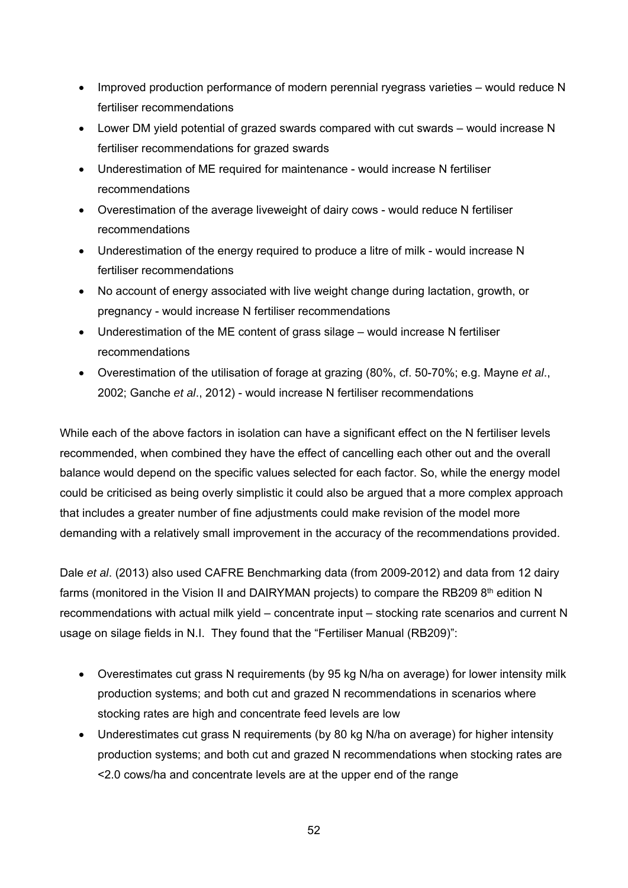- Improved production performance of modern perennial ryegrass varieties would reduce N fertiliser recommendations
- Lower DM yield potential of grazed swards compared with cut swards would increase N fertiliser recommendations for grazed swards
- Underestimation of ME required for maintenance would increase N fertiliser recommendations
- Overestimation of the average liveweight of dairy cows would reduce N fertiliser recommendations
- Underestimation of the energy required to produce a litre of milk would increase N fertiliser recommendations
- No account of energy associated with live weight change during lactation, growth, or pregnancy - would increase N fertiliser recommendations
- Underestimation of the ME content of grass silage would increase N fertiliser recommendations
- Overestimation of the utilisation of forage at grazing (80%, cf. 50-70%; e.g. Mayne *et al*., 2002; Ganche *et al*., 2012) - would increase N fertiliser recommendations

While each of the above factors in isolation can have a significant effect on the N fertiliser levels recommended, when combined they have the effect of cancelling each other out and the overall balance would depend on the specific values selected for each factor. So, while the energy model could be criticised as being overly simplistic it could also be argued that a more complex approach that includes a greater number of fine adjustments could make revision of the model more demanding with a relatively small improvement in the accuracy of the recommendations provided.

Dale *et al*. (2013) also used CAFRE Benchmarking data (from 2009-2012) and data from 12 dairy farms (monitored in the Vision II and DAIRYMAN projects) to compare the RB209 8<sup>th</sup> edition N recommendations with actual milk yield – concentrate input – stocking rate scenarios and current N usage on silage fields in N.I. They found that the "Fertiliser Manual (RB209)":

- Overestimates cut grass N requirements (by 95 kg N/ha on average) for lower intensity milk production systems; and both cut and grazed N recommendations in scenarios where stocking rates are high and concentrate feed levels are low
- Underestimates cut grass N requirements (by 80 kg N/ha on average) for higher intensity production systems; and both cut and grazed N recommendations when stocking rates are <2.0 cows/ha and concentrate levels are at the upper end of the range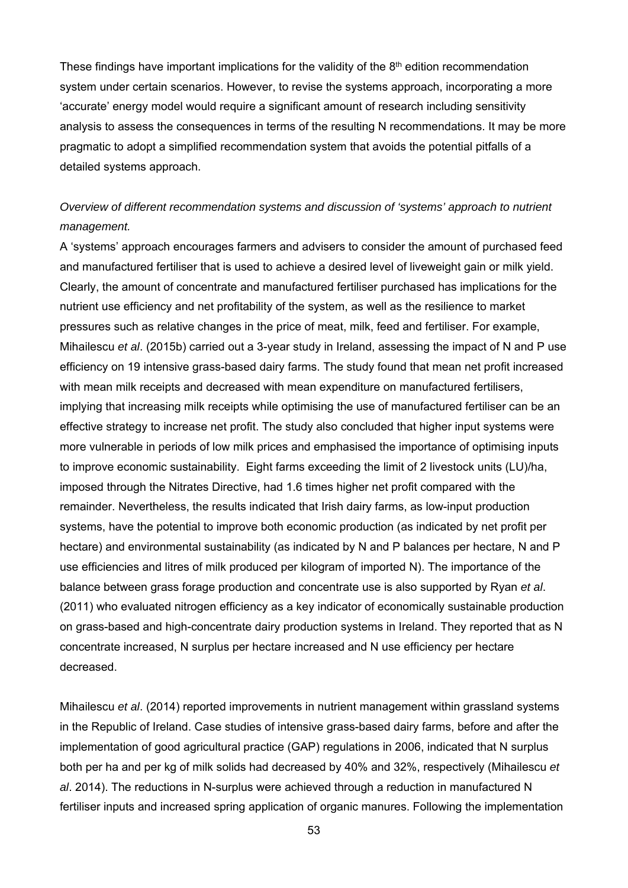These findings have important implications for the validity of the  $8<sup>th</sup>$  edition recommendation system under certain scenarios. However, to revise the systems approach, incorporating a more 'accurate' energy model would require a significant amount of research including sensitivity analysis to assess the consequences in terms of the resulting N recommendations. It may be more pragmatic to adopt a simplified recommendation system that avoids the potential pitfalls of a detailed systems approach.

# *Overview of different recommendation systems and discussion of 'systems' approach to nutrient management.*

A 'systems' approach encourages farmers and advisers to consider the amount of purchased feed and manufactured fertiliser that is used to achieve a desired level of liveweight gain or milk yield. Clearly, the amount of concentrate and manufactured fertiliser purchased has implications for the nutrient use efficiency and net profitability of the system, as well as the resilience to market pressures such as relative changes in the price of meat, milk, feed and fertiliser. For example, Mihailescu *et al*. (2015b) carried out a 3-year study in Ireland, assessing the impact of N and P use efficiency on 19 intensive grass-based dairy farms. The study found that mean net profit increased with mean milk receipts and decreased with mean expenditure on manufactured fertilisers, implying that increasing milk receipts while optimising the use of manufactured fertiliser can be an effective strategy to increase net profit. The study also concluded that higher input systems were more vulnerable in periods of low milk prices and emphasised the importance of optimising inputs to improve economic sustainability. Eight farms exceeding the limit of 2 livestock units (LU)/ha, imposed through the Nitrates Directive, had 1.6 times higher net profit compared with the remainder. Nevertheless, the results indicated that Irish dairy farms, as low-input production systems, have the potential to improve both economic production (as indicated by net profit per hectare) and environmental sustainability (as indicated by N and P balances per hectare, N and P use efficiencies and litres of milk produced per kilogram of imported N). The importance of the balance between grass forage production and concentrate use is also supported by Ryan *et al*. (2011) who evaluated nitrogen efficiency as a key indicator of economically sustainable production on grass-based and high-concentrate dairy production systems in Ireland. They reported that as N concentrate increased, N surplus per hectare increased and N use efficiency per hectare decreased.

Mihailescu *et al*. (2014) reported improvements in nutrient management within grassland systems in the Republic of Ireland. Case studies of intensive grass-based dairy farms, before and after the implementation of good agricultural practice (GAP) regulations in 2006, indicated that N surplus both per ha and per kg of milk solids had decreased by 40% and 32%, respectively (Mihailescu *et al*. 2014). The reductions in N-surplus were achieved through a reduction in manufactured N fertiliser inputs and increased spring application of organic manures. Following the implementation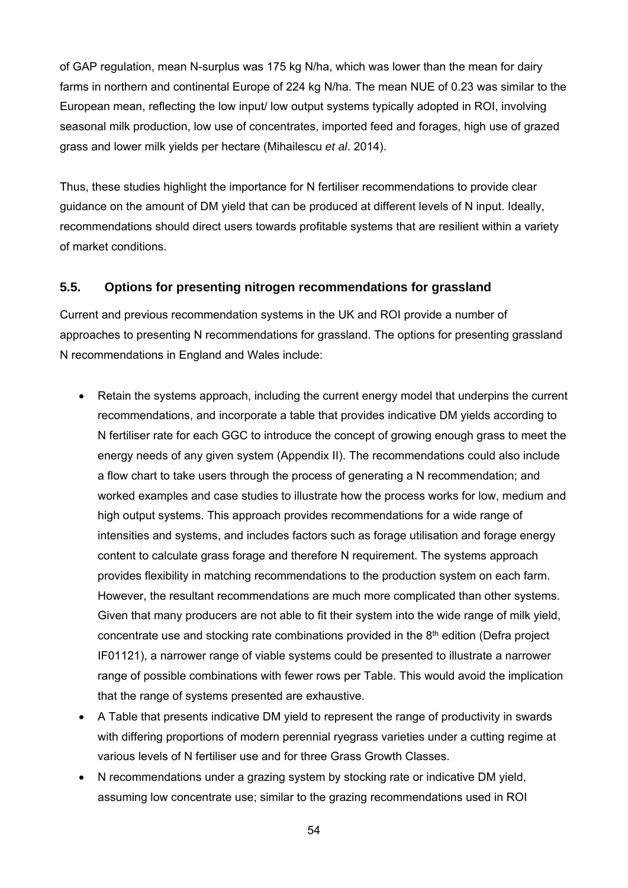of GAP regulation, mean N-surplus was 175 kg N/ha, which was lower than the mean for dairy farms in northern and continental Europe of 224 kg N/ha. The mean NUE of 0.23 was similar to the European mean, reflecting the low input/ low output systems typically adopted in ROI, involving seasonal milk production, low use of concentrates, imported feed and forages, high use of grazed grass and lower milk yields per hectare (Mihailescu *et al*. 2014).

Thus, these studies highlight the importance for N fertiliser recommendations to provide clear guidance on the amount of DM yield that can be produced at different levels of N input. Ideally, recommendations should direct users towards profitable systems that are resilient within a variety of market conditions.

# **5.5. Options for presenting nitrogen recommendations for grassland**

Current and previous recommendation systems in the UK and ROI provide a number of approaches to presenting N recommendations for grassland. The options for presenting grassland N recommendations in England and Wales include:

- Retain the systems approach, including the current energy model that underpins the current recommendations, and incorporate a table that provides indicative DM yields according to N fertiliser rate for each GGC to introduce the concept of growing enough grass to meet the energy needs of any given system (Appendix II). The recommendations could also include a flow chart to take users through the process of generating a N recommendation; and worked examples and case studies to illustrate how the process works for low, medium and high output systems. This approach provides recommendations for a wide range of intensities and systems, and includes factors such as forage utilisation and forage energy content to calculate grass forage and therefore N requirement. The systems approach provides flexibility in matching recommendations to the production system on each farm. However, the resultant recommendations are much more complicated than other systems. Given that many producers are not able to fit their system into the wide range of milk yield, concentrate use and stocking rate combinations provided in the 8<sup>th</sup> edition (Defra project IF01121), a narrower range of viable systems could be presented to illustrate a narrower range of possible combinations with fewer rows per Table. This would avoid the implication that the range of systems presented are exhaustive.
- A Table that presents indicative DM yield to represent the range of productivity in swards with differing proportions of modern perennial ryegrass varieties under a cutting regime at various levels of N fertiliser use and for three Grass Growth Classes.
- N recommendations under a grazing system by stocking rate or indicative DM yield, assuming low concentrate use; similar to the grazing recommendations used in ROI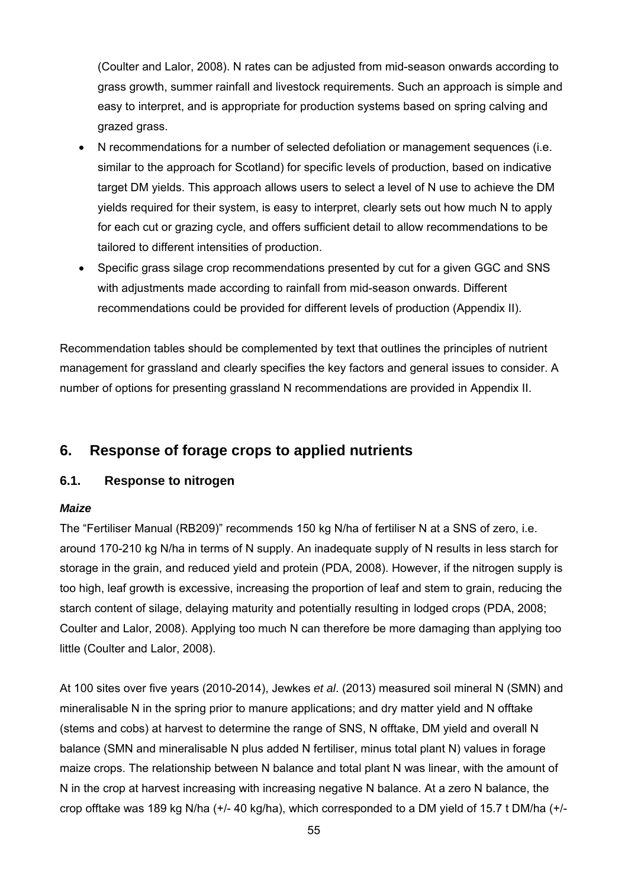(Coulter and Lalor, 2008). N rates can be adjusted from mid-season onwards according to grass growth, summer rainfall and livestock requirements. Such an approach is simple and easy to interpret, and is appropriate for production systems based on spring calving and grazed grass.

- N recommendations for a number of selected defoliation or management sequences (i.e. similar to the approach for Scotland) for specific levels of production, based on indicative target DM yields. This approach allows users to select a level of N use to achieve the DM yields required for their system, is easy to interpret, clearly sets out how much N to apply for each cut or grazing cycle, and offers sufficient detail to allow recommendations to be tailored to different intensities of production.
- Specific grass silage crop recommendations presented by cut for a given GGC and SNS with adjustments made according to rainfall from mid-season onwards. Different recommendations could be provided for different levels of production (Appendix II).

Recommendation tables should be complemented by text that outlines the principles of nutrient management for grassland and clearly specifies the key factors and general issues to consider. A number of options for presenting grassland N recommendations are provided in Appendix II.

# **6. Response of forage crops to applied nutrients**

# **6.1. Response to nitrogen**

# *Maize*

The "Fertiliser Manual (RB209)" recommends 150 kg N/ha of fertiliser N at a SNS of zero, i.e. around 170-210 kg N/ha in terms of N supply. An inadequate supply of N results in less starch for storage in the grain, and reduced yield and protein (PDA, 2008). However, if the nitrogen supply is too high, leaf growth is excessive, increasing the proportion of leaf and stem to grain, reducing the starch content of silage, delaying maturity and potentially resulting in lodged crops (PDA, 2008; Coulter and Lalor, 2008). Applying too much N can therefore be more damaging than applying too little (Coulter and Lalor, 2008).

At 100 sites over five years (2010-2014), Jewkes *et al*. (2013) measured soil mineral N (SMN) and mineralisable N in the spring prior to manure applications; and dry matter yield and N offtake (stems and cobs) at harvest to determine the range of SNS, N offtake, DM yield and overall N balance (SMN and mineralisable N plus added N fertiliser, minus total plant N) values in forage maize crops. The relationship between N balance and total plant N was linear, with the amount of N in the crop at harvest increasing with increasing negative N balance. At a zero N balance, the crop offtake was 189 kg N/ha (+/- 40 kg/ha), which corresponded to a DM yield of 15.7 t DM/ha (+/-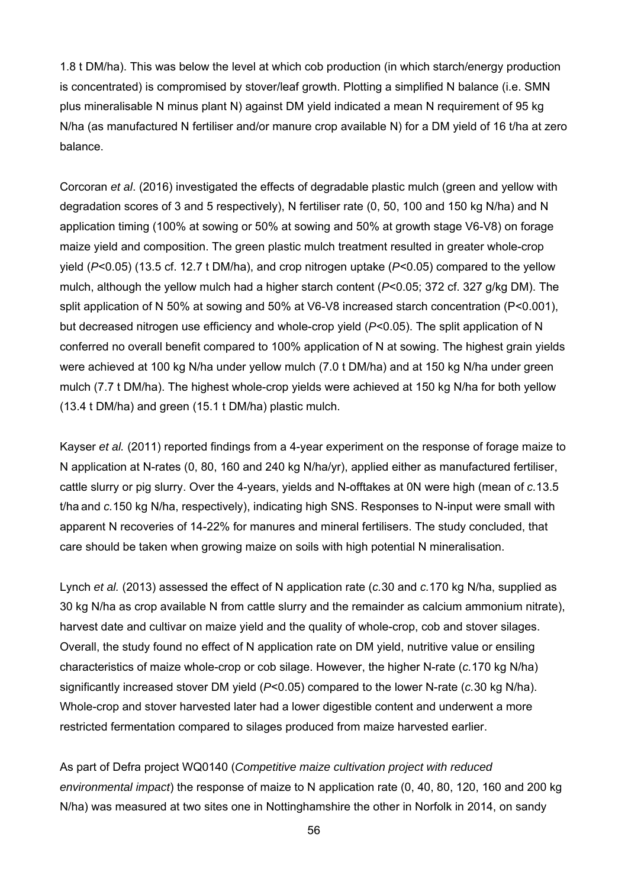1.8 t DM/ha). This was below the level at which cob production (in which starch/energy production is concentrated) is compromised by stover/leaf growth. Plotting a simplified N balance (i.e. SMN plus mineralisable N minus plant N) against DM yield indicated a mean N requirement of 95 kg N/ha (as manufactured N fertiliser and/or manure crop available N) for a DM yield of 16 t/ha at zero balance.

Corcoran *et al*. (2016) investigated the effects of degradable plastic mulch (green and yellow with degradation scores of 3 and 5 respectively), N fertiliser rate (0, 50, 100 and 150 kg N/ha) and N application timing (100% at sowing or 50% at sowing and 50% at growth stage V6-V8) on forage maize yield and composition. The green plastic mulch treatment resulted in greater whole-crop yield (*P*<0.05) (13.5 cf. 12.7 t DM/ha), and crop nitrogen uptake (*P*<0.05) compared to the yellow mulch, although the yellow mulch had a higher starch content (*P*<0.05; 372 cf. 327 g/kg DM). The split application of N 50% at sowing and 50% at V6-V8 increased starch concentration (P<0.001), but decreased nitrogen use efficiency and whole-crop yield (*P*<0.05). The split application of N conferred no overall benefit compared to 100% application of N at sowing. The highest grain yields were achieved at 100 kg N/ha under yellow mulch (7.0 t DM/ha) and at 150 kg N/ha under green mulch (7.7 t DM/ha). The highest whole-crop yields were achieved at 150 kg N/ha for both yellow (13.4 t DM/ha) and green (15.1 t DM/ha) plastic mulch.

Kayser *et al.* (2011) reported findings from a 4-year experiment on the response of forage maize to N application at N-rates (0, 80, 160 and 240 kg N/ha/yr), applied either as manufactured fertiliser, cattle slurry or pig slurry. Over the 4-years, yields and N-offtakes at 0N were high (mean of *c.*13.5 t/ha and *c.*150 kg N/ha, respectively), indicating high SNS. Responses to N-input were small with apparent N recoveries of 14-22% for manures and mineral fertilisers. The study concluded, that care should be taken when growing maize on soils with high potential N mineralisation.

Lynch *et al.* (2013) assessed the effect of N application rate (*c.*30 and *c.*170 kg N/ha, supplied as 30 kg N/ha as crop available N from cattle slurry and the remainder as calcium ammonium nitrate), harvest date and cultivar on maize yield and the quality of whole-crop, cob and stover silages. Overall, the study found no effect of N application rate on DM yield, nutritive value or ensiling characteristics of maize whole-crop or cob silage. However, the higher N-rate (*c.*170 kg N/ha) significantly increased stover DM yield (*P*<0.05) compared to the lower N-rate (*c.*30 kg N/ha). Whole-crop and stover harvested later had a lower digestible content and underwent a more restricted fermentation compared to silages produced from maize harvested earlier.

As part of Defra project WQ0140 (*Competitive maize cultivation project with reduced environmental impact*) the response of maize to N application rate (0, 40, 80, 120, 160 and 200 kg N/ha) was measured at two sites one in Nottinghamshire the other in Norfolk in 2014, on sandy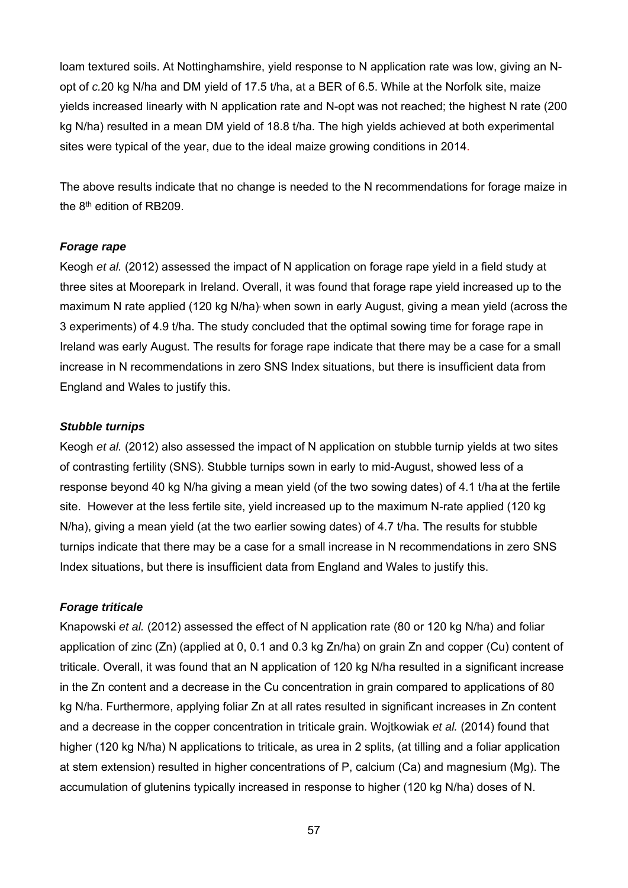loam textured soils. At Nottinghamshire, yield response to N application rate was low, giving an Nopt of *c.*20 kg N/ha and DM yield of 17.5 t/ha, at a BER of 6.5. While at the Norfolk site, maize yields increased linearly with N application rate and N-opt was not reached; the highest N rate (200 kg N/ha) resulted in a mean DM yield of 18.8 t/ha. The high yields achieved at both experimental sites were typical of the year, due to the ideal maize growing conditions in 2014.

The above results indicate that no change is needed to the N recommendations for forage maize in the 8th edition of RB209.

#### *Forage rape*

Keogh *et al.* (2012) assessed the impact of N application on forage rape yield in a field study at three sites at Moorepark in Ireland. Overall, it was found that forage rape yield increased up to the maximum N rate applied (120 kg N/ha) when sown in early August, giving a mean yield (across the 3 experiments) of 4.9 t/ha. The study concluded that the optimal sowing time for forage rape in Ireland was early August. The results for forage rape indicate that there may be a case for a small increase in N recommendations in zero SNS Index situations, but there is insufficient data from England and Wales to justify this.

#### *Stubble turnips*

Keogh *et al.* (2012) also assessed the impact of N application on stubble turnip yields at two sites of contrasting fertility (SNS). Stubble turnips sown in early to mid-August, showed less of a response beyond 40 kg N/ha giving a mean yield (of the two sowing dates) of 4.1 t/ha at the fertile site. However at the less fertile site, yield increased up to the maximum N-rate applied (120 kg N/ha), giving a mean yield (at the two earlier sowing dates) of 4.7 t/ha. The results for stubble turnips indicate that there may be a case for a small increase in N recommendations in zero SNS Index situations, but there is insufficient data from England and Wales to justify this.

# *Forage triticale*

Knapowski *et al.* (2012) assessed the effect of N application rate (80 or 120 kg N/ha) and foliar application of zinc (Zn) (applied at 0, 0.1 and 0.3 kg Zn/ha) on grain Zn and copper (Cu) content of triticale. Overall, it was found that an N application of 120 kg N/ha resulted in a significant increase in the Zn content and a decrease in the Cu concentration in grain compared to applications of 80 kg N/ha. Furthermore, applying foliar Zn at all rates resulted in significant increases in Zn content and a decrease in the copper concentration in triticale grain. Wojtkowiak *et al.* (2014) found that higher (120 kg N/ha) N applications to triticale, as urea in 2 splits, (at tilling and a foliar application at stem extension) resulted in higher concentrations of P, calcium (Ca) and magnesium (Mg). The accumulation of glutenins typically increased in response to higher (120 kg N/ha) doses of N.

57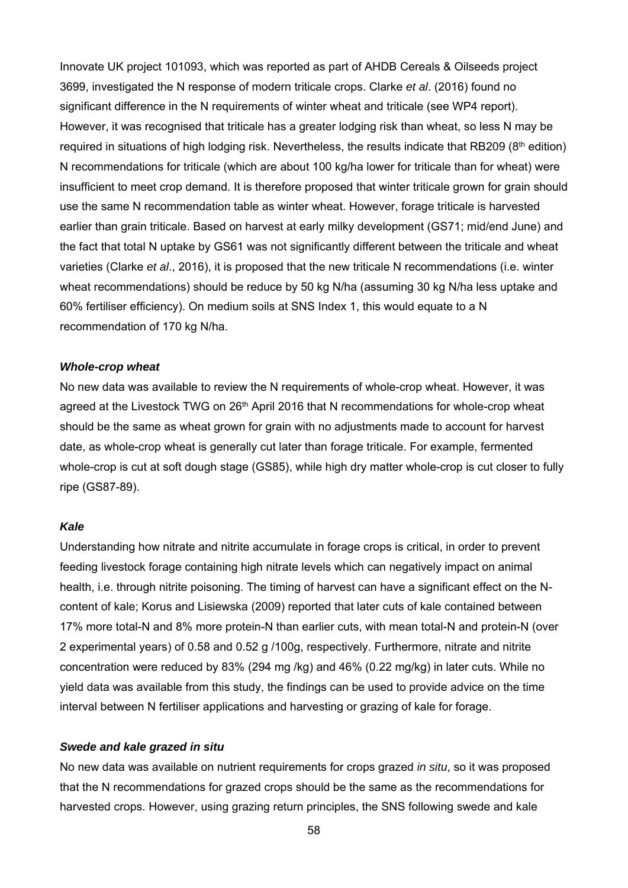Innovate UK project 101093, which was reported as part of AHDB Cereals & Oilseeds project 3699, investigated the N response of modern triticale crops. Clarke *et al*. (2016) found no significant difference in the N requirements of winter wheat and triticale (see WP4 report). However, it was recognised that triticale has a greater lodging risk than wheat, so less N may be required in situations of high lodging risk. Nevertheless, the results indicate that RB209 (8<sup>th</sup> edition) N recommendations for triticale (which are about 100 kg/ha lower for triticale than for wheat) were insufficient to meet crop demand. It is therefore proposed that winter triticale grown for grain should use the same N recommendation table as winter wheat. However, forage triticale is harvested earlier than grain triticale. Based on harvest at early milky development (GS71; mid/end June) and the fact that total N uptake by GS61 was not significantly different between the triticale and wheat varieties (Clarke *et al*., 2016), it is proposed that the new triticale N recommendations (i.e. winter wheat recommendations) should be reduce by 50 kg N/ha (assuming 30 kg N/ha less uptake and 60% fertiliser efficiency). On medium soils at SNS Index 1, this would equate to a N recommendation of 170 kg N/ha.

#### *Whole-crop wheat*

No new data was available to review the N requirements of whole-crop wheat. However, it was agreed at the Livestock TWG on  $26<sup>th</sup>$  April 2016 that N recommendations for whole-crop wheat should be the same as wheat grown for grain with no adjustments made to account for harvest date, as whole-crop wheat is generally cut later than forage triticale. For example, fermented whole-crop is cut at soft dough stage (GS85), while high dry matter whole-crop is cut closer to fully ripe (GS87-89).

#### *Kale*

Understanding how nitrate and nitrite accumulate in forage crops is critical, in order to prevent feeding livestock forage containing high nitrate levels which can negatively impact on animal health, i.e. through nitrite poisoning. The timing of harvest can have a significant effect on the Ncontent of kale; Korus and Lisiewska (2009) reported that later cuts of kale contained between 17% more total-N and 8% more protein-N than earlier cuts, with mean total-N and protein-N (over 2 experimental years) of 0.58 and 0.52 g /100g, respectively. Furthermore, nitrate and nitrite concentration were reduced by 83% (294 mg /kg) and 46% (0.22 mg/kg) in later cuts. While no yield data was available from this study, the findings can be used to provide advice on the time interval between N fertiliser applications and harvesting or grazing of kale for forage.

#### *Swede and kale grazed in situ*

No new data was available on nutrient requirements for crops grazed *in situ*, so it was proposed that the N recommendations for grazed crops should be the same as the recommendations for harvested crops. However, using grazing return principles, the SNS following swede and kale

58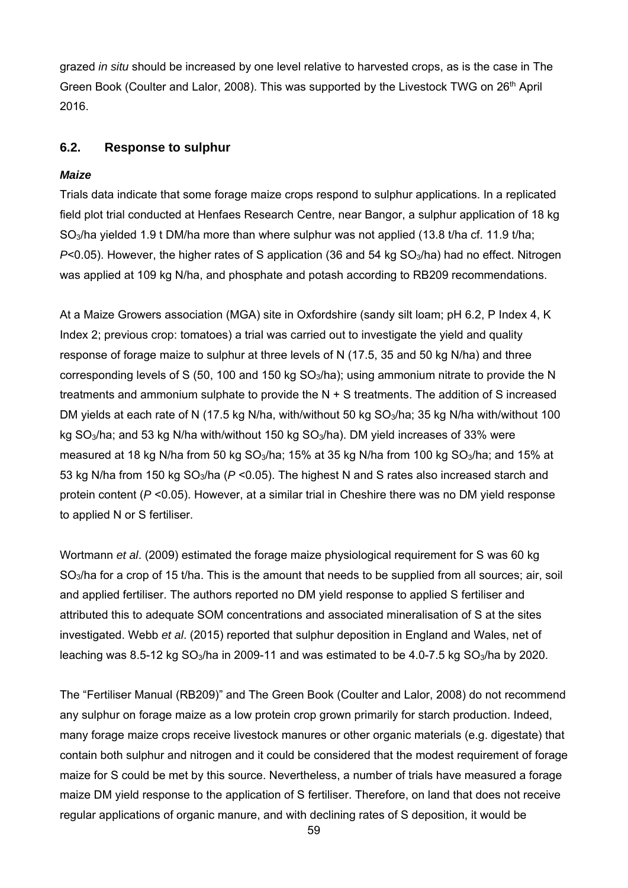grazed *in situ* should be increased by one level relative to harvested crops, as is the case in The Green Book (Coulter and Lalor, 2008). This was supported by the Livestock TWG on 26<sup>th</sup> April 2016.

# **6.2. Response to sulphur**

### *Maize*

Trials data indicate that some forage maize crops respond to sulphur applications. In a replicated field plot trial conducted at Henfaes Research Centre, near Bangor, a sulphur application of 18 kg SO<sub>3</sub>/ha yielded 1.9 t DM/ha more than where sulphur was not applied (13.8 t/ha cf. 11.9 t/ha; *P*<0.05). However, the higher rates of S application (36 and 54 kg SO<sub>3</sub>/ha) had no effect. Nitrogen was applied at 109 kg N/ha, and phosphate and potash according to RB209 recommendations.

At a Maize Growers association (MGA) site in Oxfordshire (sandy silt loam; pH 6.2, P Index 4, K Index 2; previous crop: tomatoes) a trial was carried out to investigate the yield and quality response of forage maize to sulphur at three levels of N (17.5, 35 and 50 kg N/ha) and three corresponding levels of S (50, 100 and 150 kg  $SO<sub>3</sub>/ha$ ); using ammonium nitrate to provide the N treatments and ammonium sulphate to provide the N + S treatments. The addition of S increased DM yields at each rate of N (17.5 kg N/ha, with/without 50 kg SO<sub>3</sub>/ha; 35 kg N/ha with/without 100 kg  $SO<sub>3</sub>/ha$ ; and 53 kg N/ha with/without 150 kg  $SO<sub>3</sub>/ha$ ). DM yield increases of 33% were measured at 18 kg N/ha from 50 kg SO<sub>3</sub>/ha; 15% at 35 kg N/ha from 100 kg SO<sub>3</sub>/ha; and 15% at 53 kg N/ha from 150 kg SO3/ha (*P* <0.05). The highest N and S rates also increased starch and protein content (*P* <0.05). However, at a similar trial in Cheshire there was no DM yield response to applied N or S fertiliser.

Wortmann *et al*. (2009) estimated the forage maize physiological requirement for S was 60 kg SO<sub>3</sub>/ha for a crop of 15 t/ha. This is the amount that needs to be supplied from all sources; air, soil and applied fertiliser. The authors reported no DM yield response to applied S fertiliser and attributed this to adequate SOM concentrations and associated mineralisation of S at the sites investigated. Webb *et al*. (2015) reported that sulphur deposition in England and Wales, net of leaching was 8.5-12 kg  $SO_3/ha$  in 2009-11 and was estimated to be 4.0-7.5 kg  $SO_3/ha$  by 2020.

The "Fertiliser Manual (RB209)" and The Green Book (Coulter and Lalor, 2008) do not recommend any sulphur on forage maize as a low protein crop grown primarily for starch production. Indeed, many forage maize crops receive livestock manures or other organic materials (e.g. digestate) that contain both sulphur and nitrogen and it could be considered that the modest requirement of forage maize for S could be met by this source. Nevertheless, a number of trials have measured a forage maize DM yield response to the application of S fertiliser. Therefore, on land that does not receive regular applications of organic manure, and with declining rates of S deposition, it would be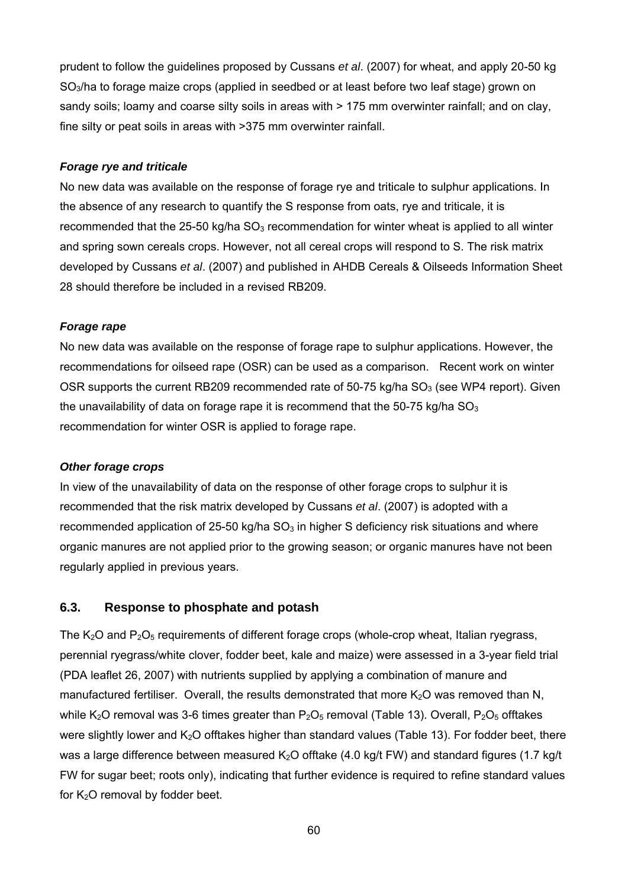prudent to follow the guidelines proposed by Cussans *et al*. (2007) for wheat, and apply 20-50 kg SO3/ha to forage maize crops (applied in seedbed or at least before two leaf stage) grown on sandy soils; loamy and coarse silty soils in areas with > 175 mm overwinter rainfall; and on clay, fine silty or peat soils in areas with >375 mm overwinter rainfall.

#### *Forage rye and triticale*

No new data was available on the response of forage rye and triticale to sulphur applications. In the absence of any research to quantify the S response from oats, rye and triticale, it is recommended that the 25-50 kg/ha  $SO<sub>3</sub>$  recommendation for winter wheat is applied to all winter and spring sown cereals crops. However, not all cereal crops will respond to S. The risk matrix developed by Cussans *et al*. (2007) and published in AHDB Cereals & Oilseeds Information Sheet 28 should therefore be included in a revised RB209.

#### *Forage rape*

No new data was available on the response of forage rape to sulphur applications. However, the recommendations for oilseed rape (OSR) can be used as a comparison. Recent work on winter OSR supports the current RB209 recommended rate of 50-75 kg/ha  $SO<sub>3</sub>$  (see WP4 report). Given the unavailability of data on forage rape it is recommend that the  $50-75$  kg/ha  $SO<sub>3</sub>$ recommendation for winter OSR is applied to forage rape.

# *Other forage crops*

In view of the unavailability of data on the response of other forage crops to sulphur it is recommended that the risk matrix developed by Cussans *et al*. (2007) is adopted with a recommended application of 25-50 kg/ha  $SO<sub>3</sub>$  in higher S deficiency risk situations and where organic manures are not applied prior to the growing season; or organic manures have not been regularly applied in previous years.

# **6.3. Response to phosphate and potash**

The  $K_2O$  and  $P_2O_5$  requirements of different forage crops (whole-crop wheat, Italian ryegrass, perennial ryegrass/white clover, fodder beet, kale and maize) were assessed in a 3-year field trial (PDA leaflet 26, 2007) with nutrients supplied by applying a combination of manure and manufactured fertiliser. Overall, the results demonstrated that more  $K<sub>2</sub>O$  was removed than N, while K<sub>2</sub>O removal was 3-6 times greater than  $P_2O_5$  removal (Table 13). Overall,  $P_2O_5$  offtakes were slightly lower and K<sub>2</sub>O offtakes higher than standard values (Table 13). For fodder beet, there was a large difference between measured  $K_2O$  offtake (4.0 kg/t FW) and standard figures (1.7 kg/t FW for sugar beet; roots only), indicating that further evidence is required to refine standard values for  $K<sub>2</sub>O$  removal by fodder beet.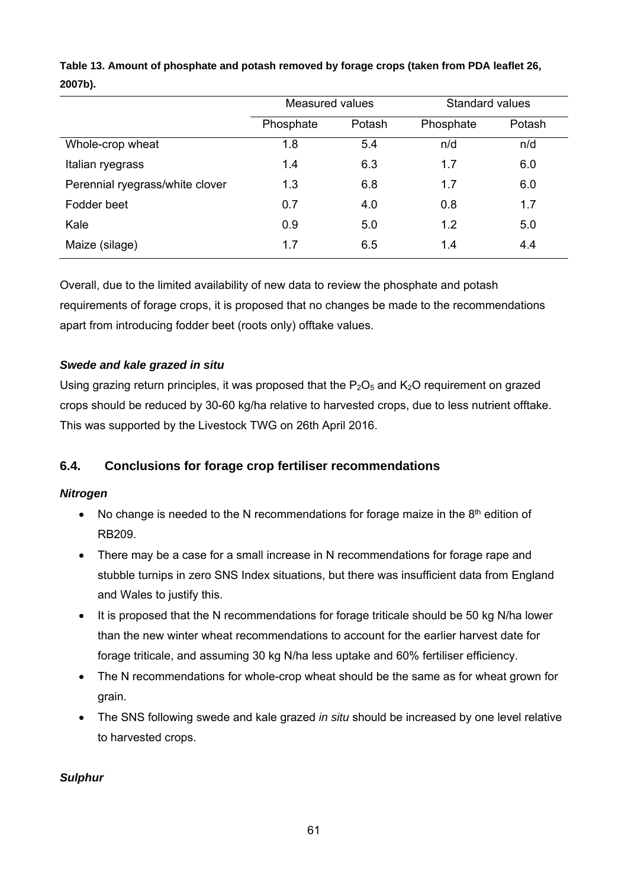|                                 | <b>Measured values</b> |        | Standard values |        |  |
|---------------------------------|------------------------|--------|-----------------|--------|--|
|                                 | Phosphate              | Potash | Phosphate       | Potash |  |
| Whole-crop wheat                | 1.8                    | 5.4    | n/d             | n/d    |  |
| Italian ryegrass                | 1.4                    | 6.3    | 1.7             | 6.0    |  |
| Perennial ryegrass/white clover | 1.3                    | 6.8    | 1.7             | 6.0    |  |
| Fodder beet                     | 0.7                    | 4.0    | 0.8             | 1.7    |  |
| Kale                            | 0.9                    | 5.0    | 1.2             | 5.0    |  |
| Maize (silage)                  | 1.7                    | 6.5    | 1.4             | 4.4    |  |

**Table 13. Amount of phosphate and potash removed by forage crops (taken from PDA leaflet 26, 2007b).** 

Overall, due to the limited availability of new data to review the phosphate and potash requirements of forage crops, it is proposed that no changes be made to the recommendations apart from introducing fodder beet (roots only) offtake values.

# *Swede and kale grazed in situ*

Using grazing return principles, it was proposed that the  $P_2O_5$  and  $K_2O$  requirement on grazed crops should be reduced by 30-60 kg/ha relative to harvested crops, due to less nutrient offtake. This was supported by the Livestock TWG on 26th April 2016.

# **6.4. Conclusions for forage crop fertiliser recommendations**

# *Nitrogen*

- No change is needed to the N recommendations for forage maize in the  $8<sup>th</sup>$  edition of RB209.
- There may be a case for a small increase in N recommendations for forage rape and stubble turnips in zero SNS Index situations, but there was insufficient data from England and Wales to justify this.
- It is proposed that the N recommendations for forage triticale should be 50 kg N/ha lower than the new winter wheat recommendations to account for the earlier harvest date for forage triticale, and assuming 30 kg N/ha less uptake and 60% fertiliser efficiency.
- The N recommendations for whole-crop wheat should be the same as for wheat grown for grain.
- The SNS following swede and kale grazed *in situ* should be increased by one level relative to harvested crops.

# *Sulphur*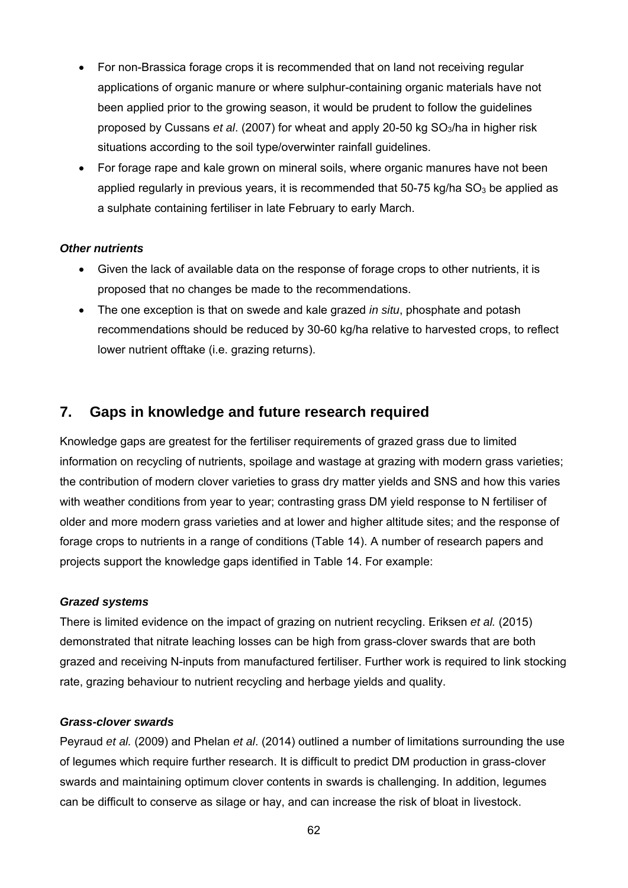- For non-Brassica forage crops it is recommended that on land not receiving regular applications of organic manure or where sulphur-containing organic materials have not been applied prior to the growing season, it would be prudent to follow the guidelines proposed by Cussans *et al*. (2007) for wheat and apply 20-50 kg SO3/ha in higher risk situations according to the soil type/overwinter rainfall guidelines.
- For forage rape and kale grown on mineral soils, where organic manures have not been applied regularly in previous years, it is recommended that  $50-75$  kg/ha  $SO<sub>3</sub>$  be applied as a sulphate containing fertiliser in late February to early March.

#### *Other nutrients*

- Given the lack of available data on the response of forage crops to other nutrients, it is proposed that no changes be made to the recommendations.
- The one exception is that on swede and kale grazed *in situ*, phosphate and potash recommendations should be reduced by 30-60 kg/ha relative to harvested crops, to reflect lower nutrient offtake (i.e. grazing returns).

# **7. Gaps in knowledge and future research required**

Knowledge gaps are greatest for the fertiliser requirements of grazed grass due to limited information on recycling of nutrients, spoilage and wastage at grazing with modern grass varieties; the contribution of modern clover varieties to grass dry matter yields and SNS and how this varies with weather conditions from year to year; contrasting grass DM yield response to N fertiliser of older and more modern grass varieties and at lower and higher altitude sites; and the response of forage crops to nutrients in a range of conditions (Table 14). A number of research papers and projects support the knowledge gaps identified in Table 14. For example:

# *Grazed systems*

There is limited evidence on the impact of grazing on nutrient recycling. Eriksen *et al.* (2015) demonstrated that nitrate leaching losses can be high from grass-clover swards that are both grazed and receiving N-inputs from manufactured fertiliser. Further work is required to link stocking rate, grazing behaviour to nutrient recycling and herbage yields and quality.

#### *Grass-clover swards*

Peyraud *et al.* (2009) and Phelan *et al*. (2014) outlined a number of limitations surrounding the use of legumes which require further research. It is difficult to predict DM production in grass-clover swards and maintaining optimum clover contents in swards is challenging. In addition, legumes can be difficult to conserve as silage or hay, and can increase the risk of bloat in livestock.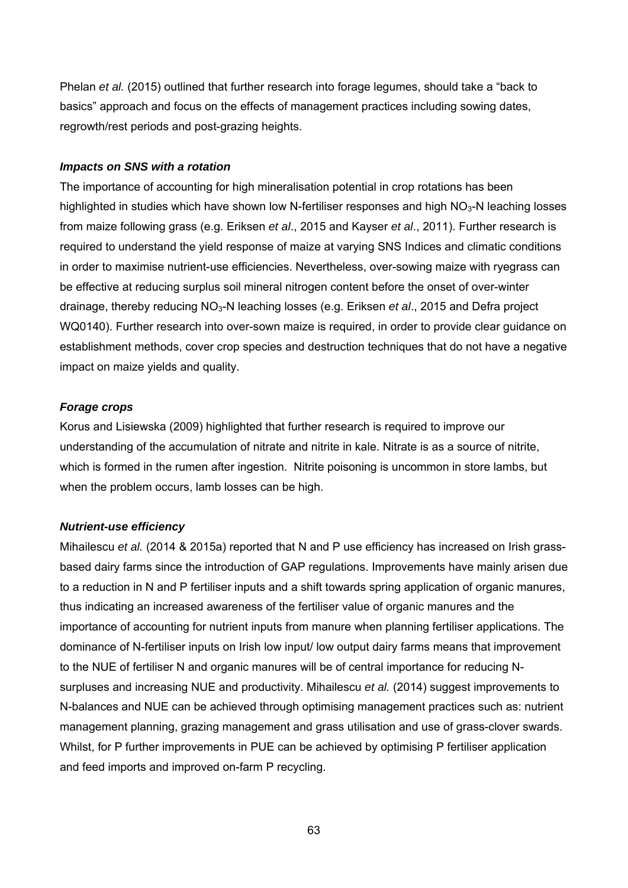Phelan *et al.* (2015) outlined that further research into forage legumes, should take a "back to basics" approach and focus on the effects of management practices including sowing dates, regrowth/rest periods and post-grazing heights.

#### *Impacts on SNS with a rotation*

The importance of accounting for high mineralisation potential in crop rotations has been highlighted in studies which have shown low N-fertiliser responses and high  $NO<sub>3</sub>-N$  leaching losses from maize following grass (e.g. Eriksen *et al*., 2015 and Kayser *et al*., 2011). Further research is required to understand the yield response of maize at varying SNS Indices and climatic conditions in order to maximise nutrient-use efficiencies. Nevertheless, over-sowing maize with ryegrass can be effective at reducing surplus soil mineral nitrogen content before the onset of over-winter drainage, thereby reducing NO3-N leaching losses (e.g. Eriksen *et al*., 2015 and Defra project WQ0140). Further research into over-sown maize is required, in order to provide clear guidance on establishment methods, cover crop species and destruction techniques that do not have a negative impact on maize yields and quality.

#### *Forage crops*

Korus and Lisiewska (2009) highlighted that further research is required to improve our understanding of the accumulation of nitrate and nitrite in kale. Nitrate is as a source of nitrite, which is formed in the rumen after ingestion. Nitrite poisoning is uncommon in store lambs, but when the problem occurs, lamb losses can be high.

# *Nutrient-use efficiency*

Mihailescu *et al.* (2014 & 2015a) reported that N and P use efficiency has increased on Irish grassbased dairy farms since the introduction of GAP regulations. Improvements have mainly arisen due to a reduction in N and P fertiliser inputs and a shift towards spring application of organic manures, thus indicating an increased awareness of the fertiliser value of organic manures and the importance of accounting for nutrient inputs from manure when planning fertiliser applications. The dominance of N-fertiliser inputs on Irish low input/ low output dairy farms means that improvement to the NUE of fertiliser N and organic manures will be of central importance for reducing Nsurpluses and increasing NUE and productivity. Mihailescu *et al.* (2014) suggest improvements to N-balances and NUE can be achieved through optimising management practices such as: nutrient management planning, grazing management and grass utilisation and use of grass-clover swards. Whilst, for P further improvements in PUE can be achieved by optimising P fertiliser application and feed imports and improved on-farm P recycling.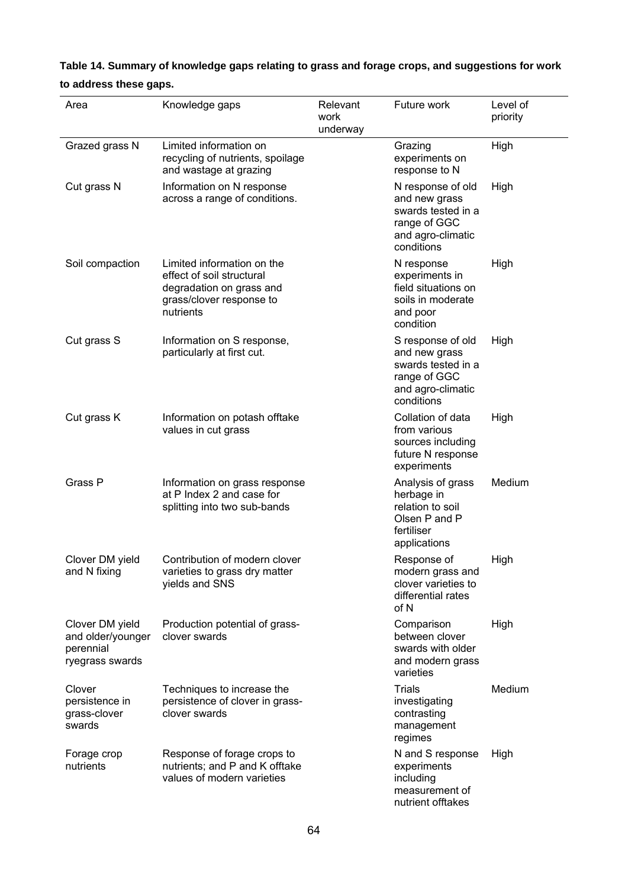| Table 14. Summary of knowledge gaps relating to grass and forage crops, and suggestions for work |
|--------------------------------------------------------------------------------------------------|
| to address these gaps.                                                                           |

| Area                                                                 | Knowledge gaps                                                                                                               | Relevant<br>work<br>underway | Future work                                                                                                 | Level of<br>priority |
|----------------------------------------------------------------------|------------------------------------------------------------------------------------------------------------------------------|------------------------------|-------------------------------------------------------------------------------------------------------------|----------------------|
| Grazed grass N                                                       | Limited information on<br>recycling of nutrients, spoilage<br>and wastage at grazing                                         |                              | Grazing<br>experiments on<br>response to N                                                                  | High                 |
| Cut grass N                                                          | Information on N response<br>across a range of conditions.                                                                   |                              | N response of old<br>and new grass<br>swards tested in a<br>range of GGC<br>and agro-climatic<br>conditions | High                 |
| Soil compaction                                                      | Limited information on the<br>effect of soil structural<br>degradation on grass and<br>grass/clover response to<br>nutrients |                              | N response<br>experiments in<br>field situations on<br>soils in moderate<br>and poor<br>condition           | High                 |
| Cut grass S                                                          | Information on S response,<br>particularly at first cut.                                                                     |                              | S response of old<br>and new grass<br>swards tested in a<br>range of GGC<br>and agro-climatic<br>conditions | High                 |
| Cut grass K                                                          | Information on potash offtake<br>values in cut grass                                                                         |                              | Collation of data<br>from various<br>sources including<br>future N response<br>experiments                  | High                 |
| Grass P                                                              | Information on grass response<br>at P Index 2 and case for<br>splitting into two sub-bands                                   |                              | Analysis of grass<br>herbage in<br>relation to soil<br>Olsen P and P<br>fertiliser<br>applications          | Medium               |
| Clover DM yield<br>and N fixing                                      | Contribution of modern clover<br>varieties to grass dry matter<br>yields and SNS                                             |                              | Response of<br>modern grass and<br>clover varieties to<br>differential rates<br>of N                        | High                 |
| Clover DM yield<br>and older/younger<br>perennial<br>ryegrass swards | Production potential of grass-<br>clover swards                                                                              |                              | Comparison<br>between clover<br>swards with older<br>and modern grass<br>varieties                          | High                 |
| Clover<br>persistence in<br>grass-clover<br>swards                   | Techniques to increase the<br>persistence of clover in grass-<br>clover swards                                               |                              | <b>Trials</b><br>investigating<br>contrasting<br>management<br>regimes                                      | Medium               |
| Forage crop<br>nutrients                                             | Response of forage crops to<br>nutrients; and P and K offtake<br>values of modern varieties                                  |                              | N and S response<br>experiments<br>including<br>measurement of<br>nutrient offtakes                         | High                 |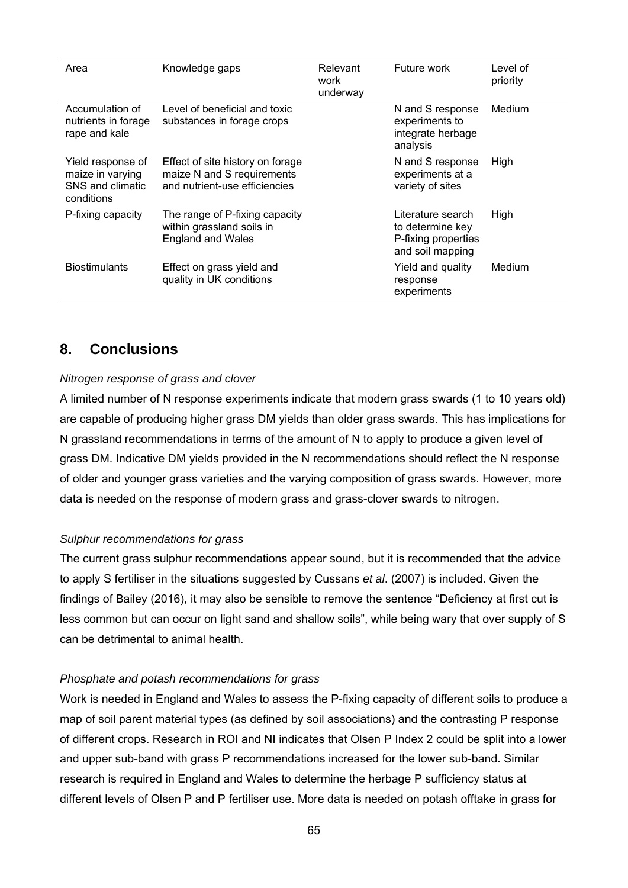| Area                                                                    | Knowledge gaps                                                                                  | Relevant<br>work<br>underway | Future work                                                                      | Level of<br>priority |
|-------------------------------------------------------------------------|-------------------------------------------------------------------------------------------------|------------------------------|----------------------------------------------------------------------------------|----------------------|
| Accumulation of<br>nutrients in forage<br>rape and kale                 | Level of beneficial and toxic<br>substances in forage crops                                     |                              | N and S response<br>experiments to<br>integrate herbage<br>analysis              | Medium               |
| Yield response of<br>maize in varying<br>SNS and climatic<br>conditions | Effect of site history on forage<br>maize N and S requirements<br>and nutrient-use efficiencies |                              | N and S response<br>experiments at a<br>variety of sites                         | High                 |
| P-fixing capacity                                                       | The range of P-fixing capacity<br>within grassland soils in<br><b>England and Wales</b>         |                              | Literature search<br>to determine key<br>P-fixing properties<br>and soil mapping | High                 |
| <b>Biostimulants</b>                                                    | Effect on grass yield and<br>quality in UK conditions                                           |                              | Yield and quality<br>response<br>experiments                                     | Medium               |

# **8. Conclusions**

#### *Nitrogen response of grass and clover*

A limited number of N response experiments indicate that modern grass swards (1 to 10 years old) are capable of producing higher grass DM yields than older grass swards. This has implications for N grassland recommendations in terms of the amount of N to apply to produce a given level of grass DM. Indicative DM yields provided in the N recommendations should reflect the N response of older and younger grass varieties and the varying composition of grass swards. However, more data is needed on the response of modern grass and grass-clover swards to nitrogen.

#### *Sulphur recommendations for grass*

The current grass sulphur recommendations appear sound, but it is recommended that the advice to apply S fertiliser in the situations suggested by Cussans *et al*. (2007) is included. Given the findings of Bailey (2016), it may also be sensible to remove the sentence "Deficiency at first cut is less common but can occur on light sand and shallow soils", while being wary that over supply of S can be detrimental to animal health.

#### *Phosphate and potash recommendations for grass*

Work is needed in England and Wales to assess the P-fixing capacity of different soils to produce a map of soil parent material types (as defined by soil associations) and the contrasting P response of different crops. Research in ROI and NI indicates that Olsen P Index 2 could be split into a lower and upper sub-band with grass P recommendations increased for the lower sub-band. Similar research is required in England and Wales to determine the herbage P sufficiency status at different levels of Olsen P and P fertiliser use. More data is needed on potash offtake in grass for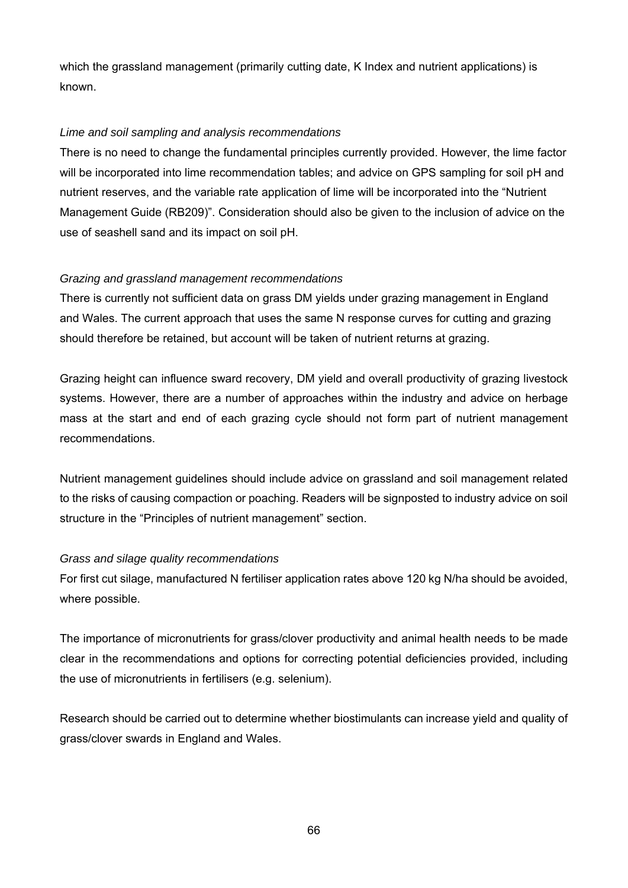which the grassland management (primarily cutting date, K Index and nutrient applications) is known.

### *Lime and soil sampling and analysis recommendations*

There is no need to change the fundamental principles currently provided. However, the lime factor will be incorporated into lime recommendation tables; and advice on GPS sampling for soil pH and nutrient reserves, and the variable rate application of lime will be incorporated into the "Nutrient Management Guide (RB209)". Consideration should also be given to the inclusion of advice on the use of seashell sand and its impact on soil pH.

# *Grazing and grassland management recommendations*

There is currently not sufficient data on grass DM yields under grazing management in England and Wales. The current approach that uses the same N response curves for cutting and grazing should therefore be retained, but account will be taken of nutrient returns at grazing.

Grazing height can influence sward recovery, DM yield and overall productivity of grazing livestock systems. However, there are a number of approaches within the industry and advice on herbage mass at the start and end of each grazing cycle should not form part of nutrient management recommendations.

Nutrient management guidelines should include advice on grassland and soil management related to the risks of causing compaction or poaching. Readers will be signposted to industry advice on soil structure in the "Principles of nutrient management" section.

#### *Grass and silage quality recommendations*

For first cut silage, manufactured N fertiliser application rates above 120 kg N/ha should be avoided, where possible.

The importance of micronutrients for grass/clover productivity and animal health needs to be made clear in the recommendations and options for correcting potential deficiencies provided, including the use of micronutrients in fertilisers (e.g. selenium).

Research should be carried out to determine whether biostimulants can increase yield and quality of grass/clover swards in England and Wales.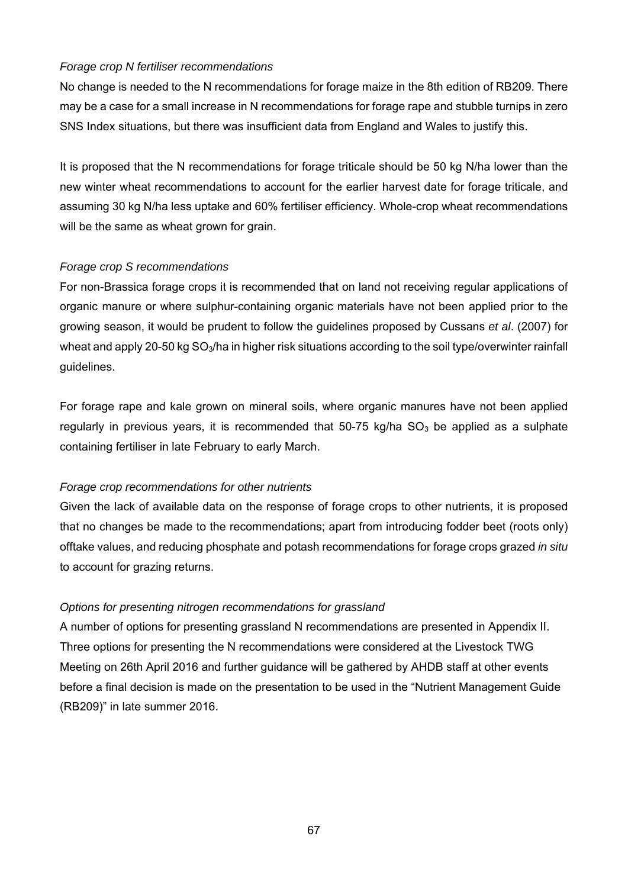### *Forage crop N fertiliser recommendations*

No change is needed to the N recommendations for forage maize in the 8th edition of RB209. There may be a case for a small increase in N recommendations for forage rape and stubble turnips in zero SNS Index situations, but there was insufficient data from England and Wales to justify this.

It is proposed that the N recommendations for forage triticale should be 50 kg N/ha lower than the new winter wheat recommendations to account for the earlier harvest date for forage triticale, and assuming 30 kg N/ha less uptake and 60% fertiliser efficiency. Whole-crop wheat recommendations will be the same as wheat grown for grain.

#### *Forage crop S recommendations*

For non-Brassica forage crops it is recommended that on land not receiving regular applications of organic manure or where sulphur-containing organic materials have not been applied prior to the growing season, it would be prudent to follow the guidelines proposed by Cussans *et al*. (2007) for wheat and apply 20-50 kg SO<sub>3</sub>/ha in higher risk situations according to the soil type/overwinter rainfall guidelines.

For forage rape and kale grown on mineral soils, where organic manures have not been applied regularly in previous years, it is recommended that  $50-75$  kg/ha  $SO<sub>3</sub>$  be applied as a sulphate containing fertiliser in late February to early March.

#### *Forage crop recommendations for other nutrients*

Given the lack of available data on the response of forage crops to other nutrients, it is proposed that no changes be made to the recommendations; apart from introducing fodder beet (roots only) offtake values, and reducing phosphate and potash recommendations for forage crops grazed *in situ* to account for grazing returns.

# *Options for presenting nitrogen recommendations for grassland*

A number of options for presenting grassland N recommendations are presented in Appendix II. Three options for presenting the N recommendations were considered at the Livestock TWG Meeting on 26th April 2016 and further guidance will be gathered by AHDB staff at other events before a final decision is made on the presentation to be used in the "Nutrient Management Guide (RB209)" in late summer 2016.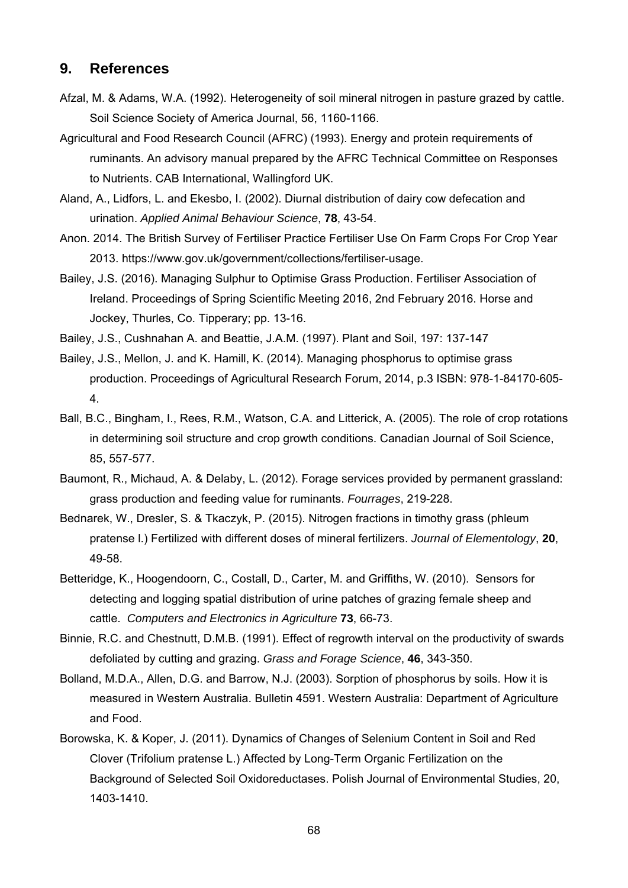# **9. References**

- Afzal, M. & Adams, W.A. (1992). Heterogeneity of soil mineral nitrogen in pasture grazed by cattle. Soil Science Society of America Journal, 56, 1160-1166.
- Agricultural and Food Research Council (AFRC) (1993). Energy and protein requirements of ruminants. An advisory manual prepared by the AFRC Technical Committee on Responses to Nutrients. CAB International, Wallingford UK.
- Aland, A., Lidfors, L. and Ekesbo, I. (2002). Diurnal distribution of dairy cow defecation and urination. *Applied Animal Behaviour Science*, **78**, 43-54.
- Anon. 2014. The British Survey of Fertiliser Practice Fertiliser Use On Farm Crops For Crop Year 2013. https://www.gov.uk/government/collections/fertiliser-usage.
- Bailey, J.S. (2016). Managing Sulphur to Optimise Grass Production. Fertiliser Association of Ireland. Proceedings of Spring Scientific Meeting 2016, 2nd February 2016. Horse and Jockey, Thurles, Co. Tipperary; pp. 13-16.
- Bailey, J.S., Cushnahan A. and Beattie, J.A.M. (1997). Plant and Soil, 197: 137-147
- Bailey, J.S., Mellon, J. and K. Hamill, K. (2014). Managing phosphorus to optimise grass production. Proceedings of Agricultural Research Forum, 2014, p.3 ISBN: 978-1-84170-605- 4.
- Ball, B.C., Bingham, I., Rees, R.M., Watson, C.A. and Litterick, A. (2005). The role of crop rotations in determining soil structure and crop growth conditions. Canadian Journal of Soil Science, 85, 557-577.
- Baumont, R., Michaud, A. & Delaby, L. (2012). Forage services provided by permanent grassland: grass production and feeding value for ruminants. *Fourrages*, 219-228.
- Bednarek, W., Dresler, S. & Tkaczyk, P. (2015). Nitrogen fractions in timothy grass (phleum pratense l.) Fertilized with different doses of mineral fertilizers. *Journal of Elementology*, **20**, 49-58.
- Betteridge, K., Hoogendoorn, C., Costall, D., Carter, M. and Griffiths, W. (2010). Sensors for detecting and logging spatial distribution of urine patches of grazing female sheep and cattle. *Computers and Electronics in Agriculture* **73**, 66-73.
- Binnie, R.C. and Chestnutt, D.M.B. (1991). Effect of regrowth interval on the productivity of swards defoliated by cutting and grazing. *Grass and Forage Science*, **46**, 343-350.
- Bolland, M.D.A., Allen, D.G. and Barrow, N.J. (2003). Sorption of phosphorus by soils. How it is measured in Western Australia. Bulletin 4591. Western Australia: Department of Agriculture and Food.
- Borowska, K. & Koper, J. (2011). Dynamics of Changes of Selenium Content in Soil and Red Clover (Trifolium pratense L.) Affected by Long-Term Organic Fertilization on the Background of Selected Soil Oxidoreductases. Polish Journal of Environmental Studies, 20, 1403-1410.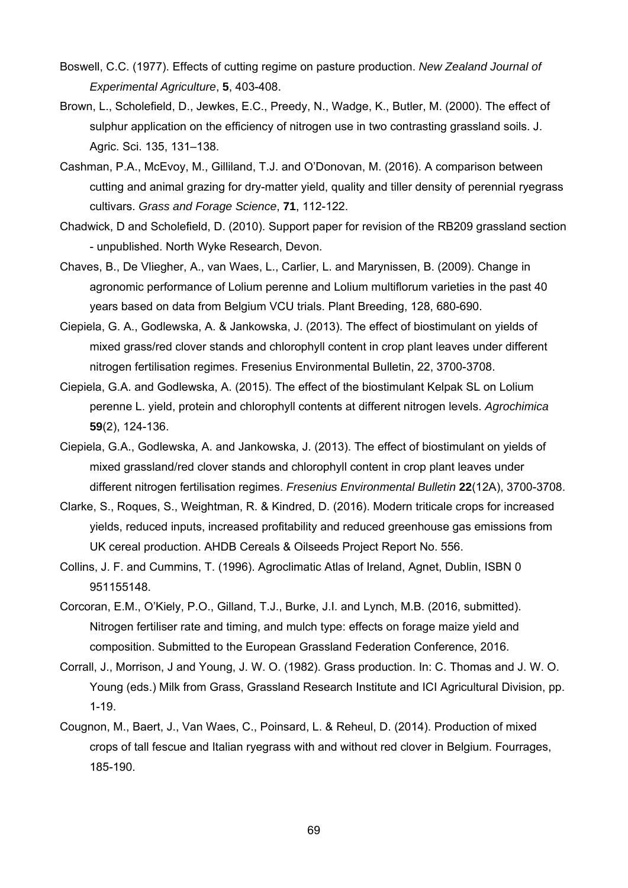- Boswell, C.C. (1977). Effects of cutting regime on pasture production. *New Zealand Journal of Experimental Agriculture*, **5**, 403-408.
- Brown, L., Scholefield, D., Jewkes, E.C., Preedy, N., Wadge, K., Butler, M. (2000). The effect of sulphur application on the efficiency of nitrogen use in two contrasting grassland soils. J. Agric. Sci. 135, 131–138.
- Cashman, P.A., McEvoy, M., Gilliland, T.J. and O'Donovan, M. (2016). A comparison between cutting and animal grazing for dry-matter yield, quality and tiller density of perennial ryegrass cultivars. *Grass and Forage Science*, **71**, 112-122.
- Chadwick, D and Scholefield, D. (2010). Support paper for revision of the RB209 grassland section - unpublished. North Wyke Research, Devon.
- Chaves, B., De Vliegher, A., van Waes, L., Carlier, L. and Marynissen, B. (2009). Change in agronomic performance of Lolium perenne and Lolium multiflorum varieties in the past 40 years based on data from Belgium VCU trials. Plant Breeding, 128, 680-690.
- Ciepiela, G. A., Godlewska, A. & Jankowska, J. (2013). The effect of biostimulant on yields of mixed grass/red clover stands and chlorophyll content in crop plant leaves under different nitrogen fertilisation regimes. Fresenius Environmental Bulletin, 22, 3700-3708.
- Ciepiela, G.A. and Godlewska, A. (2015). The effect of the biostimulant Kelpak SL on Lolium perenne L. yield, protein and chlorophyll contents at different nitrogen levels. *Agrochimica* **59**(2), 124-136.
- Ciepiela, G.A., Godlewska, A. and Jankowska, J. (2013). The effect of biostimulant on yields of mixed grassland/red clover stands and chlorophyll content in crop plant leaves under different nitrogen fertilisation regimes. *Fresenius Environmental Bulletin* **22**(12A), 3700-3708.
- Clarke, S., Roques, S., Weightman, R. & Kindred, D. (2016). Modern triticale crops for increased yields, reduced inputs, increased profitability and reduced greenhouse gas emissions from UK cereal production. AHDB Cereals & Oilseeds Project Report No. 556.
- Collins, J. F. and Cummins, T. (1996). Agroclimatic Atlas of Ireland, Agnet, Dublin, ISBN 0 951155148.
- Corcoran, E.M., O'Kiely, P.O., Gilland, T.J., Burke, J.I. and Lynch, M.B. (2016, submitted). Nitrogen fertiliser rate and timing, and mulch type: effects on forage maize yield and composition. Submitted to the European Grassland Federation Conference, 2016.
- Corrall, J., Morrison, J and Young, J. W. O. (1982). Grass production. In: C. Thomas and J. W. O. Young (eds.) Milk from Grass, Grassland Research Institute and ICI Agricultural Division, pp. 1-19.
- Cougnon, M., Baert, J., Van Waes, C., Poinsard, L. & Reheul, D. (2014). Production of mixed crops of tall fescue and Italian ryegrass with and without red clover in Belgium. Fourrages, 185-190.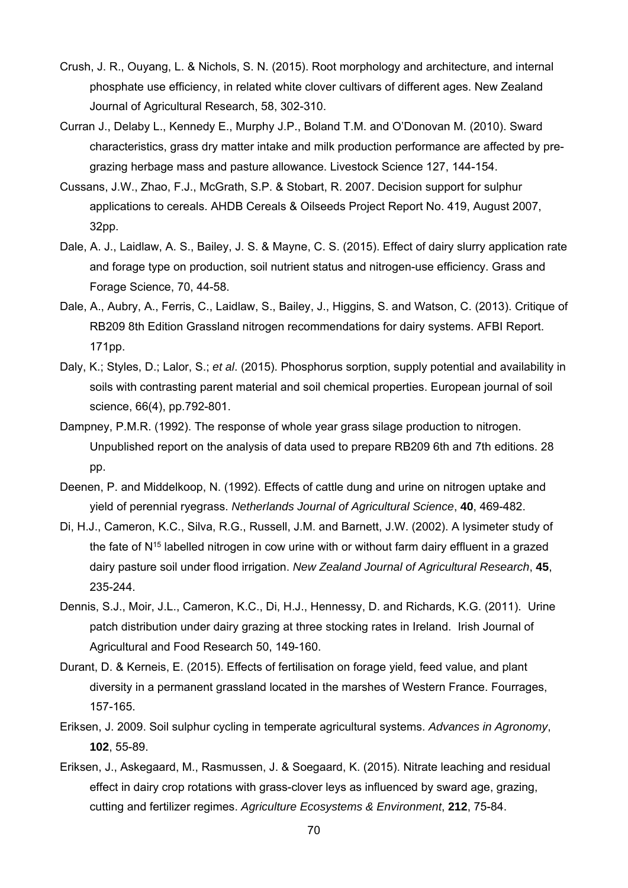- Crush, J. R., Ouyang, L. & Nichols, S. N. (2015). Root morphology and architecture, and internal phosphate use efficiency, in related white clover cultivars of different ages. New Zealand Journal of Agricultural Research, 58, 302-310.
- Curran J., Delaby L., Kennedy E., Murphy J.P., Boland T.M. and O'Donovan M. (2010). Sward characteristics, grass dry matter intake and milk production performance are affected by pregrazing herbage mass and pasture allowance. Livestock Science 127, 144-154.
- Cussans, J.W., Zhao, F.J., McGrath, S.P. & Stobart, R. 2007. Decision support for sulphur applications to cereals. AHDB Cereals & Oilseeds Project Report No. 419, August 2007, 32pp.
- Dale, A. J., Laidlaw, A. S., Bailey, J. S. & Mayne, C. S. (2015). Effect of dairy slurry application rate and forage type on production, soil nutrient status and nitrogen-use efficiency. Grass and Forage Science, 70, 44-58.
- Dale, A., Aubry, A., Ferris, C., Laidlaw, S., Bailey, J., Higgins, S. and Watson, C. (2013). Critique of RB209 8th Edition Grassland nitrogen recommendations for dairy systems. AFBI Report. 171pp.
- Daly, K.; Styles, D.; Lalor, S.; *et al*. (2015). Phosphorus sorption, supply potential and availability in soils with contrasting parent material and soil chemical properties. European journal of soil science, 66(4), pp.792-801.
- Dampney, P.M.R. (1992). The response of whole year grass silage production to nitrogen. Unpublished report on the analysis of data used to prepare RB209 6th and 7th editions. 28 pp.
- Deenen, P. and Middelkoop, N. (1992). Effects of cattle dung and urine on nitrogen uptake and yield of perennial ryegrass. *Netherlands Journal of Agricultural Science*, **40**, 469-482.
- Di, H.J., Cameron, K.C., Silva, R.G., Russell, J.M. and Barnett, J.W. (2002). A lysimeter study of the fate of  $N^{15}$  labelled nitrogen in cow urine with or without farm dairy effluent in a grazed dairy pasture soil under flood irrigation. *New Zealand Journal of Agricultural Research*, **45**, 235-244.
- Dennis, S.J., Moir, J.L., Cameron, K.C., Di, H.J., Hennessy, D. and Richards, K.G. (2011). Urine patch distribution under dairy grazing at three stocking rates in Ireland. Irish Journal of Agricultural and Food Research 50, 149-160.
- Durant, D. & Kerneis, E. (2015). Effects of fertilisation on forage yield, feed value, and plant diversity in a permanent grassland located in the marshes of Western France. Fourrages, 157-165.
- Eriksen, J. 2009. Soil sulphur cycling in temperate agricultural systems. *Advances in Agronomy*, **102**, 55-89.
- Eriksen, J., Askegaard, M., Rasmussen, J. & Soegaard, K. (2015). Nitrate leaching and residual effect in dairy crop rotations with grass-clover leys as influenced by sward age, grazing, cutting and fertilizer regimes. *Agriculture Ecosystems & Environment*, **212**, 75-84.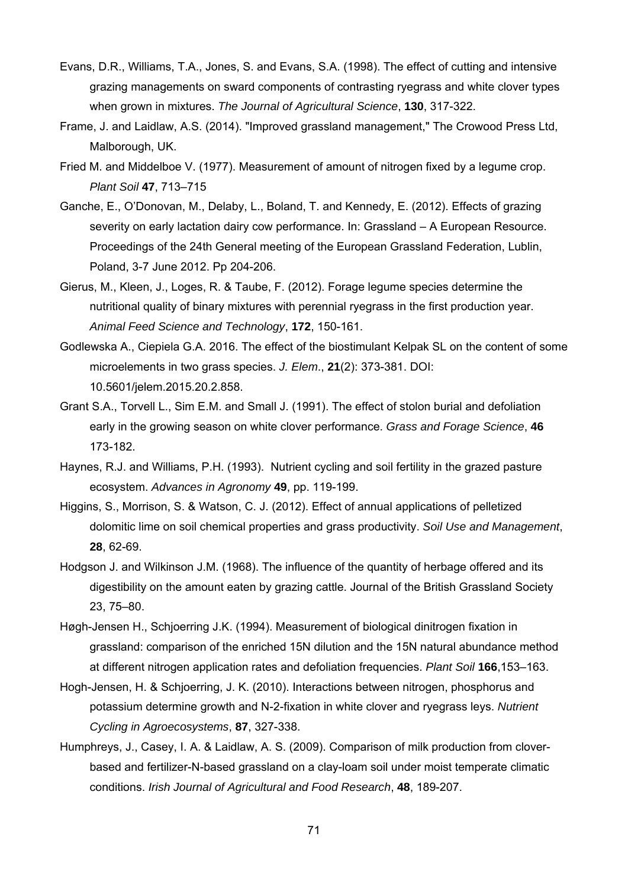- Evans, D.R., Williams, T.A., Jones, S. and Evans, S.A. (1998). The effect of cutting and intensive grazing managements on sward components of contrasting ryegrass and white clover types when grown in mixtures. *The Journal of Agricultural Science*, **130**, 317-322.
- Frame, J. and Laidlaw, A.S. (2014). "Improved grassland management," The Crowood Press Ltd, Malborough, UK.
- Fried M. and Middelboe V. (1977). Measurement of amount of nitrogen fixed by a legume crop. *Plant Soil* **47**, 713–715
- Ganche, E., O'Donovan, M., Delaby, L., Boland, T. and Kennedy, E. (2012). Effects of grazing severity on early lactation dairy cow performance. In: Grassland – A European Resource. Proceedings of the 24th General meeting of the European Grassland Federation, Lublin, Poland, 3-7 June 2012. Pp 204-206.
- Gierus, M., Kleen, J., Loges, R. & Taube, F. (2012). Forage legume species determine the nutritional quality of binary mixtures with perennial ryegrass in the first production year. *Animal Feed Science and Technology*, **172**, 150-161.
- Godlewska A., Ciepiela G.A. 2016. The effect of the biostimulant Kelpak SL on the content of some microelements in two grass species. *J. Elem*., **21**(2): 373-381. DOI: 10.5601/jelem.2015.20.2.858.
- Grant S.A., Torvell L., Sim E.M. and Small J. (1991). The effect of stolon burial and defoliation early in the growing season on white clover performance. *Grass and Forage Science*, **46** 173-182.
- Haynes, R.J. and Williams, P.H. (1993). Nutrient cycling and soil fertility in the grazed pasture ecosystem. *Advances in Agronomy* **49**, pp. 119-199.
- Higgins, S., Morrison, S. & Watson, C. J. (2012). Effect of annual applications of pelletized dolomitic lime on soil chemical properties and grass productivity. *Soil Use and Management*, **28**, 62-69.
- Hodgson J. and Wilkinson J.M. (1968). The influence of the quantity of herbage offered and its digestibility on the amount eaten by grazing cattle. Journal of the British Grassland Society 23, 75–80.
- Høgh-Jensen H., Schjoerring J.K. (1994). Measurement of biological dinitrogen fixation in grassland: comparison of the enriched 15N dilution and the 15N natural abundance method at different nitrogen application rates and defoliation frequencies. *Plant Soil* **166**,153–163.
- Hogh-Jensen, H. & Schjoerring, J. K. (2010). Interactions between nitrogen, phosphorus and potassium determine growth and N-2-fixation in white clover and ryegrass leys. *Nutrient Cycling in Agroecosystems*, **87**, 327-338.
- Humphreys, J., Casey, I. A. & Laidlaw, A. S. (2009). Comparison of milk production from cloverbased and fertilizer-N-based grassland on a clay-loam soil under moist temperate climatic conditions. *Irish Journal of Agricultural and Food Research*, **48**, 189-207.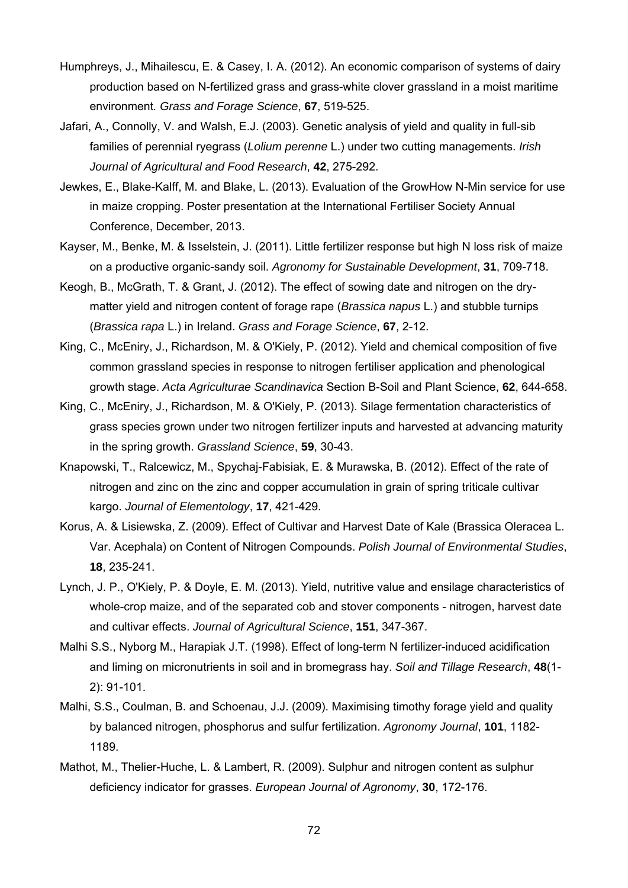- Humphreys, J., Mihailescu, E. & Casey, I. A. (2012). An economic comparison of systems of dairy production based on N-fertilized grass and grass-white clover grassland in a moist maritime environment*. Grass and Forage Science*, **67**, 519-525.
- Jafari, A., Connolly, V. and Walsh, E.J. (2003). Genetic analysis of yield and quality in full-sib families of perennial ryegrass (*Lolium perenne* L.) under two cutting managements. *Irish Journal of Agricultural and Food Research*, **42**, 275-292.
- Jewkes, E., Blake-Kalff, M. and Blake, L. (2013). Evaluation of the GrowHow N-Min service for use in maize cropping. Poster presentation at the International Fertiliser Society Annual Conference, December, 2013.
- Kayser, M., Benke, M. & Isselstein, J. (2011). Little fertilizer response but high N loss risk of maize on a productive organic-sandy soil. *Agronomy for Sustainable Development*, **31**, 709-718.
- Keogh, B., McGrath, T. & Grant, J. (2012). The effect of sowing date and nitrogen on the drymatter yield and nitrogen content of forage rape (*Brassica napus* L.) and stubble turnips (*Brassica rapa* L.) in Ireland. *Grass and Forage Science*, **67**, 2-12.
- King, C., McEniry, J., Richardson, M. & O'Kiely, P. (2012). Yield and chemical composition of five common grassland species in response to nitrogen fertiliser application and phenological growth stage. *Acta Agriculturae Scandinavica* Section B-Soil and Plant Science, **62**, 644-658.
- King, C., McEniry, J., Richardson, M. & O'Kiely, P. (2013). Silage fermentation characteristics of grass species grown under two nitrogen fertilizer inputs and harvested at advancing maturity in the spring growth. *Grassland Science*, **59**, 30-43.
- Knapowski, T., Ralcewicz, M., Spychaj-Fabisiak, E. & Murawska, B. (2012). Effect of the rate of nitrogen and zinc on the zinc and copper accumulation in grain of spring triticale cultivar kargo. *Journal of Elementology*, **17**, 421-429.
- Korus, A. & Lisiewska, Z. (2009). Effect of Cultivar and Harvest Date of Kale (Brassica Oleracea L. Var. Acephala) on Content of Nitrogen Compounds. *Polish Journal of Environmental Studies*, **18**, 235-241.
- Lynch, J. P., O'Kiely, P. & Doyle, E. M. (2013). Yield, nutritive value and ensilage characteristics of whole-crop maize, and of the separated cob and stover components - nitrogen, harvest date and cultivar effects. *Journal of Agricultural Science*, **151**, 347-367.
- Malhi S.S., Nyborg M., Harapiak J.T. (1998). Effect of long-term N fertilizer-induced acidification and liming on micronutrients in soil and in bromegrass hay. *Soil and Tillage Research*, **48**(1- 2): 91-101.
- Malhi, S.S., Coulman, B. and Schoenau, J.J. (2009). Maximising timothy forage yield and quality by balanced nitrogen, phosphorus and sulfur fertilization. *Agronomy Journal*, **101**, 1182- 1189.
- Mathot, M., Thelier-Huche, L. & Lambert, R. (2009). Sulphur and nitrogen content as sulphur deficiency indicator for grasses. *European Journal of Agronomy*, **30**, 172-176.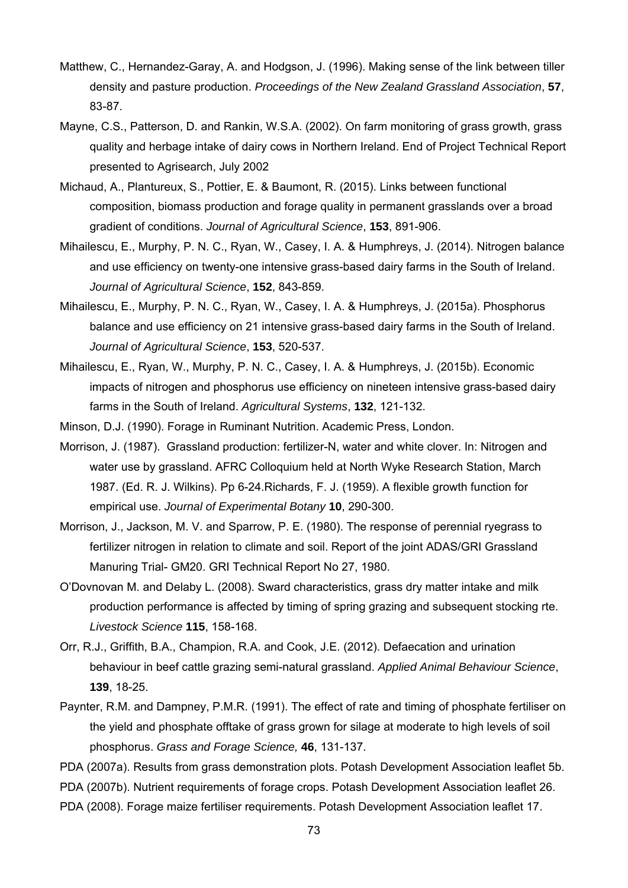- Matthew, C., Hernandez-Garay, A. and Hodgson, J. (1996). Making sense of the link between tiller density and pasture production. *Proceedings of the New Zealand Grassland Association*, **57**, 83-87.
- Mayne, C.S., Patterson, D. and Rankin, W.S.A. (2002). On farm monitoring of grass growth, grass quality and herbage intake of dairy cows in Northern Ireland. End of Project Technical Report presented to Agrisearch, July 2002
- Michaud, A., Plantureux, S., Pottier, E. & Baumont, R. (2015). Links between functional composition, biomass production and forage quality in permanent grasslands over a broad gradient of conditions. *Journal of Agricultural Science*, **153**, 891-906.
- Mihailescu, E., Murphy, P. N. C., Ryan, W., Casey, I. A. & Humphreys, J. (2014). Nitrogen balance and use efficiency on twenty-one intensive grass-based dairy farms in the South of Ireland. *Journal of Agricultural Science*, **152**, 843-859.
- Mihailescu, E., Murphy, P. N. C., Ryan, W., Casey, I. A. & Humphreys, J. (2015a). Phosphorus balance and use efficiency on 21 intensive grass-based dairy farms in the South of Ireland. *Journal of Agricultural Science*, **153**, 520-537.
- Mihailescu, E., Ryan, W., Murphy, P. N. C., Casey, I. A. & Humphreys, J. (2015b). Economic impacts of nitrogen and phosphorus use efficiency on nineteen intensive grass-based dairy farms in the South of Ireland. *Agricultural Systems*, **132**, 121-132.
- Minson, D.J. (1990). Forage in Ruminant Nutrition. Academic Press, London.
- Morrison, J. (1987). Grassland production: fertilizer-N, water and white clover. In: Nitrogen and water use by grassland. AFRC Colloquium held at North Wyke Research Station, March 1987. (Ed. R. J. Wilkins). Pp 6-24.Richards, F. J. (1959). A flexible growth function for empirical use. *Journal of Experimental Botany* **10**, 290-300.
- Morrison, J., Jackson, M. V. and Sparrow, P. E. (1980). The response of perennial ryegrass to fertilizer nitrogen in relation to climate and soil. Report of the joint ADAS/GRI Grassland Manuring Trial- GM20. GRI Technical Report No 27, 1980.
- O'Dovnovan M. and Delaby L. (2008). Sward characteristics, grass dry matter intake and milk production performance is affected by timing of spring grazing and subsequent stocking rte. *Livestock Science* **115**, 158-168.
- Orr, R.J., Griffith, B.A., Champion, R.A. and Cook, J.E. (2012). Defaecation and urination behaviour in beef cattle grazing semi-natural grassland. *Applied Animal Behaviour Science*, **139**, 18-25.
- Paynter, R.M. and Dampney, P.M.R. (1991). The effect of rate and timing of phosphate fertiliser on the yield and phosphate offtake of grass grown for silage at moderate to high levels of soil phosphorus. *Grass and Forage Science,* **46**, 131-137.
- PDA (2007a). Results from grass demonstration plots. Potash Development Association leaflet 5b.
- PDA (2007b). Nutrient requirements of forage crops. Potash Development Association leaflet 26.
- PDA (2008). Forage maize fertiliser requirements. Potash Development Association leaflet 17.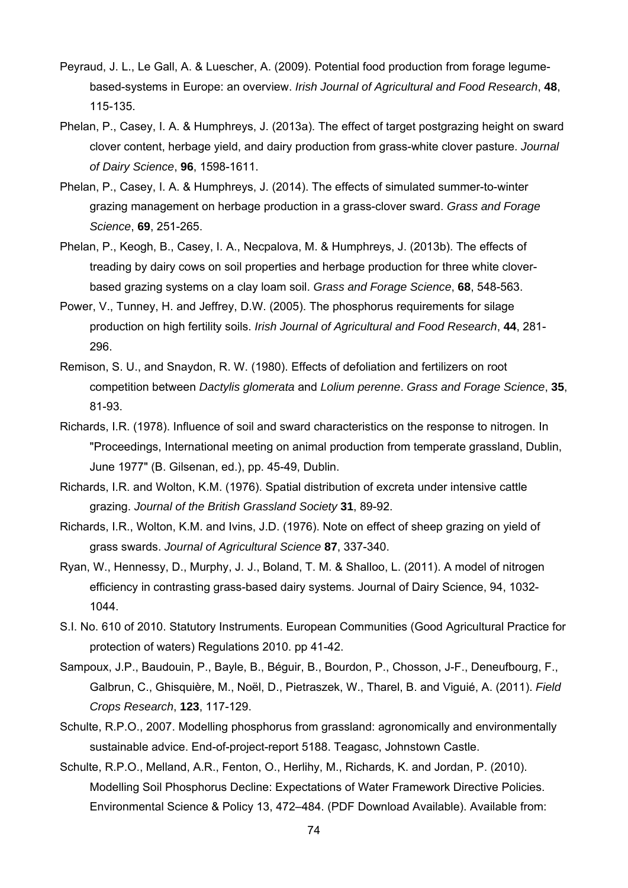- Peyraud, J. L., Le Gall, A. & Luescher, A. (2009). Potential food production from forage legumebased-systems in Europe: an overview. *Irish Journal of Agricultural and Food Research*, **48**, 115-135.
- Phelan, P., Casey, I. A. & Humphreys, J. (2013a). The effect of target postgrazing height on sward clover content, herbage yield, and dairy production from grass-white clover pasture. *Journal of Dairy Science*, **96**, 1598-1611.
- Phelan, P., Casey, I. A. & Humphreys, J. (2014). The effects of simulated summer-to-winter grazing management on herbage production in a grass-clover sward. *Grass and Forage Science*, **69**, 251-265.
- Phelan, P., Keogh, B., Casey, I. A., Necpalova, M. & Humphreys, J. (2013b). The effects of treading by dairy cows on soil properties and herbage production for three white cloverbased grazing systems on a clay loam soil. *Grass and Forage Science*, **68**, 548-563.
- Power, V., Tunney, H. and Jeffrey, D.W. (2005). The phosphorus requirements for silage production on high fertility soils. *Irish Journal of Agricultural and Food Research*, **44**, 281- 296.
- Remison, S. U., and Snaydon, R. W. (1980). Effects of defoliation and fertilizers on root competition between *Dactylis glomerata* and *Lolium perenne*. *Grass and Forage Science*, **35**, 81-93.
- Richards, I.R. (1978). Influence of soil and sward characteristics on the response to nitrogen. In "Proceedings, International meeting on animal production from temperate grassland, Dublin, June 1977" (B. Gilsenan, ed.), pp. 45-49, Dublin.
- Richards, I.R. and Wolton, K.M. (1976). Spatial distribution of excreta under intensive cattle grazing. *Journal of the British Grassland Society* **31**, 89-92.
- Richards, I.R., Wolton, K.M. and Ivins, J.D. (1976). Note on effect of sheep grazing on yield of grass swards. *Journal of Agricultural Science* **87**, 337-340.
- Ryan, W., Hennessy, D., Murphy, J. J., Boland, T. M. & Shalloo, L. (2011). A model of nitrogen efficiency in contrasting grass-based dairy systems. Journal of Dairy Science, 94, 1032- 1044.
- S.I. No. 610 of 2010. Statutory Instruments. European Communities (Good Agricultural Practice for protection of waters) Regulations 2010. pp 41-42.
- Sampoux, J.P., Baudouin, P., Bayle, B., Béguir, B., Bourdon, P., Chosson, J-F., Deneufbourg, F., Galbrun, C., Ghisquière, M., Noël, D., Pietraszek, W., Tharel, B. and Viguié, A. (2011). *Field Crops Research*, **123**, 117-129.
- Schulte, R.P.O., 2007. Modelling phosphorus from grassland: agronomically and environmentally sustainable advice. End-of-project-report 5188. Teagasc, Johnstown Castle.
- Schulte, R.P.O., Melland, A.R., Fenton, O., Herlihy, M., Richards, K. and Jordan, P. (2010). Modelling Soil Phosphorus Decline: Expectations of Water Framework Directive Policies. Environmental Science & Policy 13, 472–484. (PDF Download Available). Available from: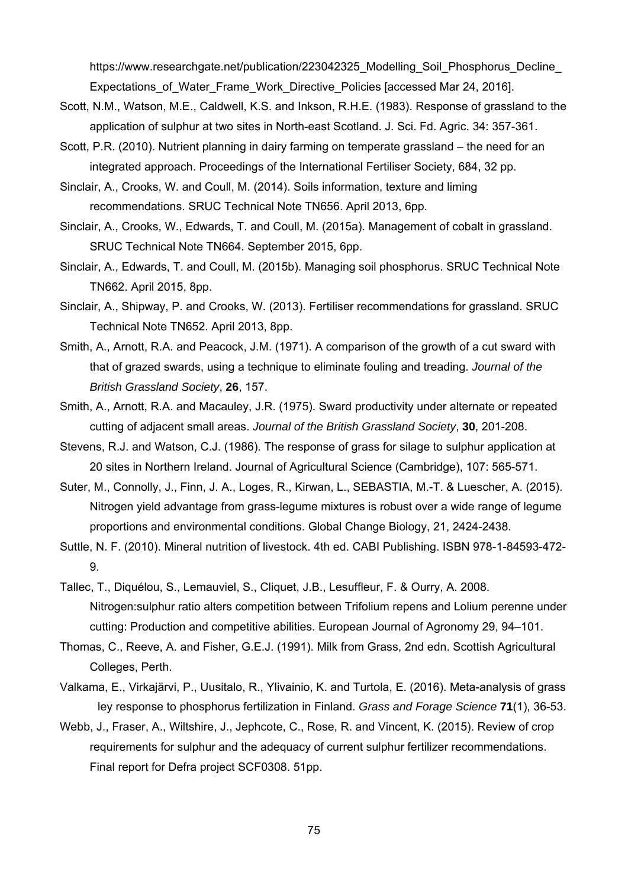https://www.researchgate.net/publication/223042325\_Modelling\_Soil\_Phosphorus\_Decline Expectations of Water Frame Work Directive Policies [accessed Mar 24, 2016].

- Scott, N.M., Watson, M.E., Caldwell, K.S. and Inkson, R.H.E. (1983). Response of grassland to the application of sulphur at two sites in North-east Scotland. J. Sci. Fd. Agric. 34: 357-361.
- Scott, P.R. (2010). Nutrient planning in dairy farming on temperate grassland the need for an integrated approach. Proceedings of the International Fertiliser Society, 684, 32 pp.
- Sinclair, A., Crooks, W. and Coull, M. (2014). Soils information, texture and liming recommendations. SRUC Technical Note TN656. April 2013, 6pp.
- Sinclair, A., Crooks, W., Edwards, T. and Coull, M. (2015a). Management of cobalt in grassland. SRUC Technical Note TN664. September 2015, 6pp.
- Sinclair, A., Edwards, T. and Coull, M. (2015b). Managing soil phosphorus. SRUC Technical Note TN662. April 2015, 8pp.
- Sinclair, A., Shipway, P. and Crooks, W. (2013). Fertiliser recommendations for grassland. SRUC Technical Note TN652. April 2013, 8pp.
- Smith, A., Arnott, R.A. and Peacock, J.M. (1971). A comparison of the growth of a cut sward with that of grazed swards, using a technique to eliminate fouling and treading. *Journal of the British Grassland Society*, **26**, 157.
- Smith, A., Arnott, R.A. and Macauley, J.R. (1975). Sward productivity under alternate or repeated cutting of adjacent small areas. *Journal of the British Grassland Society*, **30**, 201-208.
- Stevens, R.J. and Watson, C.J. (1986). The response of grass for silage to sulphur application at 20 sites in Northern Ireland. Journal of Agricultural Science (Cambridge), 107: 565-571.
- Suter, M., Connolly, J., Finn, J. A., Loges, R., Kirwan, L., SEBASTIA, M.-T. & Luescher, A. (2015). Nitrogen yield advantage from grass-legume mixtures is robust over a wide range of legume proportions and environmental conditions. Global Change Biology, 21, 2424-2438.
- Suttle, N. F. (2010). Mineral nutrition of livestock. 4th ed. CABI Publishing. ISBN 978-1-84593-472- 9.
- Tallec, T., Diquélou, S., Lemauviel, S., Cliquet, J.B., Lesuffleur, F. & Ourry, A. 2008. Nitrogen:sulphur ratio alters competition between Trifolium repens and Lolium perenne under cutting: Production and competitive abilities. European Journal of Agronomy 29, 94–101.
- Thomas, C., Reeve, A. and Fisher, G.E.J. (1991). Milk from Grass, 2nd edn. Scottish Agricultural Colleges, Perth.
- Valkama, E., Virkajärvi, P., Uusitalo, R., Ylivainio, K. and Turtola, E. (2016). Meta-analysis of grass ley response to phosphorus fertilization in Finland. *Grass and Forage Science* **71**(1), 36-53.
- Webb, J., Fraser, A., Wiltshire, J., Jephcote, C., Rose, R. and Vincent, K. (2015). Review of crop requirements for sulphur and the adequacy of current sulphur fertilizer recommendations. Final report for Defra project SCF0308. 51pp.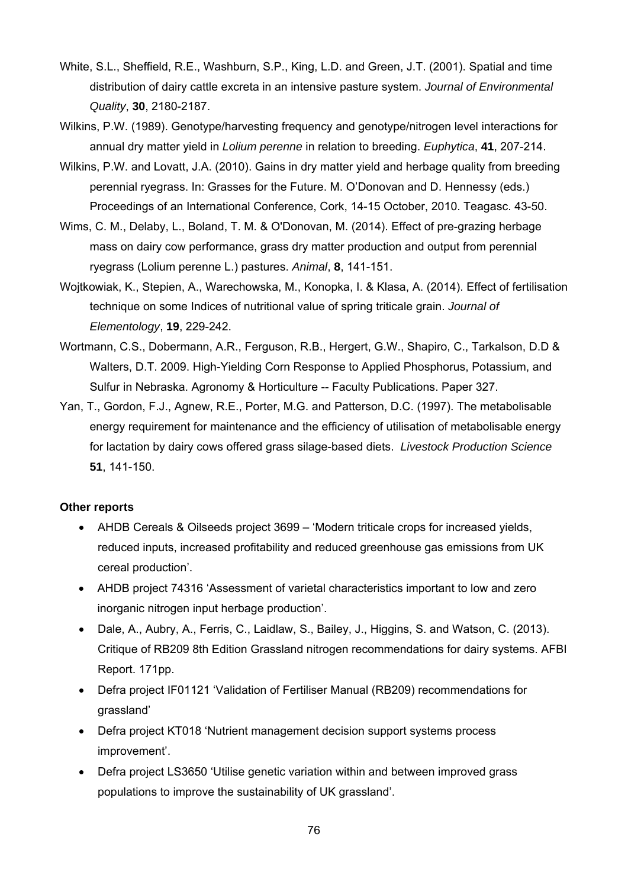- White, S.L., Sheffield, R.E., Washburn, S.P., King, L.D. and Green, J.T. (2001). Spatial and time distribution of dairy cattle excreta in an intensive pasture system. *Journal of Environmental Quality*, **30**, 2180-2187.
- Wilkins, P.W. (1989). Genotype/harvesting frequency and genotype/nitrogen level interactions for annual dry matter yield in *Lolium perenne* in relation to breeding. *Euphytica*, **41**, 207-214.
- Wilkins, P.W. and Lovatt, J.A. (2010). Gains in dry matter yield and herbage quality from breeding perennial ryegrass. In: Grasses for the Future. M. O'Donovan and D. Hennessy (eds.) Proceedings of an International Conference, Cork, 14-15 October, 2010. Teagasc. 43-50.
- Wims, C. M., Delaby, L., Boland, T. M. & O'Donovan, M. (2014). Effect of pre-grazing herbage mass on dairy cow performance, grass dry matter production and output from perennial ryegrass (Lolium perenne L.) pastures. *Animal*, **8**, 141-151.
- Wojtkowiak, K., Stepien, A., Warechowska, M., Konopka, I. & Klasa, A. (2014). Effect of fertilisation technique on some Indices of nutritional value of spring triticale grain. *Journal of Elementology*, **19**, 229-242.
- Wortmann, C.S., Dobermann, A.R., Ferguson, R.B., Hergert, G.W., Shapiro, C., Tarkalson, D.D & Walters, D.T. 2009. High-Yielding Corn Response to Applied Phosphorus, Potassium, and Sulfur in Nebraska. Agronomy & Horticulture -- Faculty Publications. Paper 327.
- Yan, T., Gordon, F.J., Agnew, R.E., Porter, M.G. and Patterson, D.C. (1997). The metabolisable energy requirement for maintenance and the efficiency of utilisation of metabolisable energy for lactation by dairy cows offered grass silage-based diets. *Livestock Production Science* **51**, 141-150.

### **Other reports**

- AHDB Cereals & Oilseeds project 3699 'Modern triticale crops for increased yields, reduced inputs, increased profitability and reduced greenhouse gas emissions from UK cereal production'.
- AHDB project 74316 'Assessment of varietal characteristics important to low and zero inorganic nitrogen input herbage production'.
- Dale, A., Aubry, A., Ferris, C., Laidlaw, S., Bailey, J., Higgins, S. and Watson, C. (2013). Critique of RB209 8th Edition Grassland nitrogen recommendations for dairy systems. AFBI Report. 171pp.
- Defra project IF01121 'Validation of Fertiliser Manual (RB209) recommendations for grassland'
- Defra project KT018 'Nutrient management decision support systems process improvement'.
- Defra project LS3650 'Utilise genetic variation within and between improved grass populations to improve the sustainability of UK grassland'.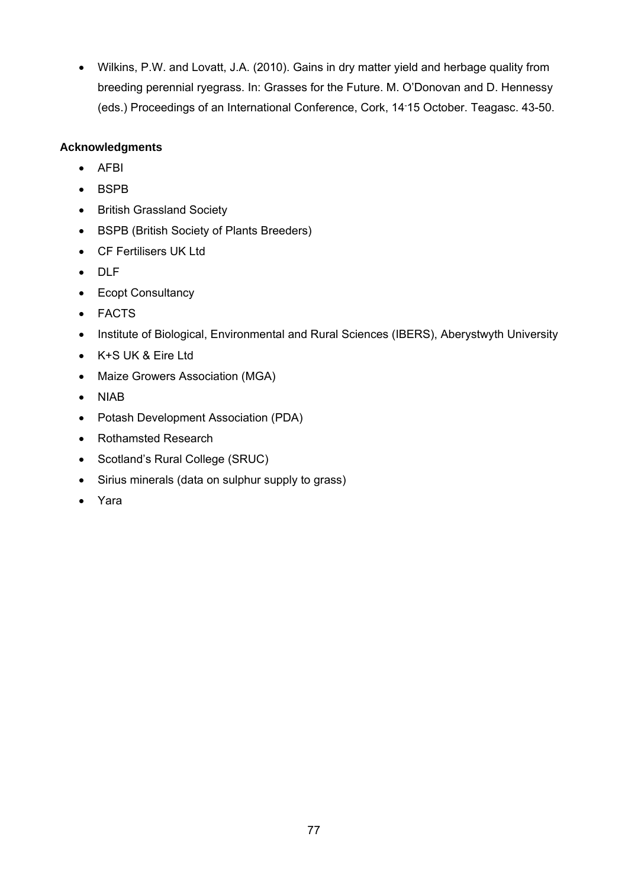Wilkins, P.W. and Lovatt, J.A. (2010). Gains in dry matter yield and herbage quality from breeding perennial ryegrass. In: Grasses for the Future. M. O'Donovan and D. Hennessy (eds.) Proceedings of an International Conference, Cork, 14- 15 October. Teagasc. 43-50.

## **Acknowledgments**

- AFBI
- BSPB
- British Grassland Society
- BSPB (British Society of Plants Breeders)
- CF Fertilisers UK Ltd
- DLF
- Ecopt Consultancy
- FACTS
- Institute of Biological, Environmental and Rural Sciences (IBERS), Aberystwyth University
- K+S UK & Eire Ltd
- Maize Growers Association (MGA)
- NIAB
- Potash Development Association (PDA)
- Rothamsted Research
- Scotland's Rural College (SRUC)
- Sirius minerals (data on sulphur supply to grass)
- Yara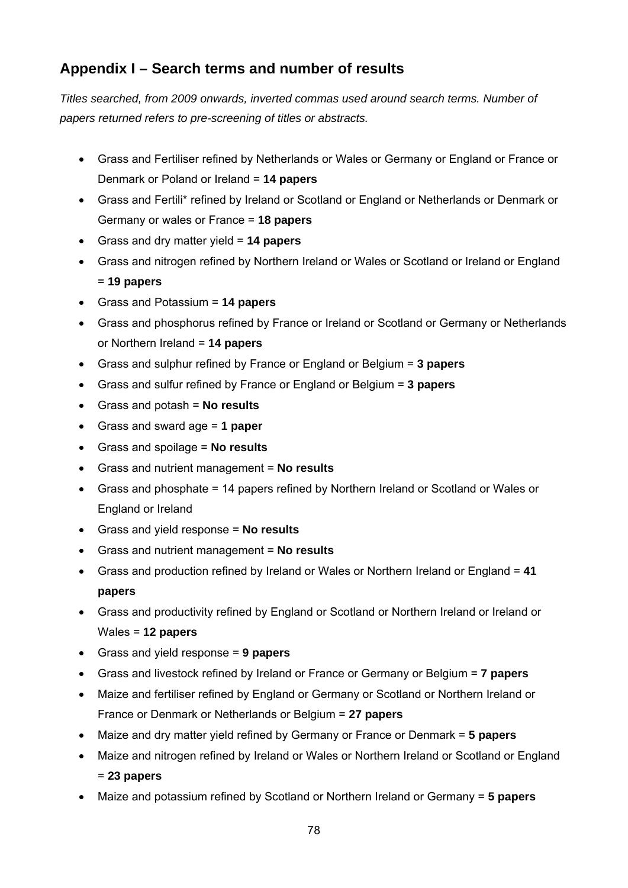# **Appendix I – Search terms and number of results**

*Titles searched, from 2009 onwards, inverted commas used around search terms. Number of papers returned refers to pre-screening of titles or abstracts.* 

- Grass and Fertiliser refined by Netherlands or Wales or Germany or England or France or Denmark or Poland or Ireland = **14 papers**
- Grass and Fertili\* refined by Ireland or Scotland or England or Netherlands or Denmark or Germany or wales or France = **18 papers**
- Grass and dry matter yield = **14 papers**
- Grass and nitrogen refined by Northern Ireland or Wales or Scotland or Ireland or England = **19 papers**
- Grass and Potassium = **14 papers**
- Grass and phosphorus refined by France or Ireland or Scotland or Germany or Netherlands or Northern Ireland = **14 papers**
- Grass and sulphur refined by France or England or Belgium = **3 papers**
- Grass and sulfur refined by France or England or Belgium = **3 papers**
- Grass and potash = **No results**
- Grass and sward age = **1 paper**
- Grass and spoilage = **No results**
- Grass and nutrient management = **No results**
- Grass and phosphate = 14 papers refined by Northern Ireland or Scotland or Wales or England or Ireland
- Grass and yield response = **No results**
- Grass and nutrient management = **No results**
- Grass and production refined by Ireland or Wales or Northern Ireland or England = **41 papers**
- Grass and productivity refined by England or Scotland or Northern Ireland or Ireland or Wales = **12 papers**
- Grass and yield response = **9 papers**
- Grass and livestock refined by Ireland or France or Germany or Belgium = **7 papers**
- Maize and fertiliser refined by England or Germany or Scotland or Northern Ireland or France or Denmark or Netherlands or Belgium = **27 papers**
- Maize and dry matter yield refined by Germany or France or Denmark = **5 papers**
- Maize and nitrogen refined by Ireland or Wales or Northern Ireland or Scotland or England = **23 papers**
- Maize and potassium refined by Scotland or Northern Ireland or Germany = **5 papers**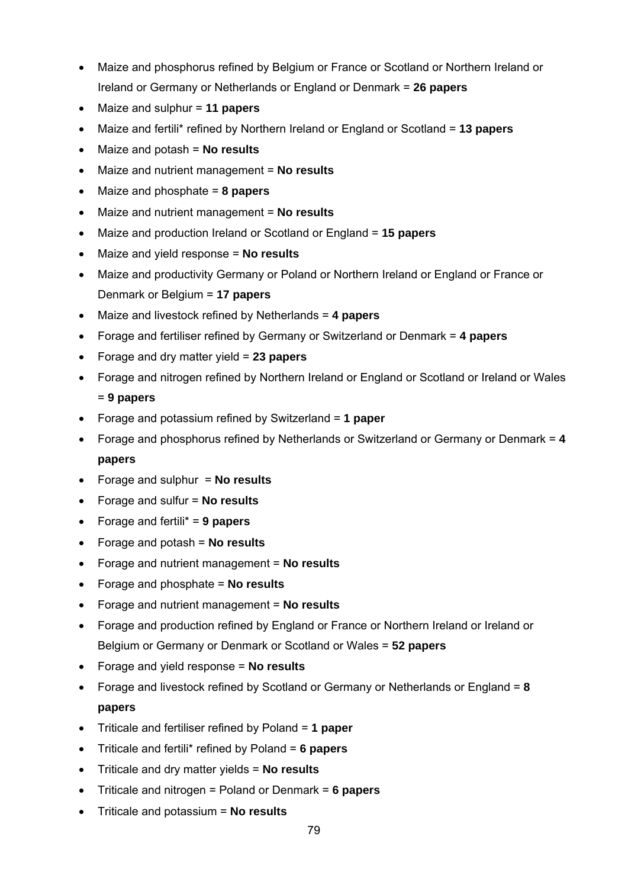- Maize and phosphorus refined by Belgium or France or Scotland or Northern Ireland or Ireland or Germany or Netherlands or England or Denmark = **26 papers**
- Maize and sulphur = **11 papers**
- Maize and fertili\* refined by Northern Ireland or England or Scotland = **13 papers**
- Maize and potash = **No results**
- Maize and nutrient management = **No results**
- Maize and phosphate = **8 papers**
- Maize and nutrient management = **No results**
- Maize and production Ireland or Scotland or England = **15 papers**
- Maize and yield response = **No results**
- Maize and productivity Germany or Poland or Northern Ireland or England or France or Denmark or Belgium = **17 papers**
- Maize and livestock refined by Netherlands = **4 papers**
- Forage and fertiliser refined by Germany or Switzerland or Denmark = **4 papers**
- Forage and dry matter yield = **23 papers**
- Forage and nitrogen refined by Northern Ireland or England or Scotland or Ireland or Wales = **9 papers**
- Forage and potassium refined by Switzerland = **1 paper**
- Forage and phosphorus refined by Netherlands or Switzerland or Germany or Denmark = **4 papers**
- Forage and sulphur = **No results**
- Forage and sulfur = **No results**
- Forage and fertili\* = **9 papers**
- Forage and potash = **No results**
- Forage and nutrient management = **No results**
- Forage and phosphate = **No results**
- Forage and nutrient management = **No results**
- Forage and production refined by England or France or Northern Ireland or Ireland or Belgium or Germany or Denmark or Scotland or Wales = **52 papers**
- Forage and yield response = **No results**
- Forage and livestock refined by Scotland or Germany or Netherlands or England = **8 papers**
- Triticale and fertiliser refined by Poland = **1 paper**
- Triticale and fertili\* refined by Poland = **6 papers**
- Triticale and dry matter yields = **No results**
- Triticale and nitrogen = Poland or Denmark = **6 papers**
- Triticale and potassium = **No results**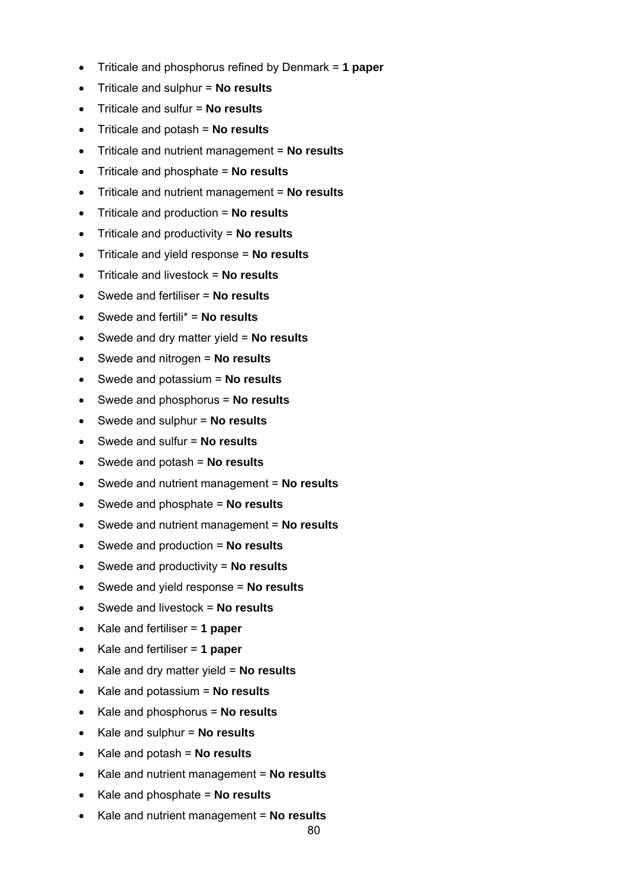- Triticale and phosphorus refined by Denmark = **1 paper**
- Triticale and sulphur = **No results**
- Triticale and sulfur = **No results**
- Triticale and potash = **No results**
- Triticale and nutrient management = **No results**
- Triticale and phosphate = **No results**
- Triticale and nutrient management = **No results**
- Triticale and production = **No results**
- Triticale and productivity = **No results**
- Triticale and yield response = **No results**
- Triticale and livestock = **No results**
- Swede and fertiliser = **No results**
- Swede and fertili\* = **No results**
- Swede and dry matter yield = **No results**
- Swede and nitrogen = **No results**
- Swede and potassium = **No results**
- Swede and phosphorus = **No results**
- Swede and sulphur = **No results**
- Swede and sulfur = **No results**
- Swede and potash = **No results**
- Swede and nutrient management = **No results**
- Swede and phosphate = **No results**
- Swede and nutrient management = **No results**
- Swede and production = **No results**
- Swede and productivity = **No results**
- Swede and yield response = **No results**
- Swede and livestock = **No results**
- Kale and fertiliser = **1 paper**
- Kale and fertiliser = **1 paper**
- Kale and dry matter yield = **No results**
- Kale and potassium = **No results**
- Kale and phosphorus = **No results**
- Kale and sulphur = **No results**
- Kale and potash = **No results**
- Kale and nutrient management = **No results**
- Kale and phosphate = **No results**
- Kale and nutrient management = **No results**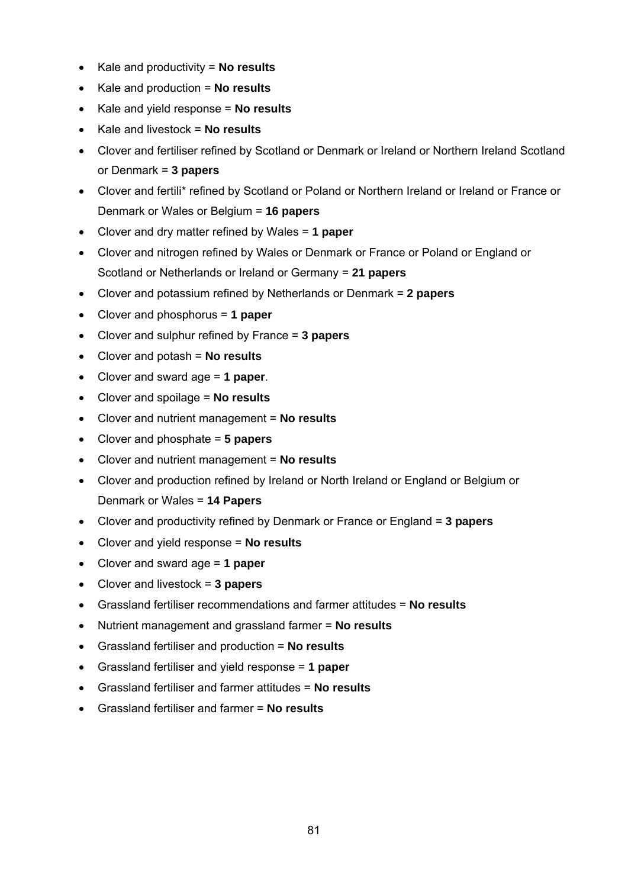- Kale and productivity = **No results**
- Kale and production = **No results**
- Kale and yield response = **No results**
- Kale and livestock = **No results**
- Clover and fertiliser refined by Scotland or Denmark or Ireland or Northern Ireland Scotland or Denmark = **3 papers**
- Clover and fertili\* refined by Scotland or Poland or Northern Ireland or Ireland or France or Denmark or Wales or Belgium = **16 papers**
- Clover and dry matter refined by Wales = **1 paper**
- Clover and nitrogen refined by Wales or Denmark or France or Poland or England or Scotland or Netherlands or Ireland or Germany = **21 papers**
- Clover and potassium refined by Netherlands or Denmark = **2 papers**
- Clover and phosphorus = **1 paper**
- Clover and sulphur refined by France = **3 papers**
- Clover and potash = **No results**
- Clover and sward age = **1 paper**.
- Clover and spoilage = **No results**
- Clover and nutrient management = **No results**
- Clover and phosphate = **5 papers**
- Clover and nutrient management = **No results**
- Clover and production refined by Ireland or North Ireland or England or Belgium or Denmark or Wales = **14 Papers**
- Clover and productivity refined by Denmark or France or England = **3 papers**
- Clover and yield response = **No results**
- Clover and sward age = **1 paper**
- Clover and livestock = **3 papers**
- Grassland fertiliser recommendations and farmer attitudes = **No results**
- Nutrient management and grassland farmer = **No results**
- Grassland fertiliser and production = **No results**
- Grassland fertiliser and yield response = **1 paper**
- Grassland fertiliser and farmer attitudes = **No results**
- Grassland fertiliser and farmer = **No results**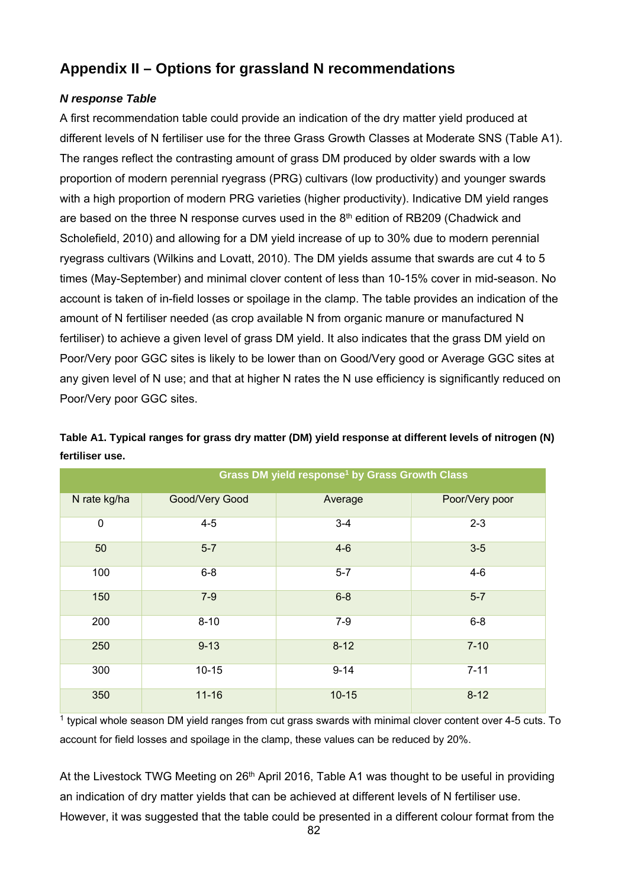# **Appendix II – Options for grassland N recommendations**

### *N response Table*

A first recommendation table could provide an indication of the dry matter yield produced at different levels of N fertiliser use for the three Grass Growth Classes at Moderate SNS (Table A1). The ranges reflect the contrasting amount of grass DM produced by older swards with a low proportion of modern perennial ryegrass (PRG) cultivars (low productivity) and younger swards with a high proportion of modern PRG varieties (higher productivity). Indicative DM yield ranges are based on the three N response curves used in the 8<sup>th</sup> edition of RB209 (Chadwick and Scholefield, 2010) and allowing for a DM yield increase of up to 30% due to modern perennial ryegrass cultivars (Wilkins and Lovatt, 2010). The DM yields assume that swards are cut 4 to 5 times (May-September) and minimal clover content of less than 10-15% cover in mid-season. No account is taken of in-field losses or spoilage in the clamp. The table provides an indication of the amount of N fertiliser needed (as crop available N from organic manure or manufactured N fertiliser) to achieve a given level of grass DM yield. It also indicates that the grass DM yield on Poor/Very poor GGC sites is likely to be lower than on Good/Very good or Average GGC sites at any given level of N use; and that at higher N rates the N use efficiency is significantly reduced on Poor/Very poor GGC sites.

|              | Grass DM yield response <sup>1</sup> by Grass Growth Class |           |                |  |  |  |  |
|--------------|------------------------------------------------------------|-----------|----------------|--|--|--|--|
| N rate kg/ha | Good/Very Good                                             | Average   | Poor/Very poor |  |  |  |  |
| $\pmb{0}$    | $4 - 5$                                                    | $3 - 4$   | $2 - 3$        |  |  |  |  |
| 50           | $5 - 7$                                                    | $4-6$     | $3-5$          |  |  |  |  |
| 100          | $6 - 8$                                                    | $5 - 7$   | $4 - 6$        |  |  |  |  |
| 150          | $7-9$                                                      | $6 - 8$   | $5-7$          |  |  |  |  |
| 200          | $8 - 10$                                                   | $7-9$     | $6-8$          |  |  |  |  |
| 250          | $9 - 13$                                                   | $8 - 12$  | $7 - 10$       |  |  |  |  |
| 300          | $10 - 15$                                                  | $9 - 14$  | $7 - 11$       |  |  |  |  |
| 350          | $11 - 16$                                                  | $10 - 15$ | $8 - 12$       |  |  |  |  |

**Table A1. Typical ranges for grass dry matter (DM) yield response at different levels of nitrogen (N) fertiliser use.** 

<sup>1</sup> typical whole season DM yield ranges from cut grass swards with minimal clover content over 4-5 cuts. To account for field losses and spoilage in the clamp, these values can be reduced by 20%.

At the Livestock TWG Meeting on 26<sup>th</sup> April 2016, Table A1 was thought to be useful in providing an indication of dry matter yields that can be achieved at different levels of N fertiliser use. However, it was suggested that the table could be presented in a different colour format from the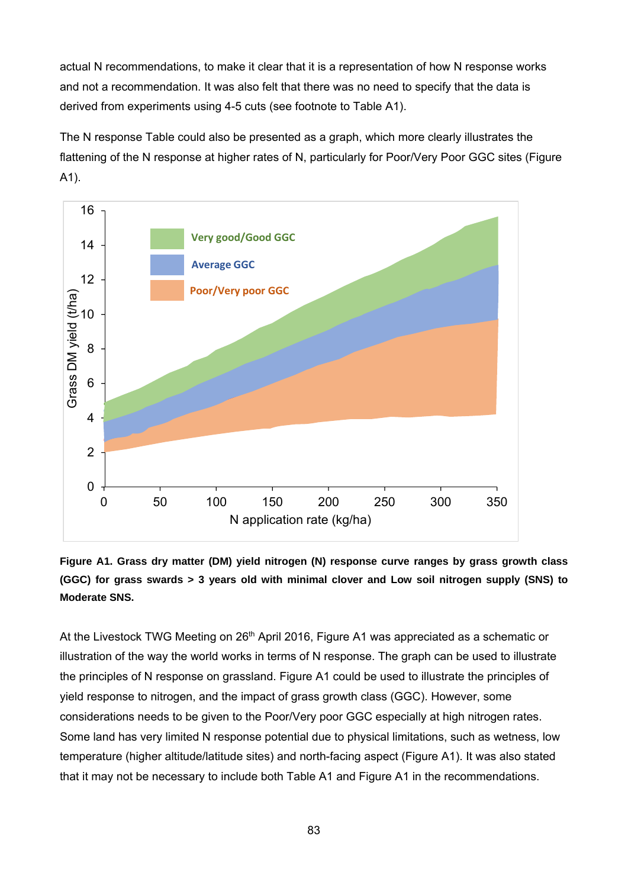actual N recommendations, to make it clear that it is a representation of how N response works and not a recommendation. It was also felt that there was no need to specify that the data is derived from experiments using 4-5 cuts (see footnote to Table A1).

The N response Table could also be presented as a graph, which more clearly illustrates the flattening of the N response at higher rates of N, particularly for Poor/Very Poor GGC sites (Figure A1).





At the Livestock TWG Meeting on 26<sup>th</sup> April 2016, Figure A1 was appreciated as a schematic or illustration of the way the world works in terms of N response. The graph can be used to illustrate the principles of N response on grassland. Figure A1 could be used to illustrate the principles of yield response to nitrogen, and the impact of grass growth class (GGC). However, some considerations needs to be given to the Poor/Very poor GGC especially at high nitrogen rates. Some land has very limited N response potential due to physical limitations, such as wetness, low temperature (higher altitude/latitude sites) and north-facing aspect (Figure A1). It was also stated that it may not be necessary to include both Table A1 and Figure A1 in the recommendations.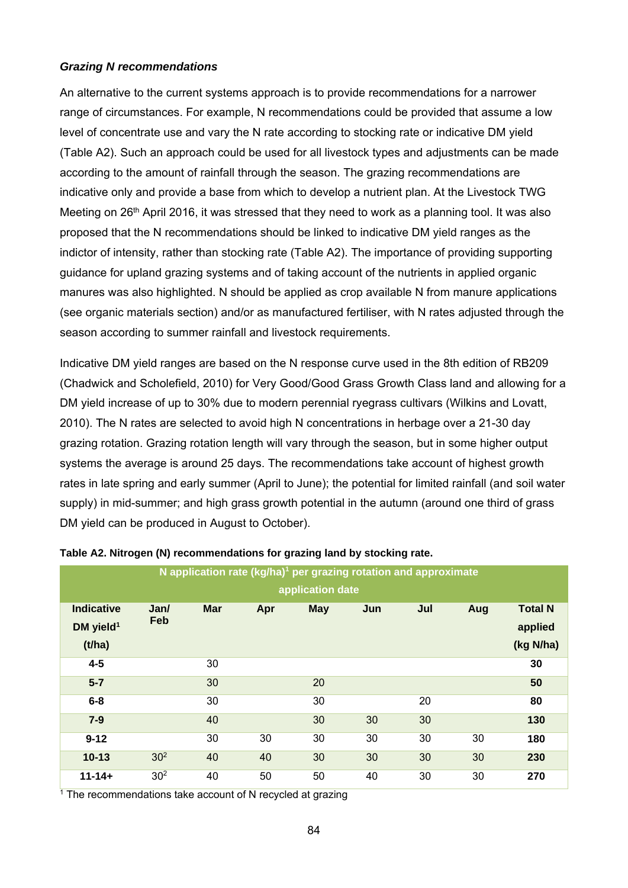#### *Grazing N recommendations*

An alternative to the current systems approach is to provide recommendations for a narrower range of circumstances. For example, N recommendations could be provided that assume a low level of concentrate use and vary the N rate according to stocking rate or indicative DM yield (Table A2). Such an approach could be used for all livestock types and adjustments can be made according to the amount of rainfall through the season. The grazing recommendations are indicative only and provide a base from which to develop a nutrient plan. At the Livestock TWG Meeting on 26<sup>th</sup> April 2016, it was stressed that they need to work as a planning tool. It was also proposed that the N recommendations should be linked to indicative DM yield ranges as the indictor of intensity, rather than stocking rate (Table A2). The importance of providing supporting guidance for upland grazing systems and of taking account of the nutrients in applied organic manures was also highlighted. N should be applied as crop available N from manure applications (see organic materials section) and/or as manufactured fertiliser, with N rates adjusted through the season according to summer rainfall and livestock requirements.

Indicative DM yield ranges are based on the N response curve used in the 8th edition of RB209 (Chadwick and Scholefield, 2010) for Very Good/Good Grass Growth Class land and allowing for a DM yield increase of up to 30% due to modern perennial ryegrass cultivars (Wilkins and Lovatt, 2010). The N rates are selected to avoid high N concentrations in herbage over a 21-30 day grazing rotation. Grazing rotation length will vary through the season, but in some higher output systems the average is around 25 days. The recommendations take account of highest growth rates in late spring and early summer (April to June); the potential for limited rainfall (and soil water supply) in mid-summer; and high grass growth potential in the autumn (around one third of grass DM yield can be produced in August to October).

| N application rate $(kg/ha)^1$ per grazing rotation and approximate |                 |            |     |            |     |     |     |                |
|---------------------------------------------------------------------|-----------------|------------|-----|------------|-----|-----|-----|----------------|
| application date                                                    |                 |            |     |            |     |     |     |                |
| <b>Indicative</b>                                                   | Jan/            | <b>Mar</b> | Apr | <b>May</b> | Jun | Jul | Aug | <b>Total N</b> |
| DM yield <sup>1</sup>                                               | Feb             |            |     |            |     |     |     | applied        |
| (t/ha)                                                              |                 |            |     |            |     |     |     | (kg N/ha)      |
| $4 - 5$                                                             |                 | 30         |     |            |     |     |     | 30             |
| $5 - 7$                                                             |                 | 30         |     | 20         |     |     |     | 50             |
| $6 - 8$                                                             |                 | 30         |     | 30         |     | 20  |     | 80             |
| $7-9$                                                               |                 | 40         |     | 30         | 30  | 30  |     | 130            |
| $9 - 12$                                                            |                 | 30         | 30  | 30         | 30  | 30  | 30  | 180            |
| $10 - 13$                                                           | 30 <sup>2</sup> | 40         | 40  | 30         | 30  | 30  | 30  | 230            |
| $11 - 14 +$                                                         | 30 <sup>2</sup> | 40         | 50  | 50         | 40  | 30  | 30  | 270            |

#### **Table A2. Nitrogen (N) recommendations for grazing land by stocking rate.**

 $1$ <sup>1</sup> The recommendations take account of N recycled at grazing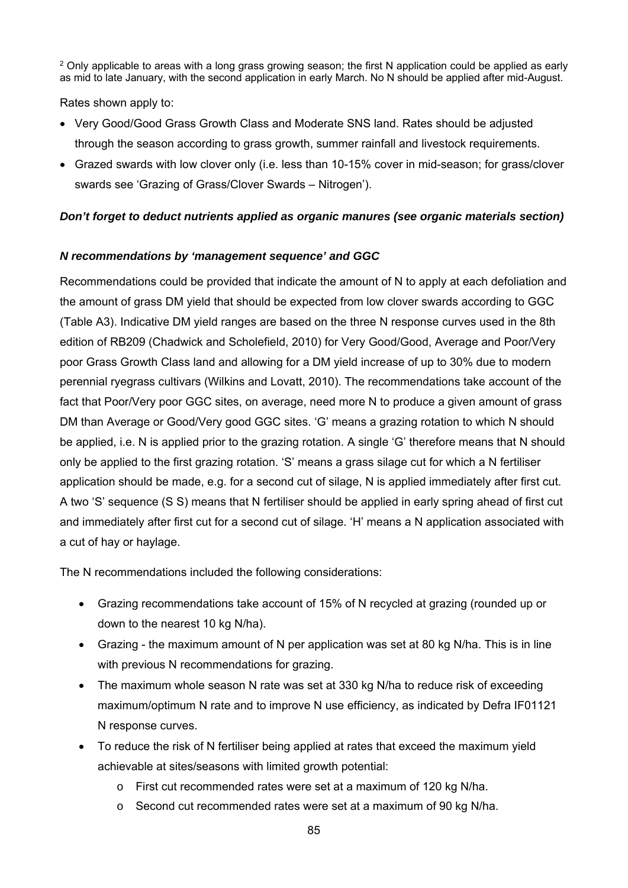<sup>2</sup> Only applicable to areas with a long grass growing season; the first N application could be applied as early as mid to late January, with the second application in early March. No N should be applied after mid-August.

Rates shown apply to:

- Very Good/Good Grass Growth Class and Moderate SNS land. Rates should be adjusted through the season according to grass growth, summer rainfall and livestock requirements.
- Grazed swards with low clover only (i.e. less than 10-15% cover in mid-season; for grass/clover swards see 'Grazing of Grass/Clover Swards – Nitrogen').

### *Don't forget to deduct nutrients applied as organic manures (see organic materials section)*

### *N recommendations by 'management sequence' and GGC*

Recommendations could be provided that indicate the amount of N to apply at each defoliation and the amount of grass DM yield that should be expected from low clover swards according to GGC (Table A3). Indicative DM yield ranges are based on the three N response curves used in the 8th edition of RB209 (Chadwick and Scholefield, 2010) for Very Good/Good, Average and Poor/Very poor Grass Growth Class land and allowing for a DM yield increase of up to 30% due to modern perennial ryegrass cultivars (Wilkins and Lovatt, 2010). The recommendations take account of the fact that Poor/Very poor GGC sites, on average, need more N to produce a given amount of grass DM than Average or Good/Very good GGC sites. 'G' means a grazing rotation to which N should be applied, i.e. N is applied prior to the grazing rotation. A single 'G' therefore means that N should only be applied to the first grazing rotation. 'S' means a grass silage cut for which a N fertiliser application should be made, e.g. for a second cut of silage, N is applied immediately after first cut. A two 'S' sequence (S S) means that N fertiliser should be applied in early spring ahead of first cut and immediately after first cut for a second cut of silage. 'H' means a N application associated with a cut of hay or haylage.

The N recommendations included the following considerations:

- Grazing recommendations take account of 15% of N recycled at grazing (rounded up or down to the nearest 10 kg N/ha).
- Grazing the maximum amount of N per application was set at 80 kg N/ha. This is in line with previous N recommendations for grazing.
- The maximum whole season N rate was set at 330 kg N/ha to reduce risk of exceeding maximum/optimum N rate and to improve N use efficiency, as indicated by Defra IF01121 N response curves.
- To reduce the risk of N fertiliser being applied at rates that exceed the maximum yield achievable at sites/seasons with limited growth potential:
	- o First cut recommended rates were set at a maximum of 120 kg N/ha.
	- o Second cut recommended rates were set at a maximum of 90 kg N/ha.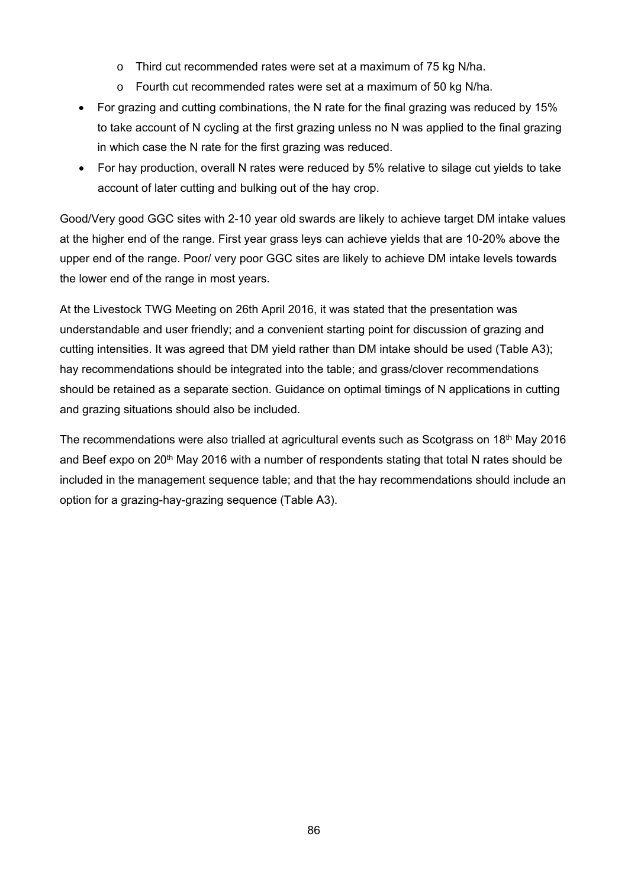- o Third cut recommended rates were set at a maximum of 75 kg N/ha.
- o Fourth cut recommended rates were set at a maximum of 50 kg N/ha.
- For grazing and cutting combinations, the N rate for the final grazing was reduced by 15% to take account of N cycling at the first grazing unless no N was applied to the final grazing in which case the N rate for the first grazing was reduced.
- For hay production, overall N rates were reduced by 5% relative to silage cut yields to take account of later cutting and bulking out of the hay crop.

Good/Very good GGC sites with 2-10 year old swards are likely to achieve target DM intake values at the higher end of the range. First year grass leys can achieve yields that are 10-20% above the upper end of the range. Poor/ very poor GGC sites are likely to achieve DM intake levels towards the lower end of the range in most years.

At the Livestock TWG Meeting on 26th April 2016, it was stated that the presentation was understandable and user friendly; and a convenient starting point for discussion of grazing and cutting intensities. It was agreed that DM yield rather than DM intake should be used (Table A3); hay recommendations should be integrated into the table; and grass/clover recommendations should be retained as a separate section. Guidance on optimal timings of N applications in cutting and grazing situations should also be included.

The recommendations were also trialled at agricultural events such as Scotgrass on 18<sup>th</sup> May 2016 and Beef expo on 20<sup>th</sup> May 2016 with a number of respondents stating that total N rates should be included in the management sequence table; and that the hay recommendations should include an option for a grazing-hay-grazing sequence (Table A3).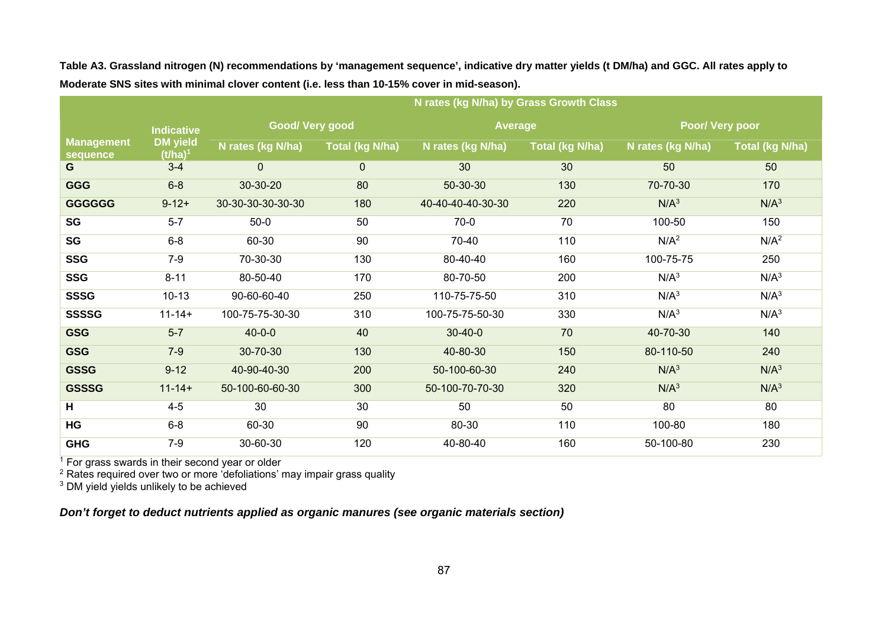|                               |                               | N rates (kg N/ha) by Grass Growth Class |                        |                   |                        |                   |                  |
|-------------------------------|-------------------------------|-----------------------------------------|------------------------|-------------------|------------------------|-------------------|------------------|
|                               | <b>Indicative</b>             | Good/Very good                          |                        | <b>Average</b>    |                        | Poor/ Very poor   |                  |
| <b>Management</b><br>sequence | <b>DM</b> yield<br>$(t/ha)^1$ | N rates (kg N/ha)                       | <b>Total (kg N/ha)</b> | N rates (kg N/ha) | <b>Total (kg N/ha)</b> | N rates (kg N/ha) | Total (kg N/ha)  |
| G                             | $3 - 4$                       | $\mathbf 0$                             | $\mathbf 0$            | 30                | 30                     | 50                | 50               |
| <b>GGG</b>                    | $6 - 8$                       | 30-30-20                                | 80                     | 50-30-30          | 130                    | 70-70-30          | 170              |
| <b>GGGGGG</b>                 | $9 - 12 +$                    | 30-30-30-30-30-30                       | 180                    | 40-40-40-40-30-30 | 220                    | N/A <sup>3</sup>  | N/A <sup>3</sup> |
| SG                            | $5 - 7$                       | $50-0$                                  | 50                     | $70-0$            | 70                     | 100-50            | 150              |
| SG                            | $6-8$                         | 60-30                                   | 90                     | 70-40             | 110                    | N/A <sup>2</sup>  | N/A <sup>2</sup> |
| <b>SSG</b>                    | $7 - 9$                       | 70-30-30                                | 130                    | 80-40-40          | 160                    | 100-75-75         | 250              |
| <b>SSG</b>                    | $8 - 11$                      | 80-50-40                                | 170                    | 80-70-50          | 200                    | N/A <sup>3</sup>  | N/A <sup>3</sup> |
| <b>SSSG</b>                   | $10 - 13$                     | 90-60-60-40                             | 250                    | 110-75-75-50      | 310                    | N/A <sup>3</sup>  | N/A <sup>3</sup> |
| <b>SSSSG</b>                  | $11 - 14 +$                   | 100-75-75-30-30                         | 310                    | 100-75-75-50-30   | 330                    | N/A <sup>3</sup>  | N/A <sup>3</sup> |
| <b>GSG</b>                    | $5 - 7$                       | $40 - 0 - 0$                            | 40                     | $30 - 40 - 0$     | 70                     | 40-70-30          | 140              |
| <b>GSG</b>                    | $7-9$                         | 30-70-30                                | 130                    | 40-80-30          | 150                    | 80-110-50         | 240              |
| <b>GSSG</b>                   | $9 - 12$                      | 40-90-40-30                             | 200                    | 50-100-60-30      | 240                    | N/A <sup>3</sup>  | N/A <sup>3</sup> |
| <b>GSSSG</b>                  | $11 - 14 +$                   | 50-100-60-60-30                         | 300                    | 50-100-70-70-30   | 320                    | N/A <sup>3</sup>  | N/A <sup>3</sup> |
| H                             | $4 - 5$                       | 30                                      | 30                     | 50                | 50                     | 80                | 80               |
| HG                            | $6 - 8$                       | 60-30                                   | 90                     | 80-30             | 110                    | 100-80            | 180              |
| <b>GHG</b>                    | $7-9$                         | 30-60-30                                | 120                    | 40-80-40          | 160                    | 50-100-80         | 230              |

**Table A3. Grassland nitrogen (N) recommendations by 'management sequence', indicative dry matter yields (t DM/ha) and GGC. All rates apply to Moderate SNS sites with minimal clover content (i.e. less than 10-15% cover in mid-season).** 

 $1$  For grass swards in their second year or older

 $2$  Rates required over two or more 'defoliations' may impair grass quality

<sup>3</sup> DM yield yields unlikely to be achieved

*Don't forget to deduct nutrients applied as organic manures (see organic materials section)*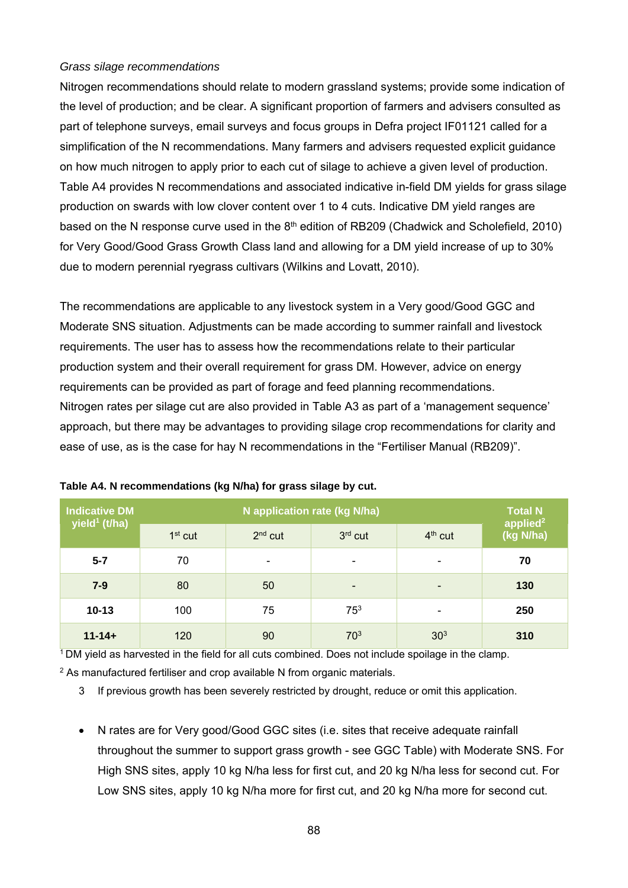#### *Grass silage recommendations*

Nitrogen recommendations should relate to modern grassland systems; provide some indication of the level of production; and be clear. A significant proportion of farmers and advisers consulted as part of telephone surveys, email surveys and focus groups in Defra project IF01121 called for a simplification of the N recommendations. Many farmers and advisers requested explicit guidance on how much nitrogen to apply prior to each cut of silage to achieve a given level of production. Table A4 provides N recommendations and associated indicative in-field DM yields for grass silage production on swards with low clover content over 1 to 4 cuts. Indicative DM yield ranges are based on the N response curve used in the 8<sup>th</sup> edition of RB209 (Chadwick and Scholefield, 2010) for Very Good/Good Grass Growth Class land and allowing for a DM yield increase of up to 30% due to modern perennial ryegrass cultivars (Wilkins and Lovatt, 2010).

The recommendations are applicable to any livestock system in a Very good/Good GGC and Moderate SNS situation. Adjustments can be made according to summer rainfall and livestock requirements. The user has to assess how the recommendations relate to their particular production system and their overall requirement for grass DM. However, advice on energy requirements can be provided as part of forage and feed planning recommendations. Nitrogen rates per silage cut are also provided in Table A3 as part of a 'management sequence' approach, but there may be advantages to providing silage crop recommendations for clarity and ease of use, as is the case for hay N recommendations in the "Fertiliser Manual (RB209)".

| <b>Indicative DM</b><br>yield <sup>1</sup> (t/ha) |           | <b>Total N</b>           |                              |                 |                                   |
|---------------------------------------------------|-----------|--------------------------|------------------------------|-----------------|-----------------------------------|
|                                                   | $1st$ cut | $2nd$ cut                | $3rd$ cut                    | $4th$ cut       | applied <sup>2</sup><br>(kg N/ha) |
| $5 - 7$                                           | 70        | $\overline{\phantom{a}}$ | $\qquad \qquad \blacksquare$ | -               | 70                                |
| $7 - 9$                                           | 80        | 50                       | $\overline{\phantom{a}}$     | -               | 130                               |
| $10 - 13$                                         | 100       | 75                       | 75 <sup>3</sup>              | -               | 250                               |
| $11 - 14 +$                                       | 120       | 90                       | 70 <sup>3</sup>              | 30 <sup>3</sup> | 310                               |

 $1$  DM yield as harvested in the field for all cuts combined. Does not include spoilage in the clamp.

 $2$  As manufactured fertiliser and crop available N from organic materials.

3 If previous growth has been severely restricted by drought, reduce or omit this application.

 N rates are for Very good/Good GGC sites (i.e. sites that receive adequate rainfall throughout the summer to support grass growth - see GGC Table) with Moderate SNS. For High SNS sites, apply 10 kg N/ha less for first cut, and 20 kg N/ha less for second cut. For Low SNS sites, apply 10 kg N/ha more for first cut, and 20 kg N/ha more for second cut.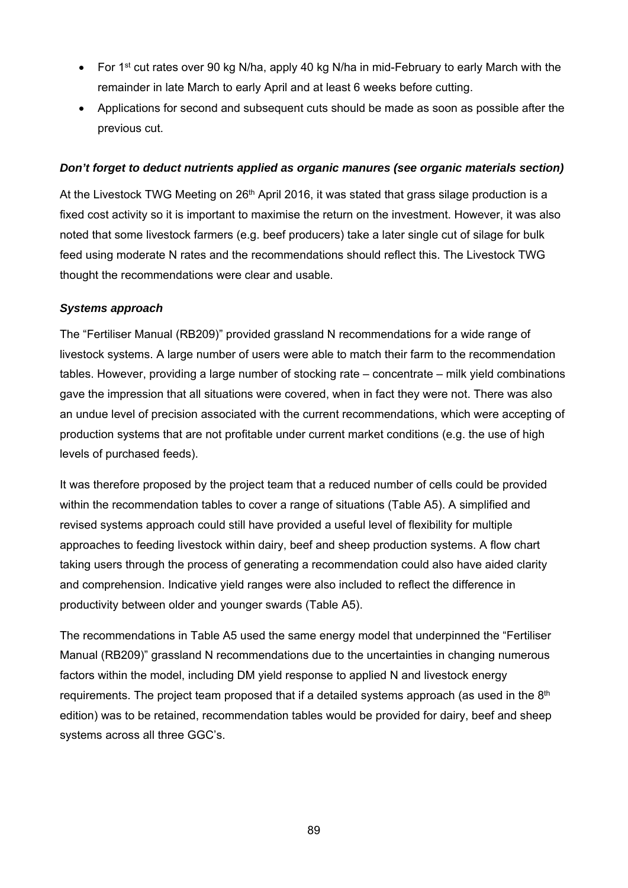- For 1<sup>st</sup> cut rates over 90 kg N/ha, apply 40 kg N/ha in mid-February to early March with the remainder in late March to early April and at least 6 weeks before cutting.
- Applications for second and subsequent cuts should be made as soon as possible after the previous cut.

#### *Don't forget to deduct nutrients applied as organic manures (see organic materials section)*

At the Livestock TWG Meeting on 26<sup>th</sup> April 2016, it was stated that grass silage production is a fixed cost activity so it is important to maximise the return on the investment. However, it was also noted that some livestock farmers (e.g. beef producers) take a later single cut of silage for bulk feed using moderate N rates and the recommendations should reflect this. The Livestock TWG thought the recommendations were clear and usable.

### *Systems approach*

The "Fertiliser Manual (RB209)" provided grassland N recommendations for a wide range of livestock systems. A large number of users were able to match their farm to the recommendation tables. However, providing a large number of stocking rate – concentrate – milk yield combinations gave the impression that all situations were covered, when in fact they were not. There was also an undue level of precision associated with the current recommendations, which were accepting of production systems that are not profitable under current market conditions (e.g. the use of high levels of purchased feeds).

It was therefore proposed by the project team that a reduced number of cells could be provided within the recommendation tables to cover a range of situations (Table A5). A simplified and revised systems approach could still have provided a useful level of flexibility for multiple approaches to feeding livestock within dairy, beef and sheep production systems. A flow chart taking users through the process of generating a recommendation could also have aided clarity and comprehension. Indicative yield ranges were also included to reflect the difference in productivity between older and younger swards (Table A5).

The recommendations in Table A5 used the same energy model that underpinned the "Fertiliser Manual (RB209)" grassland N recommendations due to the uncertainties in changing numerous factors within the model, including DM yield response to applied N and livestock energy requirements. The project team proposed that if a detailed systems approach (as used in the  $8<sup>th</sup>$ edition) was to be retained, recommendation tables would be provided for dairy, beef and sheep systems across all three GGC's.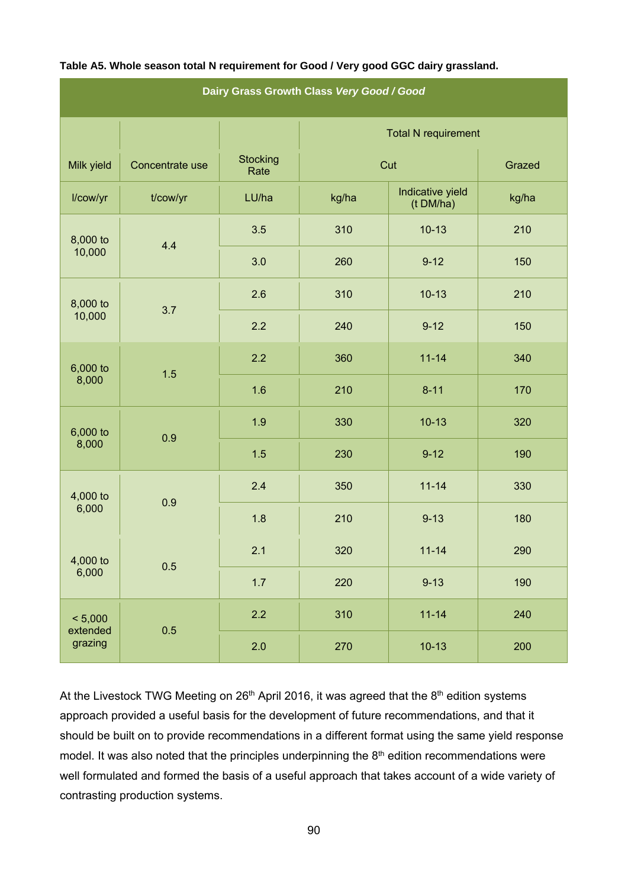| Dairy Grass Growth Class Very Good / Good |                 |                         |                                        |           |       |  |  |
|-------------------------------------------|-----------------|-------------------------|----------------------------------------|-----------|-------|--|--|
|                                           |                 |                         | <b>Total N requirement</b>             |           |       |  |  |
| Milk yield                                | Concentrate use | <b>Stocking</b><br>Rate | Cut                                    | Grazed    |       |  |  |
| I/cow/yr                                  | t/cow/yr        | LU/ha                   | Indicative yield<br>kg/ha<br>(t DM/ha) |           | kg/ha |  |  |
| 8,000 to                                  | 4.4             | 3.5                     | 310                                    | $10-13$   | 210   |  |  |
| 10,000                                    |                 | 3.0                     | 260                                    | $9 - 12$  | 150   |  |  |
| 8,000 to                                  | 3.7             | 2.6                     | 310                                    | $10-13$   | 210   |  |  |
| 10,000                                    |                 | 2.2                     | 240                                    | $9 - 12$  | 150   |  |  |
| 6,000 to                                  | 1.5             | 2.2                     | 360                                    | $11 - 14$ | 340   |  |  |
| 8,000                                     |                 | 1.6                     | 210                                    | $8 - 11$  | 170   |  |  |
| 6,000 to<br>8,000                         | 0.9             | 1.9                     | 330                                    | $10-13$   | 320   |  |  |
|                                           |                 | 1.5                     | 230                                    | $9 - 12$  | 190   |  |  |
| 4,000 to<br>6,000                         | 0.9             | 2.4                     | 350                                    | $11 - 14$ | 330   |  |  |
|                                           |                 | 1.8                     | 210                                    | $9 - 13$  | 180   |  |  |
| 4,000 to<br>6,000                         | 0.5             | 2.1                     | 320                                    | $11 - 14$ | 290   |  |  |
|                                           |                 | 1.7                     | 220                                    | $9 - 13$  | 190   |  |  |
| < 5,000                                   | 0.5             | 2.2                     | 310                                    | $11 - 14$ | 240   |  |  |
| extended<br>grazing                       |                 | 2.0                     | 270                                    | $10-13$   | 200   |  |  |

#### **Table A5. Whole season total N requirement for Good / Very good GGC dairy grassland.**

At the Livestock TWG Meeting on 26<sup>th</sup> April 2016, it was agreed that the 8<sup>th</sup> edition systems approach provided a useful basis for the development of future recommendations, and that it should be built on to provide recommendations in a different format using the same yield response model. It was also noted that the principles underpinning the 8<sup>th</sup> edition recommendations were well formulated and formed the basis of a useful approach that takes account of a wide variety of contrasting production systems.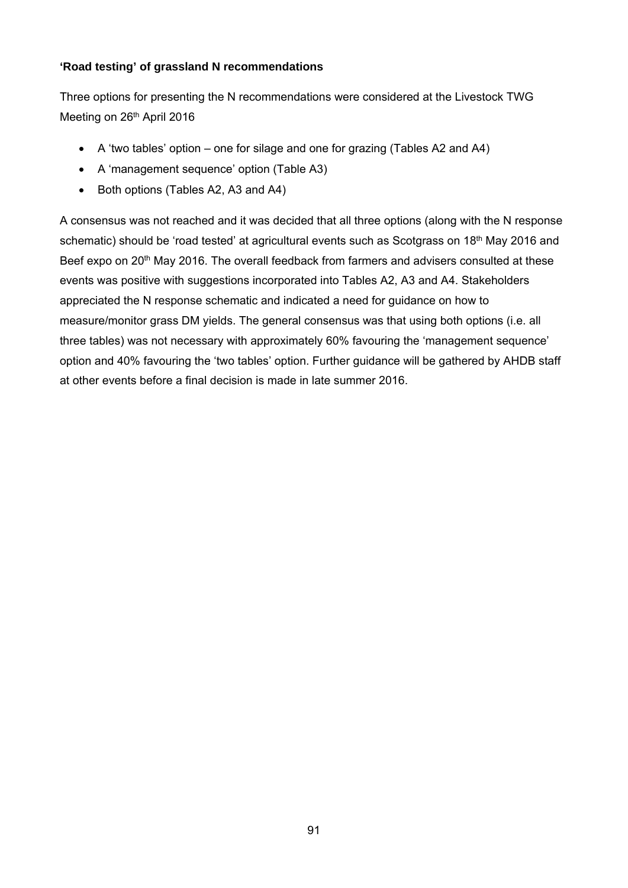#### **'Road testing' of grassland N recommendations**

Three options for presenting the N recommendations were considered at the Livestock TWG Meeting on 26<sup>th</sup> April 2016

- A 'two tables' option one for silage and one for grazing (Tables A2 and A4)
- A 'management sequence' option (Table A3)
- Both options (Tables A2, A3 and A4)

A consensus was not reached and it was decided that all three options (along with the N response schematic) should be 'road tested' at agricultural events such as Scotgrass on 18<sup>th</sup> May 2016 and Beef expo on 20<sup>th</sup> May 2016. The overall feedback from farmers and advisers consulted at these events was positive with suggestions incorporated into Tables A2, A3 and A4. Stakeholders appreciated the N response schematic and indicated a need for guidance on how to measure/monitor grass DM yields. The general consensus was that using both options (i.e. all three tables) was not necessary with approximately 60% favouring the 'management sequence' option and 40% favouring the 'two tables' option. Further guidance will be gathered by AHDB staff at other events before a final decision is made in late summer 2016.